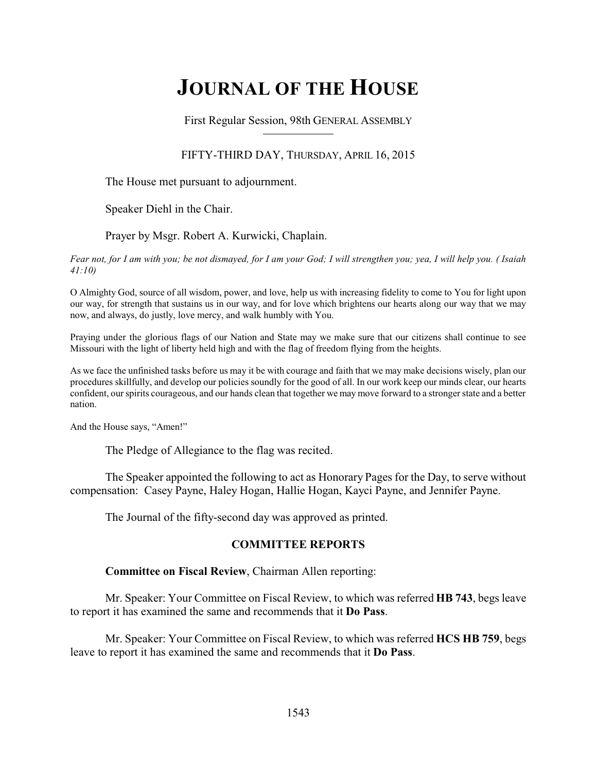# **JOURNAL OF THE HOUSE**

First Regular Session, 98th GENERAL ASSEMBLY

### FIFTY-THIRD DAY, THURSDAY, APRIL 16, 2015

The House met pursuant to adjournment.

Speaker Diehl in the Chair.

Prayer by Msgr. Robert A. Kurwicki, Chaplain.

*Fear not, for I am with you; be not dismayed, for I am your God; I will strengthen you; yea, I will help you. ( Isaiah 41:10)*

O Almighty God, source of all wisdom, power, and love, help us with increasing fidelity to come to You for light upon our way, for strength that sustains us in our way, and for love which brightens our hearts along our way that we may now, and always, do justly, love mercy, and walk humbly with You.

Praying under the glorious flags of our Nation and State may we make sure that our citizens shall continue to see Missouri with the light of liberty held high and with the flag of freedom flying from the heights.

As we face the unfinished tasks before us may it be with courage and faith that we may make decisions wisely, plan our procedures skillfully, and develop our policies soundly for the good of all. In our work keep our minds clear, our hearts confident, our spirits courageous, and our hands clean that together we may move forward to a stronger state and a better nation.

And the House says, "Amen!"

The Pledge of Allegiance to the flag was recited.

The Speaker appointed the following to act as Honorary Pages for the Day, to serve without compensation: Casey Payne, Haley Hogan, Hallie Hogan, Kayci Payne, and Jennifer Payne.

The Journal of the fifty-second day was approved as printed.

### **COMMITTEE REPORTS**

### **Committee on Fiscal Review**, Chairman Allen reporting:

Mr. Speaker: Your Committee on Fiscal Review, to which was referred **HB 743**, begs leave to report it has examined the same and recommends that it **Do Pass**.

Mr. Speaker: Your Committee on Fiscal Review, to which was referred **HCS HB 759**, begs leave to report it has examined the same and recommends that it **Do Pass**.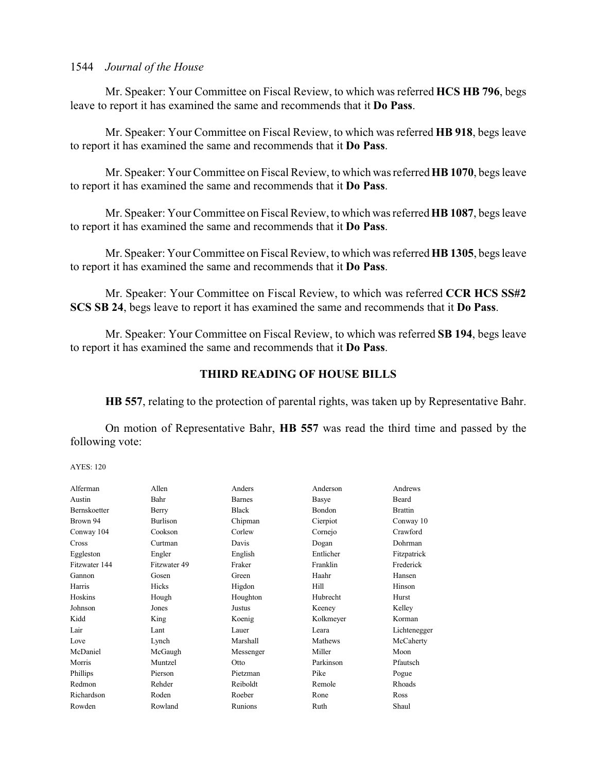Mr. Speaker: Your Committee on Fiscal Review, to which was referred **HCS HB 796**, begs leave to report it has examined the same and recommends that it **Do Pass**.

Mr. Speaker: Your Committee on Fiscal Review, to which was referred **HB 918**, begs leave to report it has examined the same and recommends that it **Do Pass**.

Mr. Speaker: Your Committee on Fiscal Review, to which was referred **HB 1070**, begs leave to report it has examined the same and recommends that it **Do Pass**.

Mr. Speaker: Your Committee on Fiscal Review, to which was referred **HB 1087**, begs leave to report it has examined the same and recommends that it **Do Pass**.

Mr. Speaker: Your Committee on Fiscal Review, to which was referred **HB 1305**, begs leave to report it has examined the same and recommends that it **Do Pass**.

Mr. Speaker: Your Committee on Fiscal Review, to which was referred **CCR HCS SS#2 SCS SB 24**, begs leave to report it has examined the same and recommends that it **Do Pass**.

Mr. Speaker: Your Committee on Fiscal Review, to which was referred **SB 194**, begs leave to report it has examined the same and recommends that it **Do Pass**.

### **THIRD READING OF HOUSE BILLS**

**HB 557**, relating to the protection of parental rights, was taken up by Representative Bahr.

On motion of Representative Bahr, **HB 557** was read the third time and passed by the following vote:

| Alferman            | Allen           | Anders        | Anderson  | Andrews        |
|---------------------|-----------------|---------------|-----------|----------------|
| Austin              | Bahr            | <b>Barnes</b> | Basye     | Beard          |
| <b>Bernskoetter</b> | Berry           | <b>Black</b>  | Bondon    | <b>Brattin</b> |
| Brown 94            | <b>Burlison</b> | Chipman       | Cierpiot  | Conway 10      |
| Conway 104          | Cookson         | Corlew        | Cornejo   | Crawford       |
| Cross               | Curtman         | Davis         | Dogan     | Dohrman        |
| Eggleston           | Engler          | English       | Entlicher | Fitzpatrick    |
| Fitzwater 144       | Fitzwater 49    | Fraker        | Franklin  | Frederick      |
| Gannon              | Gosen           | Green         | Haahr     | Hansen         |
| Harris              | Hicks           | Higdon        | Hill      | Hinson         |
| Hoskins             | Hough           | Houghton      | Hubrecht  | Hurst          |
| Johnson             | Jones           | Justus        | Keeney    | Kelley         |
| Kidd                | King            | Koenig        | Kolkmeyer | Korman         |
| Lair                | Lant            | Lauer         | Leara     | Lichtenegger   |
| Love                | Lynch           | Marshall      | Mathews   | McCaherty      |
| McDaniel            | McGaugh         | Messenger     | Miller    | Moon           |
| Morris              | Muntzel         | Otto          | Parkinson | Pfautsch       |
| Phillips            | Pierson         | Pietzman      | Pike      | Pogue          |
| Redmon              | Rehder          | Reiboldt      | Remole    | Rhoads         |
| Richardson          | Roden           | Roeber        | Rone      | Ross           |
| Rowden              | Rowland         | Runions       | Ruth      | Shaul          |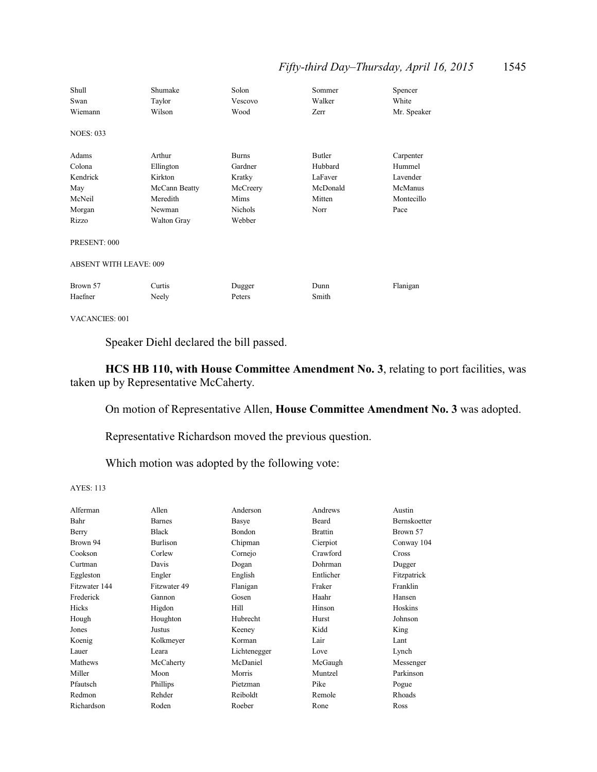# *Fifty-third Day–Thursday, April 16, 2015* 1545

| Shull                         | Shumake            | Solon        | Sommer   | Spencer     |
|-------------------------------|--------------------|--------------|----------|-------------|
| Swan                          | Taylor             | Vescovo      | Walker   | White       |
| Wiemann                       | Wilson             | Wood         | Zerr     | Mr. Speaker |
| <b>NOES: 033</b>              |                    |              |          |             |
| Adams                         | Arthur             | <b>Burns</b> | Butler   | Carpenter   |
| Colona                        | Ellington          | Gardner      | Hubbard  | Hummel      |
| Kendrick                      | Kirkton            | Kratky       | LaFaver  | Lavender    |
| May                           | McCann Beatty      | McCreery     | McDonald | McManus     |
| McNeil                        | Meredith           | Mims         | Mitten   | Montecillo  |
| Morgan                        | Newman             | Nichols      | Norr     | Pace        |
| Rizzo                         | <b>Walton Gray</b> | Webber       |          |             |
| PRESENT: 000                  |                    |              |          |             |
| <b>ABSENT WITH LEAVE: 009</b> |                    |              |          |             |
| Brown 57                      | Curtis             | Dugger       | Dunn     | Flanigan    |
| Haefner                       | Neely              | Peters       | Smith    |             |
|                               |                    |              |          |             |

VACANCIES: 001

Speaker Diehl declared the bill passed.

**HCS HB 110, with House Committee Amendment No. 3**, relating to port facilities, was taken up by Representative McCaherty.

On motion of Representative Allen, **House Committee Amendment No. 3** was adopted.

Representative Richardson moved the previous question.

Which motion was adopted by the following vote:

| Alferman      | Allen           | Anderson      | Andrews        | Austin              |
|---------------|-----------------|---------------|----------------|---------------------|
| Bahr          | <b>Barnes</b>   | Basye         | Beard          | <b>Bernskoetter</b> |
| Berry         | <b>Black</b>    | <b>Bondon</b> | <b>Brattin</b> | Brown 57            |
| Brown 94      | <b>Burlison</b> | Chipman       | Cierpiot       | Conway 104          |
| Cookson       | Corlew          | Cornejo       | Crawford       | Cross               |
| Curtman       | Davis           | Dogan         | Dohrman        | Dugger              |
| Eggleston     | Engler          | English       | Entlicher      | Fitzpatrick         |
| Fitzwater 144 | Fitzwater 49    | Flanigan      | Fraker         | Franklin            |
| Frederick     | Gannon          | Gosen         | Haahr          | Hansen              |
| Hicks         | Higdon          | Hill          | Hinson         | <b>Hoskins</b>      |
| Hough         | Houghton        | Hubrecht      | Hurst          | Johnson             |
| Jones         | Justus          | Keeney        | Kidd           | King                |
| Koenig        | Kolkmeyer       | Korman        | Lair           | Lant                |
| Lauer         | I eara          | Lichtenegger  | Love           | Lynch               |
| Mathews       | McCaherty       | McDaniel      | McGaugh        | Messenger           |
| Miller        | Moon            | Morris        | Muntzel        | Parkinson           |
| Pfautsch      | Phillips        | Pietzman      | Pike           | Pogue               |
| Redmon        | Rehder          | Reiboldt      | Remole         | Rhoads              |
| Richardson    | Roden           | Roeber        | Rone           | Ross                |
|               |                 |               |                |                     |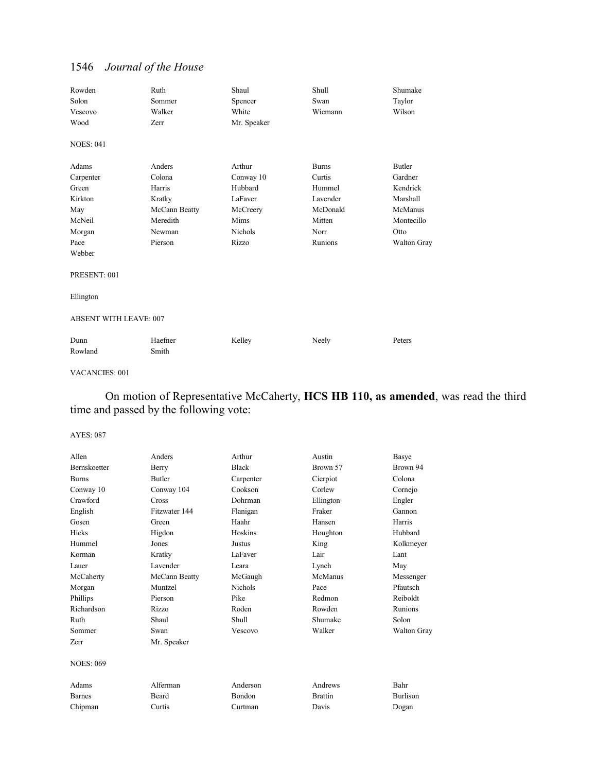| Rowden                        | Ruth          | Shaul          | Shull        | Shumake            |
|-------------------------------|---------------|----------------|--------------|--------------------|
| Solon                         | Sommer        | Spencer        | Swan         | Taylor             |
| Vescovo                       | Walker        | White          | Wiemann      | Wilson             |
| Wood                          | Zerr          | Mr. Speaker    |              |                    |
| <b>NOES: 041</b>              |               |                |              |                    |
| Adams                         | Anders        | Arthur         | <b>Burns</b> | Butler             |
| Carpenter                     | Colona        | Conway 10      | Curtis       | Gardner            |
| Green                         | Harris        | Hubbard        | Hummel       | Kendrick           |
| Kirkton                       | Kratky        | LaFaver        | Lavender     | Marshall           |
| May                           | McCann Beatty | McCreery       | McDonald     | McManus            |
| McNeil                        | Meredith      | Mims           | Mitten       | Montecillo         |
| Morgan                        | Newman        | <b>Nichols</b> | Norr         | Otto               |
| Pace                          | Pierson       | Rizzo          | Runions      | <b>Walton Gray</b> |
| Webber                        |               |                |              |                    |
| PRESENT: 001                  |               |                |              |                    |
| Ellington                     |               |                |              |                    |
| <b>ABSENT WITH LEAVE: 007</b> |               |                |              |                    |
| Dunn                          | Haefner       | Kelley         | Neely        | Peters             |
| Rowland                       | Smith         |                |              |                    |

### VACANCIES: 001

On motion of Representative McCaherty, **HCS HB 110, as amended**, was read the third time and passed by the following vote:

| Allen               | Anders        | Arthur         | Austin         | <b>Basye</b>    |
|---------------------|---------------|----------------|----------------|-----------------|
| <b>Bernskoetter</b> | Berry         | <b>Black</b>   | Brown 57       | Brown 94        |
| <b>Burns</b>        | <b>Butler</b> | Carpenter      | Cierpiot       | Colona          |
| Conway 10           | Conway 104    | Cookson        | Corlew         | Cornejo         |
| Crawford            | Cross         | Dohrman        | Ellington      | Engler          |
| English             | Fitzwater 144 | Flanigan       | Fraker         | Gannon          |
| Gosen               | Green         | Haahr          | Hansen         | Harris          |
| Hicks               | Higdon        | Hoskins        | Houghton       | Hubbard         |
| Hummel              | Jones         | Justus         | King           | Kolkmeyer       |
| Korman              | Kratky        | LaFaver        | Lair           | Lant            |
| Lauer               | Lavender      | Leara          | Lynch          | May             |
| McCaherty           | McCann Beatty | McGaugh        | McManus        | Messenger       |
| Morgan              | Muntzel       | <b>Nichols</b> | Pace           | Pfautsch        |
| Phillips            | Pierson       | Pike           | Redmon         | Reiboldt        |
| Richardson          | Rizzo         | Roden          | Rowden         | <b>Runions</b>  |
| Ruth                | Shaul         | Shull          | Shumake        | Solon           |
| Sommer              | Swan          | Vescovo        | Walker         | Walton Gray     |
| Zerr                | Mr. Speaker   |                |                |                 |
| <b>NOES: 069</b>    |               |                |                |                 |
| Adams               | Alferman      | Anderson       | Andrews        | Bahr            |
| <b>Barnes</b>       | <b>Beard</b>  | Bondon         | <b>Brattin</b> | <b>Burlison</b> |
| Chipman             | Curtis        | Curtman        | Davis          | Dogan           |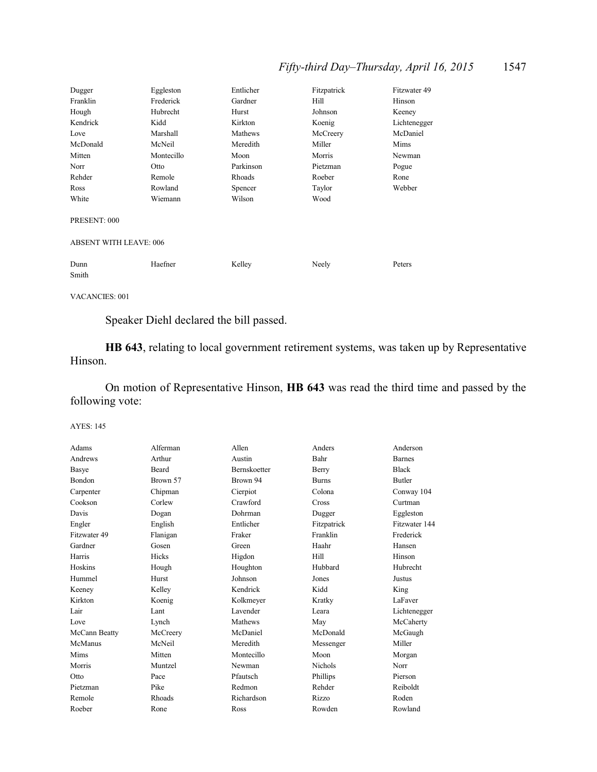# *Fifty-third Day–Thursday, April 16, 2015* 1547

| Dugger                        | Eggleston  | Entlicher | Fitzpatrick | Fitzwater 49 |  |
|-------------------------------|------------|-----------|-------------|--------------|--|
| Franklin                      | Frederick  | Gardner   | Hill        | Hinson       |  |
| Hough                         | Hubrecht   | Hurst     | Johnson     | Keeney       |  |
| Kendrick                      | Kidd       | Kirkton   | Koenig      | Lichtenegger |  |
| Love                          | Marshall   | Mathews   | McCreery    | McDaniel     |  |
| McDonald                      | McNeil     | Meredith  | Miller      | Mims         |  |
| Mitten                        | Montecillo | Moon      | Morris      | Newman       |  |
| Norr                          | Otto       | Parkinson | Pietzman    | Pogue        |  |
| Rehder                        | Remole     | Rhoads    | Roeber      | Rone         |  |
| Ross                          | Rowland    | Spencer   | Taylor      | Webber       |  |
| White                         | Wiemann    | Wilson    | Wood        |              |  |
| PRESENT: 000                  |            |           |             |              |  |
| <b>ABSENT WITH LEAVE: 006</b> |            |           |             |              |  |
| Dunn<br>Smith                 | Haefner    | Kelley    | Neely       | Peters       |  |

VACANCIES: 001

Speaker Diehl declared the bill passed.

**HB 643**, relating to local government retirement systems, was taken up by Representative Hinson.

On motion of Representative Hinson, **HB 643** was read the third time and passed by the following vote:

| Adams         | Alferman     | Allen               | Anders         | Anderson      |
|---------------|--------------|---------------------|----------------|---------------|
| Andrews       | Arthur       | Austin              | Bahr           | <b>Barnes</b> |
| Basye         | <b>Beard</b> | <b>Bernskoetter</b> | Berry          | <b>Black</b>  |
| Bondon        | Brown 57     | Brown 94            | <b>Burns</b>   | <b>Butler</b> |
| Carpenter     | Chipman      | Cierpiot            | Colona         | Conway 104    |
| Cookson       | Corlew       | Crawford            | Cross          | Curtman       |
| Davis         | Dogan        | Dohrman             | Dugger         | Eggleston     |
| Engler        | English      | Entlicher           | Fitzpatrick    | Fitzwater 144 |
| Fitzwater 49  | Flanigan     | Fraker              | Franklin       | Frederick     |
| Gardner       | Gosen        | Green               | Haahr          | Hansen        |
| Harris        | <b>Hicks</b> | Higdon              | Hill           | Hinson        |
| Hoskins       | Hough        | Houghton            | Hubbard        | Hubrecht      |
| Hummel        | Hurst        | Johnson             | Jones          | Justus        |
| Keeney        | Kelley       | Kendrick            | Kidd           | King          |
| Kirkton       | Koenig       | Kolkmeyer           | Kratky         | LaFaver       |
| Lair          | Lant         | Lavender            | Leara          | Lichtenegger  |
| Love          | Lynch        | Mathews             | May            | McCaherty     |
| McCann Beatty | McCreery     | McDaniel            | McDonald       | McGaugh       |
| McManus       | McNeil       | Meredith            | Messenger      | Miller        |
| Mims          | Mitten       | Montecillo          | Moon           | Morgan        |
| Morris        | Muntzel      | Newman              | <b>Nichols</b> | Norr          |
| Otto          | Pace         | Pfautsch            | Phillips       | Pierson       |
| Pietzman      | Pike         | Redmon              | Rehder         | Reiboldt      |
| Remole        | Rhoads       | Richardson          | Rizzo          | Roden         |
| Roeber        | Rone         | Ross                | Rowden         | Rowland       |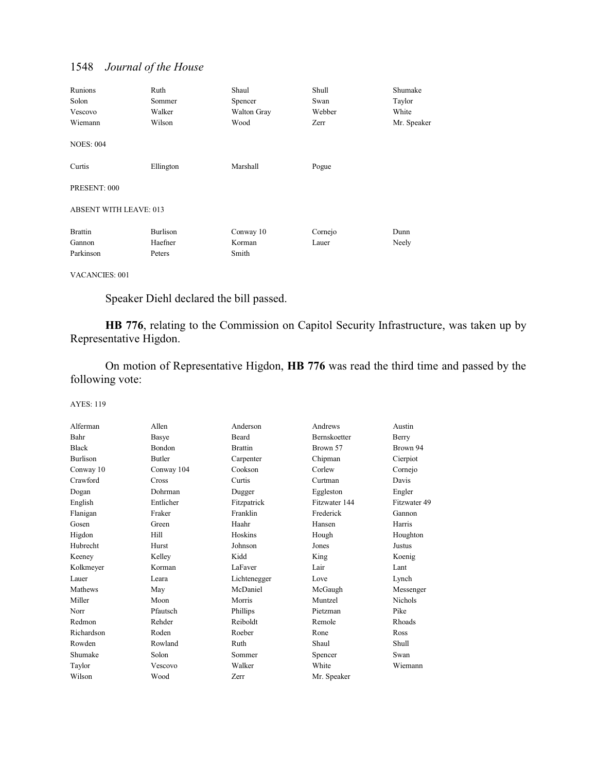| Runions                       | Ruth      | Shaul              | Shull   | Shumake     |
|-------------------------------|-----------|--------------------|---------|-------------|
| Solon                         | Sommer    | Spencer            | Swan    | Taylor      |
| Vescovo                       | Walker    | <b>Walton Gray</b> | Webber  | White       |
| Wiemann                       | Wilson    | Wood               | Zerr    | Mr. Speaker |
| <b>NOES: 004</b>              |           |                    |         |             |
| Curtis                        | Ellington | Marshall           | Pogue   |             |
| PRESENT: 000                  |           |                    |         |             |
| <b>ABSENT WITH LEAVE: 013</b> |           |                    |         |             |
| <b>Brattin</b>                | Burlison  | Conway 10          | Cornejo | Dunn        |
| Gannon                        | Haefner   | Korman             | Lauer   | Neely       |
| Parkinson                     | Peters    | Smith              |         |             |

VACANCIES: 001

Speaker Diehl declared the bill passed.

**HB 776**, relating to the Commission on Capitol Security Infrastructure, was taken up by Representative Higdon.

On motion of Representative Higdon, **HB 776** was read the third time and passed by the following vote:

| Alferman        | Allen         | Anderson       | Andrews       | Austin         |
|-----------------|---------------|----------------|---------------|----------------|
| Bahr            | <b>Basye</b>  | Beard          | Bernskoetter  | Berry          |
| <b>Black</b>    | <b>Bondon</b> | <b>Brattin</b> | Brown 57      | Brown 94       |
| <b>Burlison</b> | <b>Butler</b> | Carpenter      | Chipman       | Cierpiot       |
| Conway 10       | Conway 104    | Cookson        | Corlew        | Cornejo        |
| Crawford        | <b>Cross</b>  | Curtis         | Curtman       | Davis          |
| Dogan           | Dohrman       | Dugger         | Eggleston     | Engler         |
| English         | Entlicher     | Fitzpatrick    | Fitzwater 144 | Fitzwater 49   |
| Flanigan        | Fraker        | Franklin       | Frederick     | Gannon         |
| Gosen           | Green         | Haahr          | Hansen        | Harris         |
| Higdon          | Hill          | Hoskins        | Hough         | Houghton       |
| Hubrecht        | Hurst         | Johnson        | Jones         | Justus         |
| Keeney          | Kelley        | Kidd           | King          | Koenig         |
| Kolkmeyer       | Korman        | LaFaver        | Lair          | Lant           |
| Lauer           | Leara         | Lichtenegger   | Love          | Lynch          |
| Mathews         | May           | McDaniel       | McGaugh       | Messenger      |
| Miller          | Moon          | Morris         | Muntzel       | <b>Nichols</b> |
| Norr            | Pfautsch      | Phillips       | Pietzman      | Pike           |
| Redmon          | Rehder        | Reiboldt       | Remole        | Rhoads         |
| Richardson      | Roden         | Roeber         | Rone          | Ross           |
| Rowden          | Rowland       | Ruth           | Shaul         | Shull          |
| Shumake         | Solon         | Sommer         | Spencer       | Swan           |
| Taylor          | Vescovo       | Walker         | White         | Wiemann        |
| Wilson          | Wood          | Zerr           | Mr. Speaker   |                |
|                 |               |                |               |                |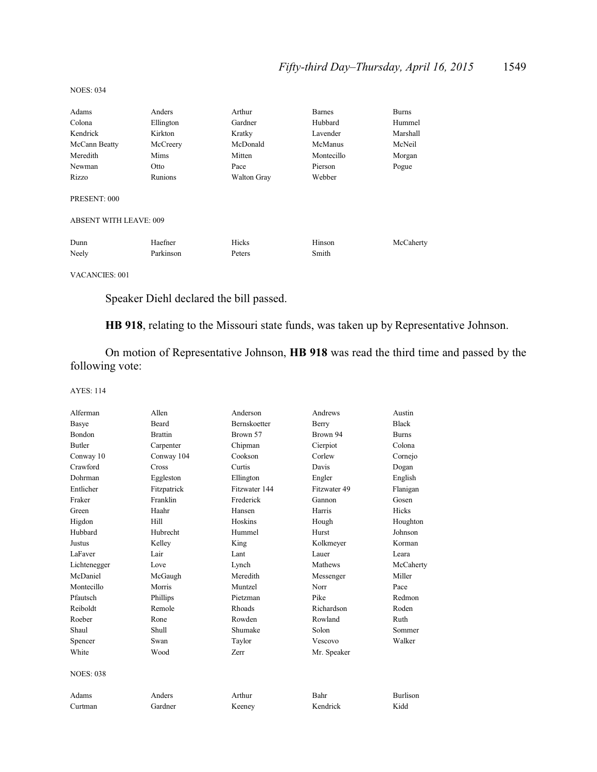### *Fifty-third Day–Thursday, April 16, 2015* 1549

| <b>NOES: 034</b> |  |
|------------------|--|
|------------------|--|

| Adams                         | Anders    | Arthur             | <b>Barnes</b> | <b>Burns</b> |
|-------------------------------|-----------|--------------------|---------------|--------------|
| Colona                        | Ellington | Gardner            | Hubbard       | Hummel       |
| Kendrick                      | Kirkton   | Kratky             | Lavender      | Marshall     |
| McCann Beatty                 | McCreery  | McDonald           | McManus       | McNeil       |
| Meredith                      | Mims      | Mitten             | Montecillo    | Morgan       |
| Newman                        | Otto      | Pace               | Pierson       | Pogue        |
| Rizzo                         | Runions   | <b>Walton Gray</b> | Webber        |              |
| PRESENT: 000                  |           |                    |               |              |
| <b>ABSENT WITH LEAVE: 009</b> |           |                    |               |              |
| Dunn                          | Haefner   | Hicks              | Hinson        | McCaherty    |
| Neely                         | Parkinson | Peters             | Smith         |              |
|                               |           |                    |               |              |

VACANCIES: 001

Speaker Diehl declared the bill passed.

**HB 918**, relating to the Missouri state funds, was taken up by Representative Johnson.

On motion of Representative Johnson, **HB 918** was read the third time and passed by the following vote:

| Alferman         | Allen          | Anderson            | Andrews      | Austin          |
|------------------|----------------|---------------------|--------------|-----------------|
| Basye            | <b>Beard</b>   | <b>Bernskoetter</b> | Berry        | <b>Black</b>    |
| Bondon           | <b>Brattin</b> | Brown 57            | Brown 94     | <b>Burns</b>    |
| <b>Butler</b>    | Carpenter      | Chipman             | Cierpiot     | Colona          |
| Conway 10        | Conway 104     | Cookson             | Corlew       | Cornejo         |
| Crawford         | Cross          | Curtis              | Davis        | Dogan           |
| Dohrman          | Eggleston      | Ellington           | Engler       | English         |
| Entlicher        | Fitzpatrick    | Fitzwater 144       | Fitzwater 49 | Flanigan        |
| Fraker           | Franklin       | Frederick           | Gannon       | Gosen           |
| Green            | Haahr          | Hansen              | Harris       | <b>Hicks</b>    |
| Higdon           | Hill           | Hoskins             | Hough        | Houghton        |
| Hubbard          | Hubrecht       | Hummel              | Hurst        | Johnson         |
| Justus           | Kelley         | King                | Kolkmeyer    | Korman          |
| LaFaver          | Lair           | Lant                | Lauer        | Leara           |
| Lichtenegger     | Love           | Lynch               | Mathews      | McCaherty       |
| McDaniel         | McGaugh        | Meredith            | Messenger    | Miller          |
| Montecillo       | Morris         | Muntzel             | Norr         | Pace            |
| Pfautsch         | Phillips       | Pietzman            | Pike         | Redmon          |
| Reiboldt         | Remole         | Rhoads              | Richardson   | Roden           |
| Roeber           | Rone           | Rowden              | Rowland      | Ruth            |
| Shaul            | Shull          | Shumake             | Solon        | Sommer          |
| Spencer          | Swan           | Taylor              | Vescovo      | Walker          |
| White            | Wood           | Zerr                | Mr. Speaker  |                 |
| <b>NOES: 038</b> |                |                     |              |                 |
| Adams            | Anders         | Arthur              | Bahr         | <b>Burlison</b> |
| Curtman          | Gardner        | Keeney              | Kendrick     | Kidd            |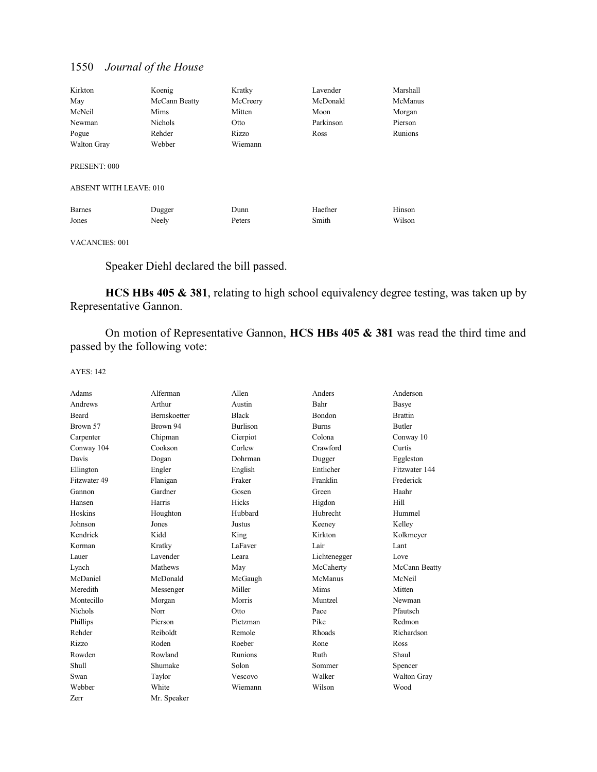| Kirkton                       | Koenig         | Kratky   | Lavender  | Marshall |
|-------------------------------|----------------|----------|-----------|----------|
| May                           | McCann Beatty  | McCreery | McDonald  | McManus  |
| McNeil                        | Mims           | Mitten   | Moon      | Morgan   |
| Newman                        | <b>Nichols</b> | Otto     | Parkinson | Pierson  |
| Pogue                         | Rehder         | Rizzo    | Ross      | Runions  |
| <b>Walton Gray</b>            | Webber         | Wiemann  |           |          |
| PRESENT: 000                  |                |          |           |          |
| <b>ABSENT WITH LEAVE: 010</b> |                |          |           |          |
| <b>Barnes</b>                 | Dugger         | Dunn     | Haefner   | Hinson   |
| Jones                         | Neely          | Peters   | Smith     | Wilson   |

VACANCIES: 001

Speaker Diehl declared the bill passed.

**HCS HBs 405 & 381**, relating to high school equivalency degree testing, was taken up by Representative Gannon.

On motion of Representative Gannon, **HCS HBs 405 & 381** was read the third time and passed by the following vote:

| Adams          | Alferman            | Allen           | Anders       | Anderson       |
|----------------|---------------------|-----------------|--------------|----------------|
| Andrews        | Arthur              | Austin          | Bahr         | Basye          |
| Beard          | <b>Bernskoetter</b> | <b>Black</b>    | Bondon       | <b>Brattin</b> |
| Brown 57       | Brown 94            | <b>Burlison</b> | <b>Burns</b> | <b>Butler</b>  |
| Carpenter      | Chipman             | Cierpiot        | Colona       | Conway 10      |
| Conway 104     | Cookson             | Corlew          | Crawford     | Curtis         |
| Davis          | Dogan               | Dohrman         | Dugger       | Eggleston      |
| Ellington      | Engler              | English         | Entlicher    | Fitzwater 144  |
| Fitzwater 49   | Flanigan            | Fraker          | Franklin     | Frederick      |
| Gannon         | Gardner             | Gosen           | Green        | Haahr          |
| Hansen         | Harris              | <b>Hicks</b>    | Higdon       | Hill           |
| Hoskins        | Houghton            | Hubbard         | Hubrecht     | Hummel         |
| Johnson        | Jones               | <b>Justus</b>   | Keeney       | Kelley         |
| Kendrick       | Kidd                | King            | Kirkton      | Kolkmeyer      |
| Korman         | Kratky              | LaFaver         | Lair         | Lant           |
| Lauer          | Lavender            | Leara           | Lichtenegger | Love           |
| Lynch          | Mathews             | May             | McCaherty    | McCann Beatty  |
| McDaniel       | McDonald            | McGaugh         | McManus      | McNeil         |
| Meredith       | Messenger           | Miller          | Mims         | Mitten         |
| Montecillo     | Morgan              | Morris          | Muntzel      | Newman         |
| <b>Nichols</b> | Norr                | Otto            | Pace         | Pfautsch       |
| Phillips       | Pierson             | Pietzman        | Pike         | Redmon         |
| Rehder         | Reiboldt            | Remole          | Rhoads       | Richardson     |
| Rizzo          | Roden               | Roeber          | Rone         | Ross           |
| Rowden         | Rowland             | Runions         | Ruth         | Shaul          |
| <b>Shull</b>   | Shumake             | Solon           | Sommer       | Spencer        |
| Swan           | Taylor              | Vescovo         | Walker       | Walton Gray    |
| Webber         | White               | Wiemann         | Wilson       | Wood           |
| Zerr           | Mr. Speaker         |                 |              |                |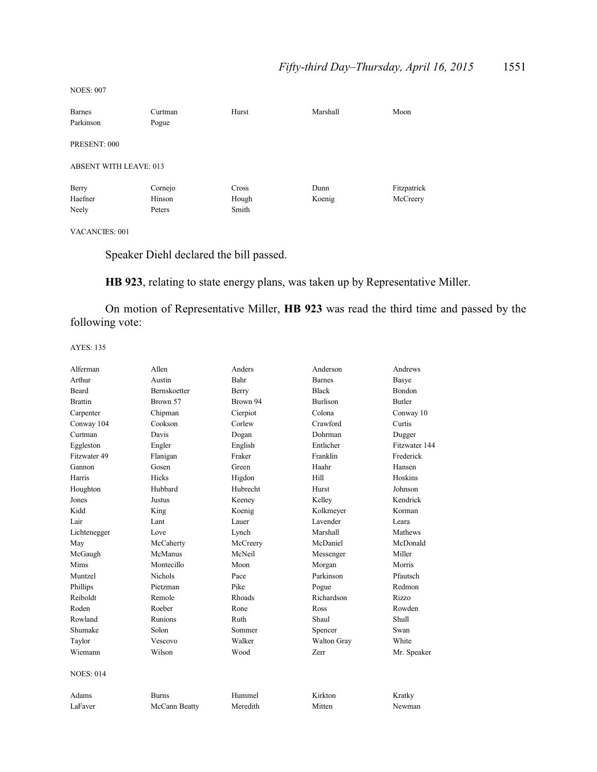NOES: 007

| Barnes<br>Parkinson           | Curtman<br>Pogue | Hurst | Marshall | Moon        |
|-------------------------------|------------------|-------|----------|-------------|
| PRESENT: 000                  |                  |       |          |             |
| <b>ABSENT WITH LEAVE: 013</b> |                  |       |          |             |
| Berry                         | Cornejo          | Cross | Dunn     | Fitzpatrick |
| Haefner                       | Hinson           | Hough | Koenig   | McCreery    |
| Neely                         | Peters           | Smith |          |             |

VACANCIES: 001

Speaker Diehl declared the bill passed.

**HB 923**, relating to state energy plans, was taken up by Representative Miller.

On motion of Representative Miller, **HB 923** was read the third time and passed by the following vote:

| Alferman         | Allen               | Anders   | Anderson        | Andrews       |
|------------------|---------------------|----------|-----------------|---------------|
| Arthur           | Austin              | Bahr     | <b>Barnes</b>   | Basye         |
| Beard            | <b>Bernskoetter</b> | Berry    | <b>Black</b>    | <b>Bondon</b> |
| <b>Brattin</b>   | Brown 57            | Brown 94 | <b>Burlison</b> | <b>Butler</b> |
| Carpenter        | Chipman             | Cierpiot | Colona          | Conway 10     |
| Conway 104       | Cookson             | Corlew   | Crawford        | Curtis        |
| Curtman          | Davis               | Dogan    | Dohrman         | Dugger        |
| Eggleston        | Engler              | English  | Entlicher       | Fitzwater 144 |
| Fitzwater 49     | Flanigan            | Fraker   | Franklin        | Frederick     |
| Gannon           | Gosen               | Green    | Haahr           | Hansen        |
| Harris           | Hicks               | Higdon   | Hill            | Hoskins       |
| Houghton         | Hubbard             | Hubrecht | Hurst           | Johnson       |
| Jones            | Justus              | Keeney   | Kelley          | Kendrick      |
| Kidd             | King                | Koenig   | Kolkmeyer       | Korman        |
| Lair             | Lant                | Lauer    | Lavender        | Leara         |
| Lichtenegger     | Love                | Lynch    | Marshall        | Mathews       |
| May              | McCaherty           | McCreery | McDaniel        | McDonald      |
| McGaugh          | McManus             | McNeil   | Messenger       | Miller        |
| Mims             | Montecillo          | Moon     | Morgan          | Morris        |
| Muntzel          | <b>Nichols</b>      | Pace     | Parkinson       | Pfautsch      |
| Phillips         | Pietzman            | Pike     | Pogue           | Redmon        |
| Reiboldt         | Remole              | Rhoads   | Richardson      | Rizzo         |
| Roden            | Roeber              | Rone     | <b>Ross</b>     | Rowden        |
| Rowland          | Runions             | Ruth     | Shaul           | Shull         |
| Shumake          | Solon               | Sommer   | Spencer         | Swan          |
| Taylor           | Vescovo             | Walker   | Walton Gray     | White         |
| Wiemann          | Wilson              | Wood     | Zerr            | Mr. Speaker   |
| <b>NOES: 014</b> |                     |          |                 |               |
| Adams            | <b>Burns</b>        | Hummel   | Kirkton         | Kratky        |
| LaFaver          | McCann Beatty       | Meredith | Mitten          | Newman        |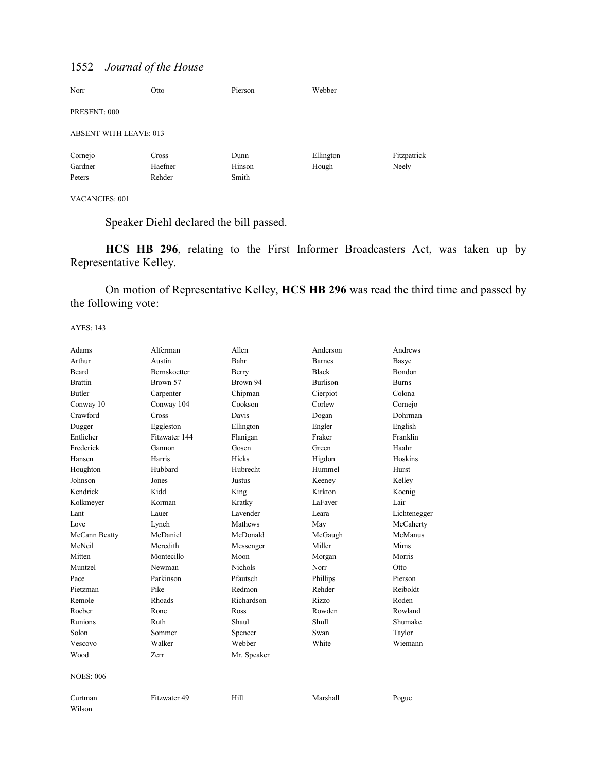| Norr                          | Otto    | Pierson | Webber    |             |
|-------------------------------|---------|---------|-----------|-------------|
| PRESENT: 000                  |         |         |           |             |
| <b>ABSENT WITH LEAVE: 013</b> |         |         |           |             |
| Cornejo                       | Cross   | Dunn    | Ellington | Fitzpatrick |
| Gardner                       | Haefner | Hinson  | Hough     | Neely       |
| Peters                        | Rehder  | Smith   |           |             |

VACANCIES: 001

Speaker Diehl declared the bill passed.

**HCS HB 296**, relating to the First Informer Broadcasters Act, was taken up by Representative Kelley.

On motion of Representative Kelley, **HCS HB 296** was read the third time and passed by the following vote:

| Adams            | Alferman            | Allen          | Anderson        | Andrews      |
|------------------|---------------------|----------------|-----------------|--------------|
| Arthur           | Austin              | Bahr           | <b>Barnes</b>   | Basye        |
| <b>Beard</b>     | <b>Bernskoetter</b> | Berry          | <b>Black</b>    | Bondon       |
| <b>Brattin</b>   | Brown 57            | Brown 94       | <b>Burlison</b> | <b>Burns</b> |
| <b>Butler</b>    | Carpenter           | Chipman        | Cierpiot        | Colona       |
| Conway 10        | Conway 104          | Cookson        | Corlew          | Cornejo      |
| Crawford         | Cross               | Davis          | Dogan           | Dohrman      |
| Dugger           | Eggleston           | Ellington      | Engler          | English      |
| Entlicher        | Fitzwater 144       | Flanigan       | Fraker          | Franklin     |
| Frederick        | Gannon              | Gosen          | Green           | Haahr        |
| Hansen           | Harris              | <b>Hicks</b>   | Higdon          | Hoskins      |
| Houghton         | Hubbard             | Hubrecht       | Hummel          | Hurst        |
| Johnson          | Jones               | Justus         | Keeney          | Kelley       |
| Kendrick         | Kidd                | King           | Kirkton         | Koenig       |
| Kolkmeyer        | Korman              | Kratky         | LaFaver         | Lair         |
| Lant             | Lauer               | Lavender       | Leara           | Lichtenegger |
| Love             | Lynch               | Mathews        | May             | McCaherty    |
| McCann Beatty    | McDaniel            | McDonald       | McGaugh         | McManus      |
| McNeil           | Meredith            | Messenger      | Miller          | Mims         |
| Mitten           | Montecillo          | Moon           | Morgan          | Morris       |
| Muntzel          | Newman              | <b>Nichols</b> | Norr            | Otto         |
| Pace             | Parkinson           | Pfautsch       | Phillips        | Pierson      |
| Pietzman         | Pike                | Redmon         | Rehder          | Reiboldt     |
| Remole           | Rhoads              | Richardson     | Rizzo           | Roden        |
| Roeber           | Rone                | Ross           | Rowden          | Rowland      |
| Runions          | Ruth                | Shaul          | Shull           | Shumake      |
| Solon            | Sommer              | Spencer        | Swan            | Taylor       |
| Vescovo          | Walker              | Webber         | White           | Wiemann      |
| Wood             | Zerr                | Mr. Speaker    |                 |              |
| <b>NOES: 006</b> |                     |                |                 |              |
| Curtman          | Fitzwater 49        | Hill           | Marshall        | Pogue        |
| Wilson           |                     |                |                 |              |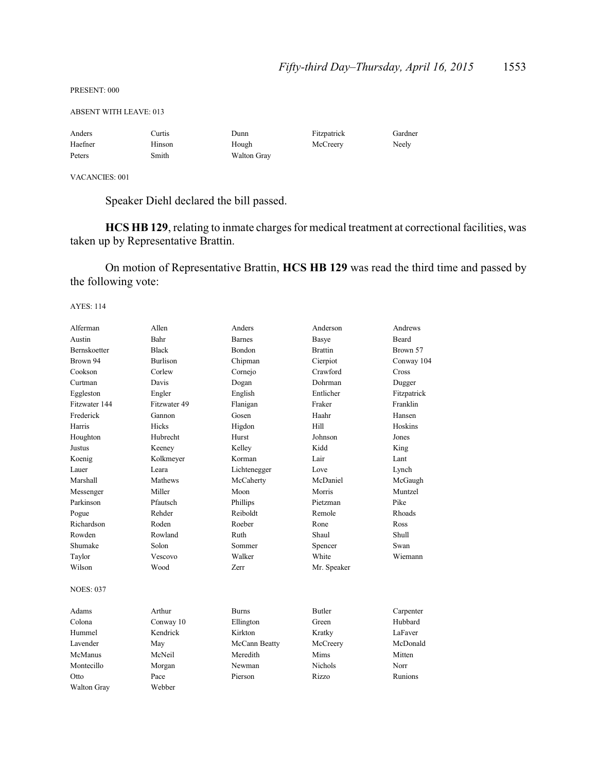PRESENT: 000

ABSENT WITH LEAVE: 013

| Anders  | Curtis | Dunn        | Fitzpatrick | Gardner |
|---------|--------|-------------|-------------|---------|
| Haefner | Hinson | Hough       | McCreery    | Neelv   |
| Peters  | Smith  | Walton Gray |             |         |

VACANCIES: 001

Speaker Diehl declared the bill passed.

**HCS HB 129**, relating to inmate charges for medical treatment at correctional facilities, was taken up by Representative Brattin.

On motion of Representative Brattin, **HCS HB 129** was read the third time and passed by the following vote:

| Alferman            | Allen           | Anders        | Anderson       | Andrews      |
|---------------------|-----------------|---------------|----------------|--------------|
| Austin              | <b>Bahr</b>     | <b>Barnes</b> | Basye          | <b>Beard</b> |
| <b>Bernskoetter</b> | <b>Black</b>    | Bondon        | <b>Brattin</b> | Brown 57     |
| Brown 94            | <b>Burlison</b> | Chipman       | Cierpiot       | Conway 104   |
| Cookson             | Corlew          | Cornejo       | Crawford       | Cross        |
| Curtman             | Davis           | Dogan         | Dohrman        | Dugger       |
| Eggleston           | Engler          | English       | Entlicher      | Fitzpatrick  |
| Fitzwater 144       | Fitzwater 49    | Flanigan      | Fraker         | Franklin     |
| Frederick           | Gannon          | Gosen         | Haahr          | Hansen       |
| Harris              | Hicks           | Higdon        | Hill           | Hoskins      |
| Houghton            | Hubrecht        | Hurst         | Johnson        | Jones        |
| Justus              | Keeney          | Kelley        | Kidd           | King         |
| Koenig              | Kolkmeyer       | Korman        | Lair           | Lant         |
| Lauer               | Leara           | Lichtenegger  | Love           | Lynch        |
| Marshall            | <b>Mathews</b>  | McCaherty     | McDaniel       | McGaugh      |
| Messenger           | Miller          | Moon          | Morris         | Muntzel      |
| Parkinson           | Pfautsch        | Phillips      | Pietzman       | Pike         |
| Pogue               | Rehder          | Reiboldt      | Remole         | Rhoads       |
| Richardson          | Roden           | Roeber        | Rone           | Ross         |
| Rowden              | Rowland         | Ruth          | Shaul          | Shull        |
| Shumake             | Solon           | Sommer        | Spencer        | Swan         |
| Taylor              | Vescovo         | Walker        | White          | Wiemann      |
| Wilson              | Wood            | <b>Zerr</b>   | Mr. Speaker    |              |
| <b>NOES: 037</b>    |                 |               |                |              |
| Adams               | Arthur          | <b>Burns</b>  | <b>Butler</b>  | Carpenter    |
| Colona              | Conway 10       | Ellington     | Green          | Hubbard      |
| Hummel              | Kendrick        | Kirkton       | Kratky         | LaFaver      |
| Lavender            | May             | McCann Beatty | McCreery       | McDonald     |
| McManus             | McNeil          | Meredith      | Mims           | Mitten       |
| Montecillo          | Morgan          | Newman        | <b>Nichols</b> | Norr         |
| Otto                | Pace            | Pierson       | Rizzo          | Runions      |
| <b>Walton Gray</b>  | Webber          |               |                |              |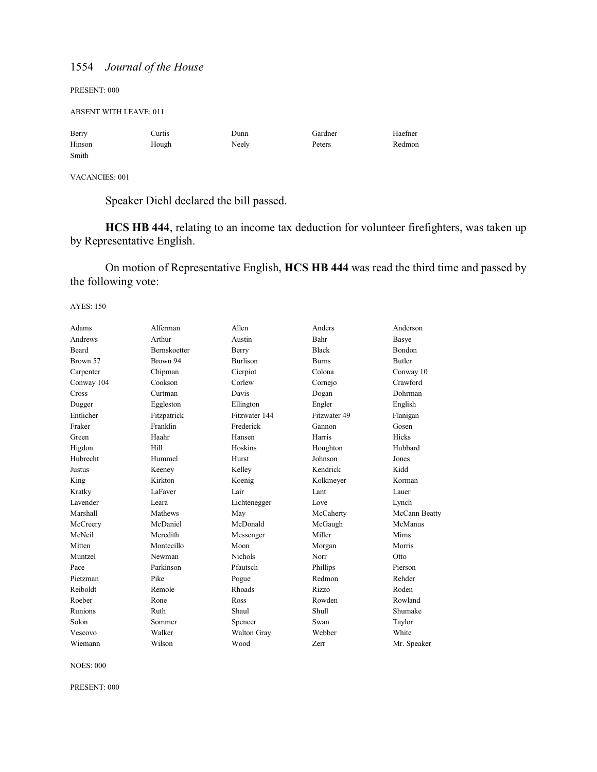PRESENT: 000

ABSENT WITH LEAVE: 011

| Berry  | Curtis | Dunn  | Gardner | Haefner |
|--------|--------|-------|---------|---------|
| Hinson | Hough  | Neely | Peters  | Redmon  |
| Smith  |        |       |         |         |

VACANCIES: 001

Speaker Diehl declared the bill passed.

**HCS HB 444**, relating to an income tax deduction for volunteer firefighters, was taken up by Representative English.

On motion of Representative English, **HCS HB 444** was read the third time and passed by the following vote:

AYES: 150

| Alferman            | Allen              | Anders       | Anderson      |
|---------------------|--------------------|--------------|---------------|
| Arthur              | Austin             | Bahr         | Basye         |
| <b>Bernskoetter</b> | Berry              | <b>Black</b> | <b>Bondon</b> |
| Brown 94            | <b>Burlison</b>    | <b>Burns</b> | <b>Butler</b> |
| Chipman             | Cierpiot           | Colona       | Conway 10     |
| Cookson             | Corlew             | Cornejo      | Crawford      |
| Curtman             | Davis              | Dogan        | Dohrman       |
| Eggleston           | Ellington          | Engler       | English       |
| Fitzpatrick         | Fitzwater 144      | Fitzwater 49 | Flanigan      |
| Franklin            | Frederick          | Gannon       | Gosen         |
| Haahr               | Hansen             | Harris       | Hicks         |
| Hill                | Hoskins            | Houghton     | Hubbard       |
| Hummel              | Hurst              | Johnson      | Jones         |
| Keeney              | Kelley             | Kendrick     | Kidd          |
| Kirkton             | Koenig             | Kolkmeyer    | Korman        |
| LaFaver             | Lair               | Lant         | Lauer         |
| Leara               | Lichtenegger       | Love         | Lynch         |
| Mathews             | May                | McCaherty    | McCann Beatty |
| McDaniel            | McDonald           | McGaugh      | McManus       |
| Meredith            | Messenger          | Miller       | Mims          |
| Montecillo          | Moon               | Morgan       | Morris        |
| Newman              | <b>Nichols</b>     | Norr         | Otto          |
| Parkinson           | Pfautsch           | Phillips     | Pierson       |
| Pike                | Pogue              | Redmon       | Rehder        |
| Remole              | Rhoads             | Rizzo        | Roden         |
| Rone                | Ross               | Rowden       | Rowland       |
| Ruth                | Shaul              | Shull        | Shumake       |
| Sommer              | Spencer            | Swan         | Taylor        |
| Walker              | <b>Walton Gray</b> | Webber       | White         |
| Wilson              | Wood               | Zerr         | Mr. Speaker   |
|                     |                    |              |               |

NOES: 000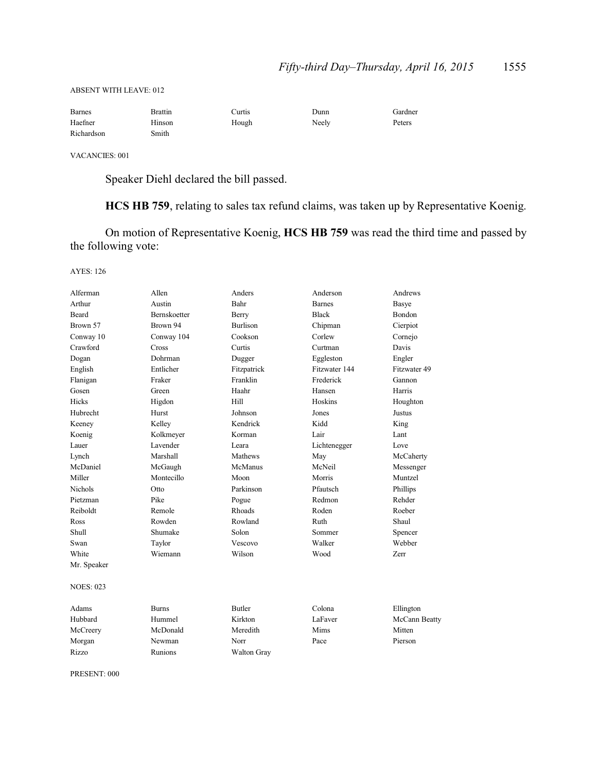#### ABSENT WITH LEAVE: 012

| <b>Barnes</b> | Brattin | Curtis | Dunn  | Gardner |
|---------------|---------|--------|-------|---------|
| Haefner       | Hinson  | Hough  | Neely | Peters  |
| Richardson    | Smith   |        |       |         |

VACANCIES: 001

Speaker Diehl declared the bill passed.

**HCS HB 759**, relating to sales tax refund claims, was taken up by Representative Koenig.

On motion of Representative Koenig, **HCS HB 759** was read the third time and passed by the following vote:

AYES: 126

| Alferman         | Allen        | Anders             | Anderson      | Andrews       |
|------------------|--------------|--------------------|---------------|---------------|
| Arthur           | Austin       | Bahr               | <b>Barnes</b> | Basye         |
| Beard            | Bernskoetter | Berry              | <b>Black</b>  | Bondon        |
| Brown 57         | Brown 94     | <b>Burlison</b>    | Chipman       | Cierpiot      |
| Conway 10        | Conway 104   | Cookson            | Corlew        | Cornejo       |
| Crawford         | Cross        | Curtis             | Curtman       | <b>Davis</b>  |
| Dogan            | Dohrman      | Dugger             | Eggleston     | Engler        |
| English          | Entlicher    | Fitzpatrick        | Fitzwater 144 | Fitzwater 49  |
| Flanigan         | Fraker       | Franklin           | Frederick     | Gannon        |
| Gosen            | Green        | Haahr              | Hansen        | Harris        |
| Hicks            | Higdon       | Hill               | Hoskins       | Houghton      |
| Hubrecht         | Hurst        | Johnson            | Jones         | Justus        |
| Keeney           | Kelley       | Kendrick           | Kidd          | King          |
| Koenig           | Kolkmeyer    | Korman             | Lair          | Lant          |
| Lauer            | Lavender     | Leara              | Lichtenegger  | Love          |
| Lynch            | Marshall     | Mathews            | May           | McCaherty     |
| McDaniel         | McGaugh      | McManus            | McNeil        | Messenger     |
| Miller           | Montecillo   | Moon               | Morris        | Muntzel       |
| <b>Nichols</b>   | Otto         | Parkinson          | Pfautsch      | Phillips      |
| Pietzman         | Pike         | Pogue              | Redmon        | Rehder        |
| Reiboldt         | Remole       | Rhoads             | Roden         | Roeber        |
| Ross             | Rowden       | Rowland            | Ruth          | Shaul         |
| Shull            | Shumake      | Solon              | Sommer        | Spencer       |
| Swan             | Taylor       | Vescovo            | Walker        | Webber        |
| White            | Wiemann      | Wilson             | Wood          | Zerr          |
| Mr. Speaker      |              |                    |               |               |
| <b>NOES: 023</b> |              |                    |               |               |
| Adams            | <b>Burns</b> | <b>Butler</b>      | Colona        | Ellington     |
| Hubbard          | Hummel       | Kirkton            | LaFaver       | McCann Beatty |
| McCreery         | McDonald     | Meredith           | Mims          | Mitten        |
| Morgan           | Newman       | Norr               | Pace          | Pierson       |
| Rizzo            | Runions      | <b>Walton Gray</b> |               |               |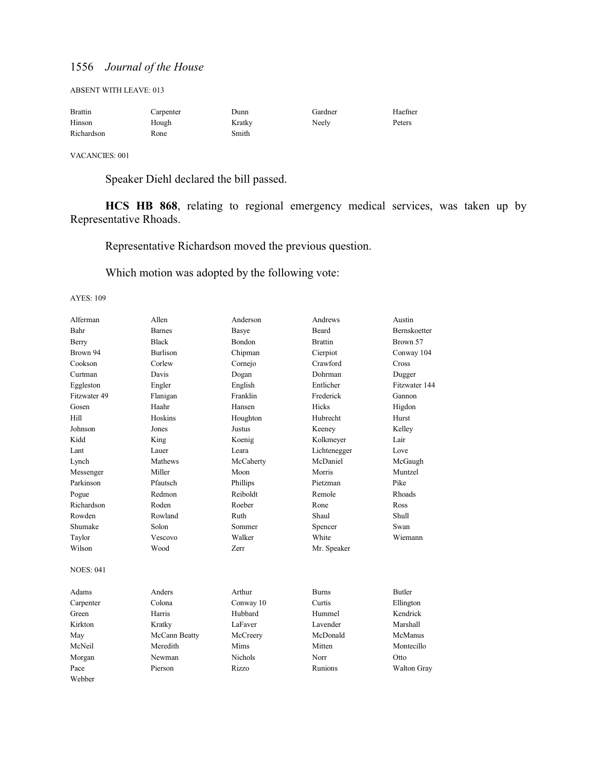ABSENT WITH LEAVE: 013

| <b>Brattin</b> | Carpenter | Dunn   | Gardner | Haefner |
|----------------|-----------|--------|---------|---------|
| Hinson         | Hough     | Kratky | Neelv   | Peters  |
| Richardson     | Rone      | Smith  |         |         |

VACANCIES: 001

Speaker Diehl declared the bill passed.

**HCS HB 868**, relating to regional emergency medical services, was taken up by Representative Rhoads.

Representative Richardson moved the previous question.

Which motion was adopted by the following vote:

| Alferman         | Allen           | Anderson       | Andrews        | Austin              |
|------------------|-----------------|----------------|----------------|---------------------|
| Bahr             | <b>Barnes</b>   | Basye          | <b>Beard</b>   | <b>Bernskoetter</b> |
| Berry            | <b>Black</b>    | <b>Bondon</b>  | <b>Brattin</b> | Brown 57            |
| Brown 94         | <b>Burlison</b> | Chipman        | Cierpiot       | Conway 104          |
| Cookson          | Corlew          | Cornejo        | Crawford       | Cross               |
| Curtman          | Davis           | Dogan          | Dohrman        | Dugger              |
| Eggleston        | Engler          | English        | Entlicher      | Fitzwater 144       |
| Fitzwater 49     | Flanigan        | Franklin       | Frederick      | Gannon              |
| Gosen            | Haahr           | Hansen         | Hicks          | Higdon              |
| Hill             | Hoskins         | Houghton       | Hubrecht       | Hurst               |
| Johnson          | Jones           | Justus         | Keeney         | Kelley              |
| Kidd             | King            | Koenig         | Kolkmeyer      | Lair                |
| Lant             | Lauer           | Leara          | Lichtenegger   | Love                |
| Lynch            | Mathews         | McCaherty      | McDaniel       | McGaugh             |
| Messenger        | Miller          | Moon           | Morris         | Muntzel             |
| Parkinson        | Pfautsch        | Phillips       | Pietzman       | Pike                |
| Pogue            | Redmon          | Reiboldt       | Remole         | Rhoads              |
| Richardson       | Roden           | Roeber         | Rone           | Ross                |
| Rowden           | Rowland         | Ruth           | Shaul          | Shull               |
| Shumake          | Solon           | Sommer         | Spencer        | Swan                |
| Taylor           | Vescovo         | Walker         | White          | Wiemann             |
| Wilson           | Wood            | Zerr           | Mr. Speaker    |                     |
| <b>NOES: 041</b> |                 |                |                |                     |
| Adams            | Anders          | Arthur         | <b>Burns</b>   | <b>Butler</b>       |
| Carpenter        | Colona          | Conway 10      | Curtis         | Ellington           |
| Green            | Harris          | Hubbard        | Hummel         | Kendrick            |
| Kirkton          | Kratky          | LaFaver        | Lavender       | Marshall            |
| May              | McCann Beatty   | McCreery       | McDonald       | McManus             |
| McNeil           | Meredith        | Mims           | Mitten         | Montecillo          |
| Morgan           | Newman          | <b>Nichols</b> | Norr           | Otto                |
| Pace             | Pierson         | Rizzo          | Runions        | Walton Gray         |
| Webber           |                 |                |                |                     |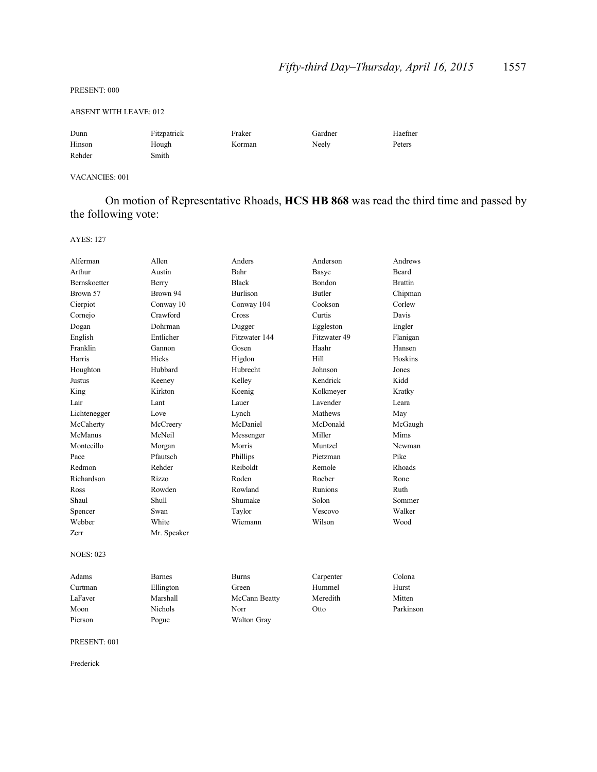#### PRESENT: 000

### ABSENT WITH LEAVE: 012

| Dunn   | Fitzpatrick | Fraker | Gardner | Haefner |
|--------|-------------|--------|---------|---------|
| Hinson | Hough       | Korman | Neely   | Peters  |
| Rehder | Smith       |        |         |         |

### VACANCIES: 001

# On motion of Representative Rhoads, **HCS HB 868** was read the third time and passed by the following vote:

### AYES: 127

| Alferman            | Allen          | Anders          | Anderson      | Andrews        |
|---------------------|----------------|-----------------|---------------|----------------|
| Arthur              | Austin         | Bahr            | Basye         | <b>Beard</b>   |
| <b>Bernskoetter</b> | Berry          | <b>Black</b>    | <b>Bondon</b> | <b>Brattin</b> |
| Brown 57            | Brown 94       | <b>Burlison</b> | <b>Butler</b> | Chipman        |
| Cierpiot            | Conway 10      | Conway 104      | Cookson       | Corlew         |
| Cornejo             | Crawford       | <b>Cross</b>    | Curtis        | Davis          |
| Dogan               | Dohrman        | Dugger          | Eggleston     | Engler         |
| English             | Entlicher      | Fitzwater 144   | Fitzwater 49  | Flanigan       |
| Franklin            | Gannon         | Gosen           | Haahr         | Hansen         |
| Harris              | Hicks          | Higdon          | Hill          | Hoskins        |
| Houghton            | Hubbard        | Hubrecht        | Johnson       | Jones          |
| Justus              | Keeney         | Kelley          | Kendrick      | Kidd           |
| King                | Kirkton        | Koenig          | Kolkmeyer     | Kratky         |
| Lair                | Lant           | Lauer           | Lavender      | Leara          |
| Lichtenegger        | Love           | Lynch           | Mathews       | May            |
| McCaherty           | McCreery       | McDaniel        | McDonald      | McGaugh        |
| McManus             | McNeil         | Messenger       | Miller        | Mims           |
| Montecillo          | Morgan         | Morris          | Muntzel       | Newman         |
| Pace                | Pfautsch       | Phillips        | Pietzman      | Pike           |
| Redmon              | Rehder         | Reiboldt        | Remole        | Rhoads         |
| Richardson          | Rizzo          | Roden           | Roeber        | Rone           |
| Ross                | Rowden         | Rowland         | Runions       | Ruth           |
| Shaul               | Shull          | Shumake         | Solon         | Sommer         |
| Spencer             | Swan           | Taylor          | Vescovo       | Walker         |
| Webber              | White          | Wiemann         | Wilson        | Wood           |
| Zerr                | Mr. Speaker    |                 |               |                |
| <b>NOES: 023</b>    |                |                 |               |                |
| Adams               | <b>Barnes</b>  | <b>Burns</b>    | Carpenter     | Colona         |
| Curtman             | Ellington      | Green           | Hummel        | Hurst          |
| LaFaver             | Marshall       | McCann Beatty   | Meredith      | Mitten         |
| Moon                | <b>Nichols</b> | Norr            | Otto          | Parkinson      |
| Pierson             | Pogue          | Walton Gray     |               |                |

#### PRESENT: 001

Frederick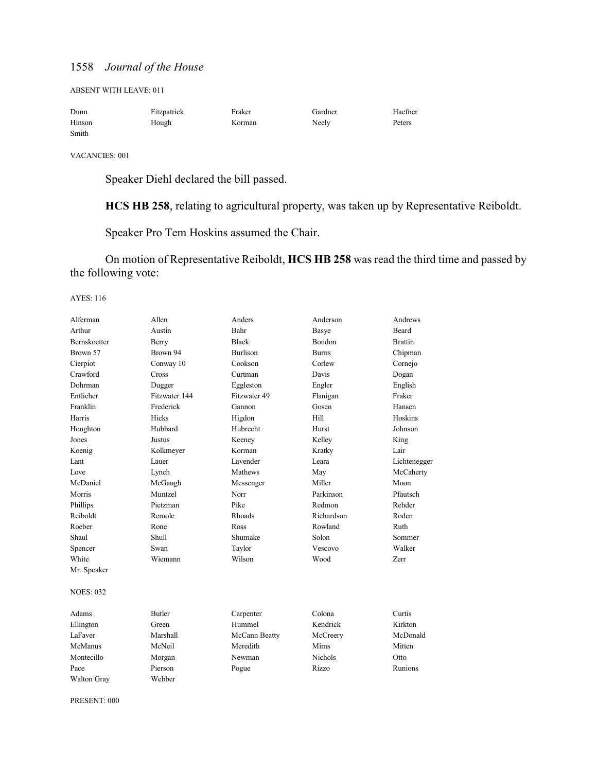| <b>ABSENT WITH LEAVE: 011</b> |  |  |  |
|-------------------------------|--|--|--|
|-------------------------------|--|--|--|

| Dunn   | Fitzpatrick | Fraker | Gardner | Haefner |
|--------|-------------|--------|---------|---------|
| Hinson | Hough       | Korman | Neely   | Peters  |
| Smith  |             |        |         |         |

VACANCIES: 001

Speaker Diehl declared the bill passed.

**HCS HB 258**, relating to agricultural property, was taken up by Representative Reiboldt.

Speaker Pro Tem Hoskins assumed the Chair.

On motion of Representative Reiboldt, **HCS HB 258** was read the third time and passed by the following vote:

AYES: 116

| Alferman           | Allen         | Anders          | Anderson       | Andrews        |
|--------------------|---------------|-----------------|----------------|----------------|
| Arthur             | Austin        | Bahr            | Basye          | <b>Beard</b>   |
| Bernskoetter       | Berry         | <b>Black</b>    | Bondon         | <b>Brattin</b> |
| Brown 57           | Brown 94      | <b>Burlison</b> | <b>Burns</b>   | Chipman        |
| Cierpiot           | Conway 10     | Cookson         | Corlew         | Cornejo        |
| Crawford           | Cross         | Curtman         | Davis          | Dogan          |
| Dohrman            | Dugger        | Eggleston       | Engler         | English        |
| Entlicher          | Fitzwater 144 | Fitzwater 49    | Flanigan       | Fraker         |
| Franklin           | Frederick     | Gannon          | Gosen          | Hansen         |
| Harris             | Hicks         | Higdon          | Hill           | Hoskins        |
| Houghton           | Hubbard       | Hubrecht        | Hurst          | Johnson        |
| Jones              | Justus        | Keeney          | Kelley         | King           |
| Koenig             | Kolkmeyer     | Korman          | Kratky         | Lair           |
| Lant               | Lauer         | Lavender        | Leara          | Lichtenegger   |
| Love               | Lynch         | Mathews         | May            | McCaherty      |
| McDaniel           | McGaugh       | Messenger       | Miller         | Moon           |
| Morris             | Muntzel       | Norr            | Parkinson      | Pfautsch       |
| Phillips           | Pietzman      | Pike            | Redmon         | Rehder         |
| Reiboldt           | Remole        | Rhoads          | Richardson     | Roden          |
| Roeber             | Rone          | Ross            | Rowland        | Ruth           |
| Shaul              | Shull         | Shumake         | Solon          | Sommer         |
| Spencer            | Swan          | Taylor          | Vescovo        | Walker         |
| White              | Wiemann       | Wilson          | Wood           | Zerr           |
| Mr. Speaker        |               |                 |                |                |
| <b>NOES: 032</b>   |               |                 |                |                |
| Adams              | <b>Butler</b> | Carpenter       | Colona         | Curtis         |
| Ellington          | Green         | Hummel          | Kendrick       | Kirkton        |
| LaFaver            | Marshall      | McCann Beatty   | McCreery       | McDonald       |
| McManus            | McNeil        | Meredith        | Mims           | Mitten         |
| Montecillo         | Morgan        | Newman          | <b>Nichols</b> | Otto           |
| Pace               | Pierson       | Pogue           | Rizzo          | Runions        |
| <b>Walton Gray</b> | Webber        |                 |                |                |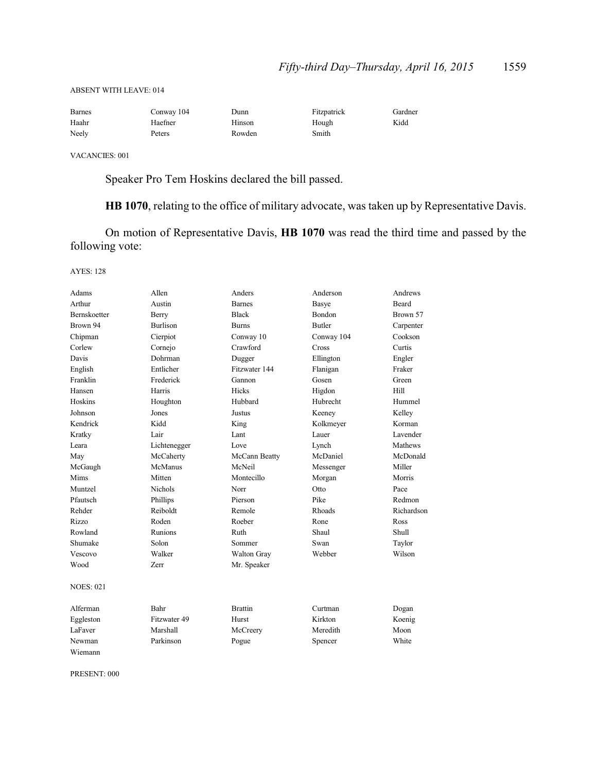#### ABSENT WITH LEAVE: 014

| <b>Barnes</b> | Conway 104 | Dunn   | Fitzpatrick | Gardner |
|---------------|------------|--------|-------------|---------|
| Haahr         | Haefner    | Hinson | Hough       | Kidd    |
| Neely         | Peters     | Rowden | Smith       |         |

VACANCIES: 001

Speaker Pro Tem Hoskins declared the bill passed.

**HB 1070**, relating to the office of military advocate, was taken up by Representative Davis.

On motion of Representative Davis, **HB 1070** was read the third time and passed by the following vote:

AYES: 128

| Adams               | Allen           | Anders         | Anderson      | Andrews      |
|---------------------|-----------------|----------------|---------------|--------------|
| Arthur              | Austin          | <b>Barnes</b>  | Basye         | <b>Beard</b> |
| <b>Bernskoetter</b> | Berry           | <b>Black</b>   | Bondon        | Brown 57     |
| Brown 94            | <b>Burlison</b> | <b>Burns</b>   | <b>Butler</b> | Carpenter    |
| Chipman             | Cierpiot        | Conway 10      | Conway 104    | Cookson      |
| Corlew              | Cornejo         | Crawford       | Cross         | Curtis       |
| Davis               | Dohrman         | Dugger         | Ellington     | Engler       |
| English             | Entlicher       | Fitzwater 144  | Flanigan      | Fraker       |
| Franklin            | Frederick       | Gannon         | Gosen         | Green        |
| Hansen              | Harris          | Hicks          | Higdon        | Hill         |
| Hoskins             | Houghton        | Hubbard        | Hubrecht      | Hummel       |
| Johnson             | Jones           | Justus         | Keeney        | Kelley       |
| Kendrick            | Kidd            | King           | Kolkmeyer     | Korman       |
| Kratky              | Lair            | Lant           | Lauer         | Lavender     |
| Leara               | Lichtenegger    | Love           | Lynch         | Mathews      |
| May                 | McCaherty       | McCann Beatty  | McDaniel      | McDonald     |
| McGaugh             | McManus         | McNeil         | Messenger     | Miller       |
| Mims                | Mitten          | Montecillo     | Morgan        | Morris       |
| Muntzel             | <b>Nichols</b>  | Norr           | Otto          | Pace         |
| Pfautsch            | Phillips        | Pierson        | Pike          | Redmon       |
| Rehder              | Reiboldt        | Remole         | <b>Rhoads</b> | Richardson   |
| Rizzo               | Roden           | Roeber         | Rone          | Ross         |
| Rowland             | <b>Runions</b>  | Ruth           | Shaul         | Shull        |
| Shumake             | Solon           | Sommer         | Swan          | Taylor       |
| Vescovo             | Walker          | Walton Gray    | Webber        | Wilson       |
| Wood                | <b>Zerr</b>     | Mr. Speaker    |               |              |
| <b>NOES: 021</b>    |                 |                |               |              |
| Alferman            | Bahr            | <b>Brattin</b> | Curtman       | Dogan        |
| Eggleston           | Fitzwater 49    | Hurst          | Kirkton       | Koenig       |
| LaFaver             | Marshall        | McCreery       | Meredith      | Moon         |
| Newman              | Parkinson       | Pogue          | Spencer       | White        |
| Wiemann             |                 |                |               |              |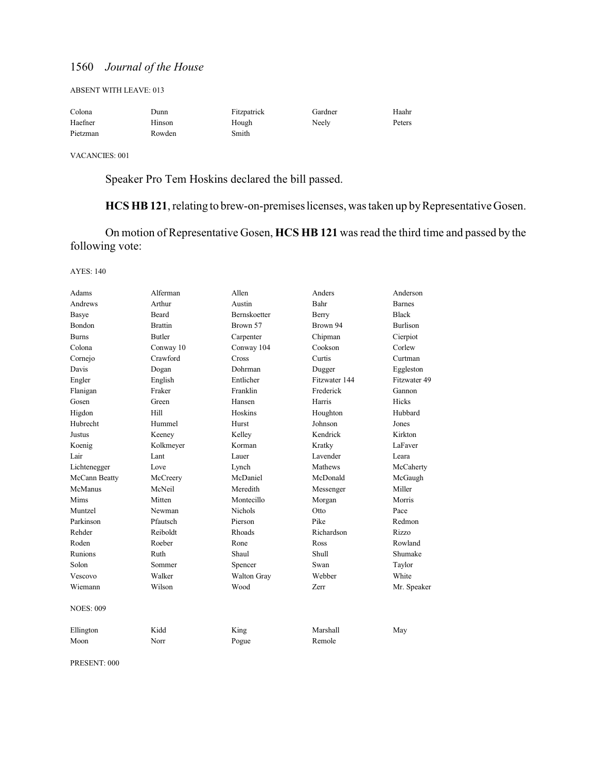ABSENT WITH LEAVE: 013

| Colona   | Dunn   | Fitzpatrick | Gardner | Haahr  |
|----------|--------|-------------|---------|--------|
| Haefner  | Hinson | Hough       | Neely   | Peters |
| Pietzman | Rowden | Smith       |         |        |

VACANCIES: 001

Speaker Pro Tem Hoskins declared the bill passed.

HCS HB 121, relating to brew-on-premises licenses, was taken up by Representative Gosen.

On motion of Representative Gosen, **HCS HB 121** was read the third time and passed by the following vote:

AYES: 140

| Adams            | Alferman       | Allen          | Anders        | Anderson        |
|------------------|----------------|----------------|---------------|-----------------|
| Andrews          | Arthur         | Austin         | Bahr          | <b>Barnes</b>   |
| Basye            | <b>Beard</b>   | Bernskoetter   | Berry         | <b>Black</b>    |
| Bondon           | <b>Brattin</b> | Brown 57       | Brown 94      | <b>Burlison</b> |
| <b>Burns</b>     | <b>Butler</b>  | Carpenter      | Chipman       | Cierpiot        |
| Colona           | Conway 10      | Conway 104     | Cookson       | Corlew          |
| Cornejo          | Crawford       | Cross          | Curtis        | Curtman         |
| Davis            | Dogan          | Dohrman        | Dugger        | Eggleston       |
| Engler           | English        | Entlicher      | Fitzwater 144 | Fitzwater 49    |
| Flanigan         | Fraker         | Franklin       | Frederick     | Gannon          |
| Gosen            | Green          | Hansen         | Harris        | Hicks           |
| Higdon           | Hill           | Hoskins        | Houghton      | Hubbard         |
| Hubrecht         | Hummel         | Hurst          | Johnson       | Jones           |
| Justus           | Keeney         | Kelley         | Kendrick      | Kirkton         |
| Koenig           | Kolkmeyer      | Korman         | Kratky        | LaFaver         |
| Lair             | Lant           | Lauer          | Lavender      | Leara           |
| Lichtenegger     | Love           | Lynch          | Mathews       | McCaherty       |
| McCann Beatty    | McCreery       | McDaniel       | McDonald      | McGaugh         |
| McManus          | McNeil         | Meredith       | Messenger     | Miller          |
| Mims             | Mitten         | Montecillo     | Morgan        | Morris          |
| Muntzel          | Newman         | <b>Nichols</b> | Otto          | Pace            |
| Parkinson        | Pfautsch       | Pierson        | Pike          | Redmon          |
| Rehder           | Reiboldt       | Rhoads         | Richardson    | Rizzo           |
| Roden            | Roeber         | Rone           | Ross          | Rowland         |
| Runions          | Ruth           | Shaul          | Shull         | Shumake         |
| Solon            | Sommer         | Spencer        | Swan          | Taylor          |
| Vescovo          | Walker         | Walton Gray    | Webber        | White           |
| Wiemann          | Wilson         | Wood           | Zerr          | Mr. Speaker     |
| <b>NOES: 009</b> |                |                |               |                 |
| Ellington        | Kidd           | King           | Marshall      | May             |
| Moon             | Norr           | Pogue          | Remole        |                 |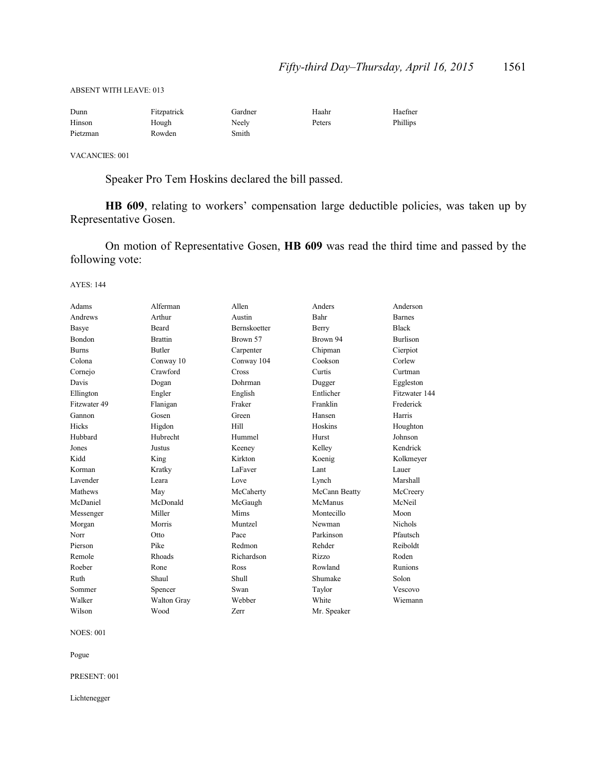ABSENT WITH LEAVE: 013

| Dunn     | Fitzpatrick | Gardner | Haahr  | Haefner  |
|----------|-------------|---------|--------|----------|
| Hinson   | Hough       | Neely   | Peters | Phillips |
| Pietzman | Rowden      | Smith   |        |          |

VACANCIES: 001

Speaker Pro Tem Hoskins declared the bill passed.

HB 609, relating to workers' compensation large deductible policies, was taken up by Representative Gosen.

On motion of Representative Gosen, **HB 609** was read the third time and passed by the following vote:

AYES: 144

| Adams        | Alferman       | Allen               | Anders        | Anderson        |
|--------------|----------------|---------------------|---------------|-----------------|
| Andrews      | Arthur         | Austin              | Bahr          | <b>Barnes</b>   |
| Basye        | Beard          | <b>Bernskoetter</b> | Berry         | <b>Black</b>    |
| Bondon       | <b>Brattin</b> | Brown 57            | Brown 94      | <b>Burlison</b> |
| <b>Burns</b> | <b>Butler</b>  | Carpenter           | Chipman       | Cierpiot        |
| Colona       | Conway 10      | Conway 104          | Cookson       | Corlew          |
| Cornejo      | Crawford       | Cross               | Curtis        | Curtman         |
| Davis        | Dogan          | Dohrman             | Dugger        | Eggleston       |
| Ellington    | Engler         | English             | Entlicher     | Fitzwater 144   |
| Fitzwater 49 | Flanigan       | Fraker              | Franklin      | Frederick       |
| Gannon       | Gosen          | Green               | Hansen        | Harris          |
| Hicks        | Higdon         | Hill                | Hoskins       | Houghton        |
| Hubbard      | Hubrecht       | Hummel              | Hurst         | Johnson         |
| Jones        | Justus         | Keeney              | Kelley        | Kendrick        |
| Kidd         | King           | Kirkton             | Koenig        | Kolkmeyer       |
| Korman       | Kratky         | LaFaver             | Lant          | Lauer           |
| Lavender     | Leara          | Love                | Lynch         | Marshall        |
| Mathews      | May            | McCaherty           | McCann Beatty | McCreery        |
| McDaniel     | McDonald       | McGaugh             | McManus       | McNeil          |
| Messenger    | Miller         | Mims                | Montecillo    | Moon            |
| Morgan       | Morris         | Muntzel             | Newman        | Nichols         |
| Norr         | Otto           | Pace                | Parkinson     | Pfautsch        |
| Pierson      | Pike           | Redmon              | Rehder        | Reiboldt        |
| Remole       | Rhoads         | Richardson          | Rizzo         | Roden           |
| Roeber       | Rone           | Ross                | Rowland       | Runions         |
| Ruth         | Shaul          | Shull               | Shumake       | Solon           |
| Sommer       | Spencer        | Swan                | Taylor        | Vescovo         |
| Walker       | Walton Gray    | Webber              | White         | Wiemann         |
| Wilson       | Wood           | Zerr                | Mr. Speaker   |                 |

NOES: 001

Pogue

PRESENT: 001

Lichtenegger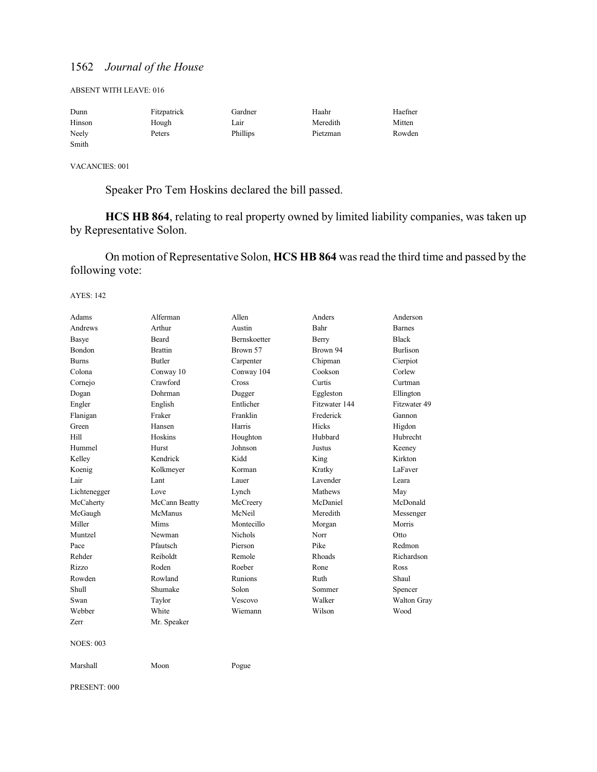#### ABSENT WITH LEAVE: 016

| Dunn   | Fitzpatrick | Gardner  | Haahr    | Haefner |
|--------|-------------|----------|----------|---------|
| Hinson | Hough       | Lair     | Meredith | Mitten  |
| Neely  | Peters      | Phillips | Pietzman | Rowden  |
| Smith  |             |          |          |         |

VACANCIES: 001

Speaker Pro Tem Hoskins declared the bill passed.

**HCS HB 864**, relating to real property owned by limited liability companies, was taken up by Representative Solon.

On motion of Representative Solon, **HCS HB 864** was read the third time and passed by the following vote:

### AYES: 142

| Adams            | Alferman       | Allen               | Anders        | Anderson        |
|------------------|----------------|---------------------|---------------|-----------------|
| Andrews          | Arthur         | Austin              | Bahr          | <b>Barnes</b>   |
| Basye            | <b>Beard</b>   | <b>Bernskoetter</b> | Berry         | <b>Black</b>    |
| Bondon           | <b>Brattin</b> | Brown 57            | Brown 94      | <b>Burlison</b> |
| <b>Burns</b>     | <b>Butler</b>  | Carpenter           | Chipman       | Cierpiot        |
| Colona           | Conway 10      | Conway 104          | Cookson       | Corlew          |
| Cornejo          | Crawford       | Cross               | Curtis        | Curtman         |
| Dogan            | Dohrman        | Dugger              | Eggleston     | Ellington       |
| Engler           | English        | Entlicher           | Fitzwater 144 | Fitzwater 49    |
| Flanigan         | Fraker         | Franklin            | Frederick     | Gannon          |
| Green            | Hansen         | Harris              | Hicks         | Higdon          |
| Hill             | Hoskins        | Houghton            | Hubbard       | Hubrecht        |
| Hummel           | Hurst          | Johnson             | Justus        | Keeney          |
| Kelley           | Kendrick       | Kidd                | King          | Kirkton         |
| Koenig           | Kolkmeyer      | Korman              | Kratky        | LaFaver         |
| Lair             | Lant           | Lauer               | Lavender      | Leara           |
| Lichtenegger     | Love           | Lynch               | Mathews       | May             |
| McCaherty        | McCann Beatty  | McCreery            | McDaniel      | McDonald        |
| McGaugh          | McManus        | McNeil              | Meredith      | Messenger       |
| Miller           | Mims           | Montecillo          | Morgan        | Morris          |
| Muntzel          | Newman         | <b>Nichols</b>      | Norr          | Otto            |
| Pace             | Pfautsch       | Pierson             | Pike          | Redmon          |
| Rehder           | Reiboldt       | Remole              | Rhoads        | Richardson      |
| Rizzo            | Roden          | Roeber              | Rone          | Ross            |
| Rowden           | Rowland        | <b>Runions</b>      | Ruth          | Shaul           |
| Shull            | Shumake        | Solon               | Sommer        | Spencer         |
| Swan             | Taylor         | Vescovo             | Walker        | Walton Gray     |
| Webber           | White          | Wiemann             | Wilson        | Wood            |
| Zerr             | Mr. Speaker    |                     |               |                 |
| <b>NOES: 003</b> |                |                     |               |                 |
| Marshall         | Moon           | Pogue               |               |                 |
|                  |                |                     |               |                 |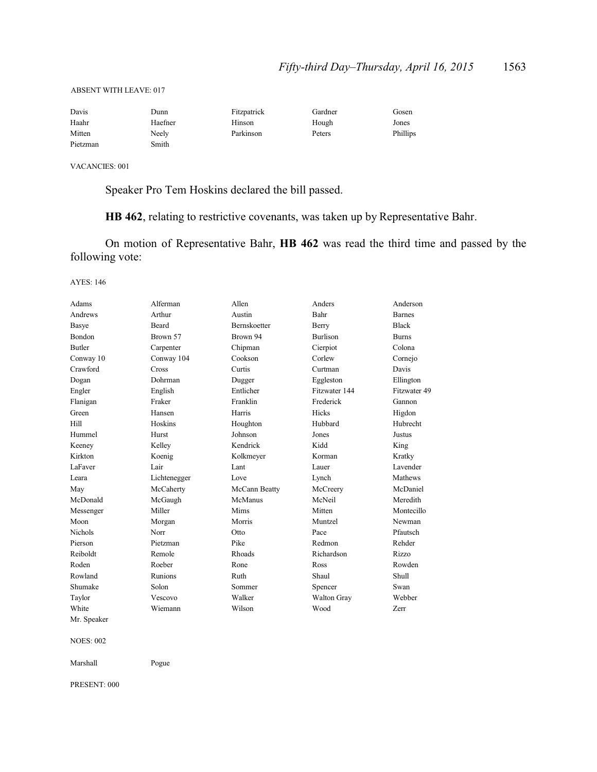#### ABSENT WITH LEAVE: 017

| Davis    | Dunn    | Fitzpatrick | Gardner | Gosen    |
|----------|---------|-------------|---------|----------|
| Haahr    | Haefner | Hinson      | Hough   | Jones    |
| Mitten   | Neely   | Parkinson   | Peters  | Phillips |
| Pietzman | Smith   |             |         |          |

VACANCIES: 001

Speaker Pro Tem Hoskins declared the bill passed.

**HB 462**, relating to restrictive covenants, was taken up by Representative Bahr.

On motion of Representative Bahr, **HB 462** was read the third time and passed by the following vote:

#### AYES: 146

| Adams          | Alferman       | Allen               | Anders             | Anderson      |
|----------------|----------------|---------------------|--------------------|---------------|
| Andrews        | Arthur         | Austin              | Bahr               | <b>Barnes</b> |
| Basye          | Beard          | <b>Bernskoetter</b> | Berry              | <b>Black</b>  |
| <b>Bondon</b>  | Brown 57       | Brown 94            | <b>Burlison</b>    | <b>Burns</b>  |
| <b>Butler</b>  | Carpenter      | Chipman             | Cierpiot           | Colona        |
| Conway 10      | Conway 104     | Cookson             | Corlew             | Cornejo       |
| Crawford       | Cross          | Curtis              | Curtman            | Davis         |
| Dogan          | Dohrman        | Dugger              | Eggleston          | Ellington     |
| Engler         | English        | Entlicher           | Fitzwater 144      | Fitzwater 49  |
| Flanigan       | Fraker         | Franklin            | Frederick          | Gannon        |
| Green          | Hansen         | Harris              | Hicks              | Higdon        |
| Hill           | Hoskins        | Houghton            | Hubbard            | Hubrecht      |
| Hummel         | Hurst          | Johnson             | Jones              | Justus        |
| Keeney         | Kelley         | Kendrick            | Kidd               | King          |
| Kirkton        | Koenig         | Kolkmeyer           | Korman             | Kratky        |
| LaFaver        | Lair           | Lant                | Lauer              | Lavender      |
| Leara          | Lichtenegger   | Love                | Lynch              | Mathews       |
| May            | McCaherty      | McCann Beatty       | McCreery           | McDaniel      |
| McDonald       | McGaugh        | McManus             | McNeil             | Meredith      |
| Messenger      | Miller         | Mims                | Mitten             | Montecillo    |
| Moon           | Morgan         | Morris              | Muntzel            | Newman        |
| <b>Nichols</b> | Norr           | Otto                | Pace               | Pfautsch      |
| Pierson        | Pietzman       | Pike                | Redmon             | Rehder        |
| Reiboldt       | Remole         | Rhoads              | Richardson         | Rizzo         |
| Roden          | Roeber         | Rone                | <b>Ross</b>        | Rowden        |
| Rowland        | <b>Runions</b> | Ruth                | Shaul              | Shull         |
| Shumake        | Solon          | Sommer              | Spencer            | Swan          |
| Taylor         | Vescovo        | Walker              | <b>Walton Gray</b> | Webber        |
| White          | Wiemann        | Wilson              | Wood               | Zerr          |
| Mr. Speaker    |                |                     |                    |               |
|                |                |                     |                    |               |

NOES: 002

Marshall Pogue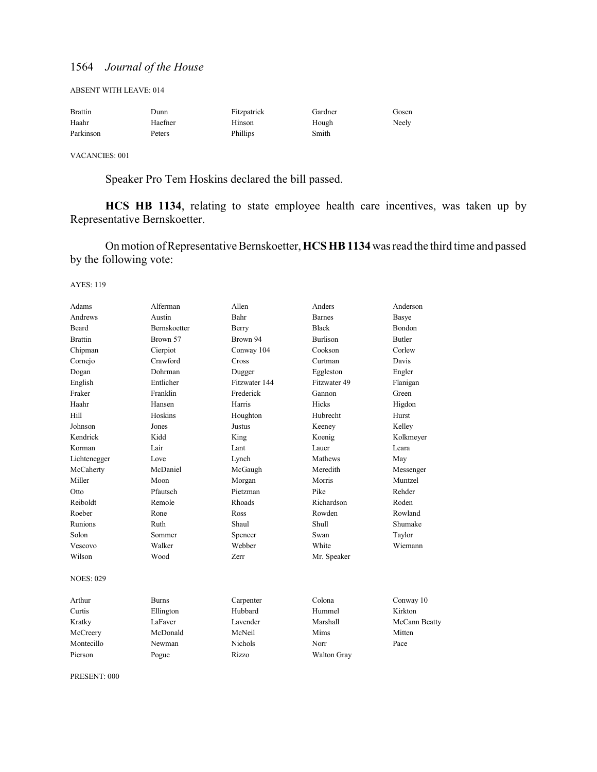ABSENT WITH LEAVE: 014

| <b>Brattin</b> | Dunn    | Fitzpatrick | Gardner | Gosen |
|----------------|---------|-------------|---------|-------|
| Haahr          | Haefner | Hinson      | Hough   | Neely |
| Parkinson      | Peters  | Phillips    | Smith   |       |

VACANCIES: 001

Speaker Pro Tem Hoskins declared the bill passed.

**HCS HB 1134**, relating to state employee health care incentives, was taken up by Representative Bernskoetter.

On motion ofRepresentative Bernskoetter, **HCS HB 1134** was read the third time and passed by the following vote:

AYES: 119

| Adams            | Alferman            | Allen          | Anders          | Anderson      |
|------------------|---------------------|----------------|-----------------|---------------|
| Andrews          | Austin              | Bahr           | <b>Barnes</b>   | Basye         |
| <b>Beard</b>     | <b>Bernskoetter</b> | Berry          | <b>Black</b>    | <b>Bondon</b> |
| <b>Brattin</b>   | Brown 57            | Brown 94       | <b>Burlison</b> | <b>Butler</b> |
| Chipman          | Cierpiot            | Conway 104     | Cookson         | Corlew        |
| Cornejo          | Crawford            | Cross          | Curtman         | Davis         |
| Dogan            | Dohrman             | Dugger         | Eggleston       | Engler        |
| English          | Entlicher           | Fitzwater 144  | Fitzwater 49    | Flanigan      |
| Fraker           | Franklin            | Frederick      | Gannon          | Green         |
| Haahr            | Hansen              | Harris         | Hicks           | Higdon        |
| Hill             | Hoskins             | Houghton       | Hubrecht        | Hurst         |
| Johnson          | Jones               | Justus         | Keeney          | Kelley        |
| Kendrick         | Kidd                | King           | Koenig          | Kolkmeyer     |
| Korman           | Lair                | Lant           | Lauer           | Leara         |
| Lichtenegger     | Love                | Lynch          | Mathews         | May           |
| McCaherty        | McDaniel            | McGaugh        | Meredith        | Messenger     |
| Miller           | Moon                | Morgan         | Morris          | Muntzel       |
| Otto             | Pfautsch            | Pietzman       | Pike            | Rehder        |
| Reiboldt         | Remole              | Rhoads         | Richardson      | Roden         |
| Roeber           | Rone                | Ross           | Rowden          | Rowland       |
| <b>Runions</b>   | Ruth                | Shaul          | Shull           | Shumake       |
| Solon            | Sommer              | Spencer        | Swan            | Taylor        |
| Vescovo          | Walker              | Webber         | White           | Wiemann       |
| Wilson           | Wood                | Zerr           | Mr. Speaker     |               |
| <b>NOES: 029</b> |                     |                |                 |               |
| Arthur           | <b>Burns</b>        | Carpenter      | Colona          | Conway 10     |
| Curtis           | Ellington           | Hubbard        | Hummel          | Kirkton       |
| Kratky           | LaFaver             | Lavender       | Marshall        | McCann Beatty |
| McCreery         | McDonald            | McNeil         | Mims            | Mitten        |
| Montecillo       | Newman              | <b>Nichols</b> | Norr            | Pace          |
| Pierson          | Pogue               | Rizzo          | Walton Gray     |               |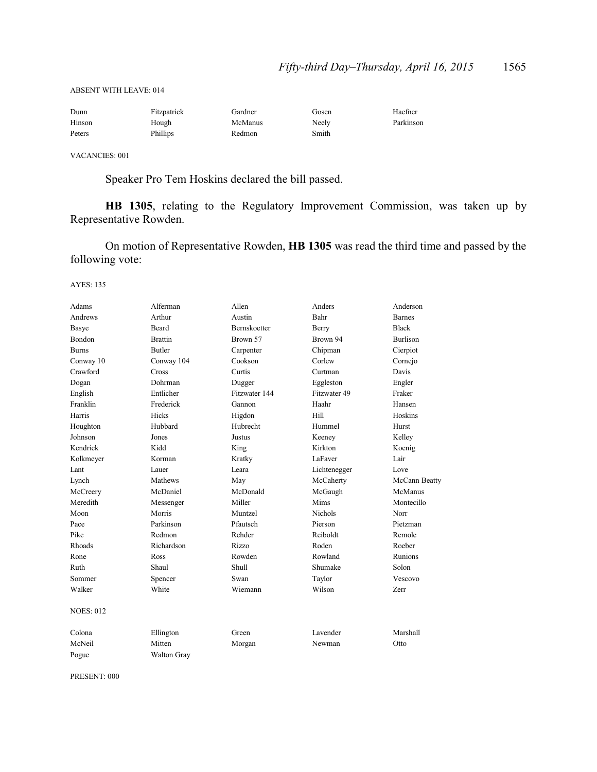ABSENT WITH LEAVE: 014

| Dunn   | Fitzpatrick | Gardner | Gosen | Haefner   |
|--------|-------------|---------|-------|-----------|
| Hinson | Hough       | McManus | Neely | Parkinson |
| Peters | Phillips    | Redmon  | Smith |           |

VACANCIES: 001

Speaker Pro Tem Hoskins declared the bill passed.

**HB 1305**, relating to the Regulatory Improvement Commission, was taken up by Representative Rowden.

On motion of Representative Rowden, **HB 1305** was read the third time and passed by the following vote:

AYES: 135

| Adams            | Alferman           | Allen         | Anders         | Anderson        |
|------------------|--------------------|---------------|----------------|-----------------|
| Andrews          | Arthur             | Austin        | Bahr           | <b>Barnes</b>   |
| Basye            | Beard              | Bernskoetter  | Berry          | <b>Black</b>    |
| Bondon           | <b>Brattin</b>     | Brown 57      | Brown 94       | <b>Burlison</b> |
| <b>Burns</b>     | Butler             | Carpenter     | Chipman        | Cierpiot        |
| Conway 10        | Conway 104         | Cookson       | Corlew         | Cornejo         |
| Crawford         | Cross              | Curtis        | Curtman        | Davis           |
| Dogan            | Dohrman            | Dugger        | Eggleston      | Engler          |
| English          | Entlicher          | Fitzwater 144 | Fitzwater 49   | Fraker          |
| Franklin         | Frederick          | Gannon        | Haahr          | Hansen          |
| Harris           | Hicks              | Higdon        | Hill           | Hoskins         |
| Houghton         | Hubbard            | Hubrecht      | Hummel         | Hurst           |
| Johnson          | Jones              | Justus        | Keeney         | Kelley          |
| Kendrick         | Kidd               | King          | Kirkton        | Koenig          |
| Kolkmeyer        | Korman             | Kratky        | LaFaver        | Lair            |
| Lant             | Lauer              | Leara         | Lichtenegger   | Love            |
| Lynch            | Mathews            | May           | McCaherty      | McCann Beatty   |
| McCreery         | McDaniel           | McDonald      | McGaugh        | McManus         |
| Meredith         | Messenger          | Miller        | Mims           | Montecillo      |
| Moon             | Morris             | Muntzel       | <b>Nichols</b> | Norr            |
| Pace             | Parkinson          | Pfautsch      | Pierson        | Pietzman        |
| Pike             | Redmon             | Rehder        | Reiboldt       | Remole          |
| Rhoads           | Richardson         | Rizzo         | Roden          | Roeber          |
| Rone             | <b>Ross</b>        | Rowden        | Rowland        | <b>Runions</b>  |
| Ruth             | Shaul              | Shull         | Shumake        | Solon           |
| Sommer           | Spencer            | Swan          | Taylor         | Vescovo         |
| Walker           | White              | Wiemann       | Wilson         | Zerr            |
| <b>NOES: 012</b> |                    |               |                |                 |
| Colona           | Ellington          | Green         | Lavender       | Marshall        |
| McNeil           | Mitten             | Morgan        | Newman         | Otto            |
| Pogue            | <b>Walton Gray</b> |               |                |                 |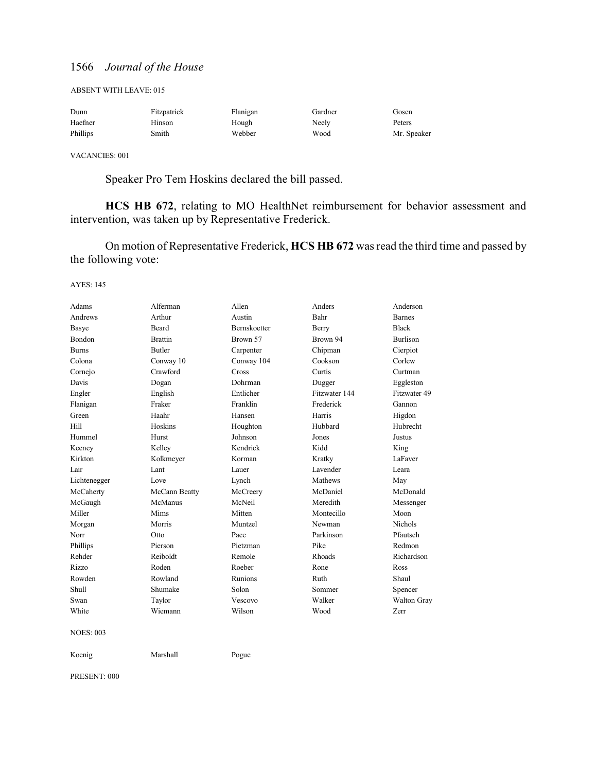ABSENT WITH LEAVE: 015

| Dunn     | Fitzpatrick | Flanigan | Gardner | Gosen       |
|----------|-------------|----------|---------|-------------|
| Haefner  | Hinson      | Hough    | Neelv   | Peters      |
| Phillips | Smith       | Webber   | Wood    | Mr. Speaker |

VACANCIES: 001

Speaker Pro Tem Hoskins declared the bill passed.

**HCS HB 672**, relating to MO HealthNet reimbursement for behavior assessment and intervention, was taken up by Representative Frederick.

On motion of Representative Frederick, **HCS HB 672** was read the third time and passed by the following vote:

AYES: 145

| Adams            | Alferman       | Allen        | Anders        | Anderson        |
|------------------|----------------|--------------|---------------|-----------------|
| Andrews          | Arthur         | Austin       | Bahr          | <b>Barnes</b>   |
| Basye            | Beard          | Bernskoetter | Berry         | <b>Black</b>    |
| Bondon           | <b>Brattin</b> | Brown 57     | Brown 94      | <b>Burlison</b> |
| <b>Burns</b>     | <b>Butler</b>  | Carpenter    | Chipman       | Cierpiot        |
| Colona           | Conway 10      | Conway 104   | Cookson       | Corlew          |
| Cornejo          | Crawford       | Cross        | Curtis        | Curtman         |
| Davis            | Dogan          | Dohrman      | Dugger        | Eggleston       |
| Engler           | English        | Entlicher    | Fitzwater 144 | Fitzwater 49    |
| Flanigan         | Fraker         | Franklin     | Frederick     | Gannon          |
| Green            | Haahr          | Hansen       | Harris        | Higdon          |
| Hill             | Hoskins        | Houghton     | Hubbard       | Hubrecht        |
| Hummel           | Hurst          | Johnson      | Jones         | Justus          |
| Keeney           | Kelley         | Kendrick     | Kidd          | King            |
| Kirkton          | Kolkmeyer      | Korman       | Kratky        | LaFaver         |
| Lair             | Lant           | Lauer        | Lavender      | Leara           |
| Lichtenegger     | Love           | Lynch        | Mathews       | May             |
| McCaherty        | McCann Beatty  | McCreery     | McDaniel      | McDonald        |
| McGaugh          | McManus        | McNeil       | Meredith      | Messenger       |
| Miller           | Mims           | Mitten       | Montecillo    | Moon            |
| Morgan           | Morris         | Muntzel      | Newman        | <b>Nichols</b>  |
| Norr             | Otto           | Pace         | Parkinson     | Pfautsch        |
| Phillips         | Pierson        | Pietzman     | Pike          | Redmon          |
| Rehder           | Reiboldt       | Remole       | Rhoads        | Richardson      |
| Rizzo            | Roden          | Roeber       | Rone          | Ross            |
| Rowden           | Rowland        | Runions      | Ruth          | Shaul           |
| Shull            | Shumake        | Solon        | Sommer        | Spencer         |
| Swan             | Taylor         | Vescovo      | Walker        | Walton Gray     |
| White            | Wiemann        | Wilson       | Wood          | Zerr            |
| <b>NOES: 003</b> |                |              |               |                 |
| Koenig           | Marshall       | Pogue        |               |                 |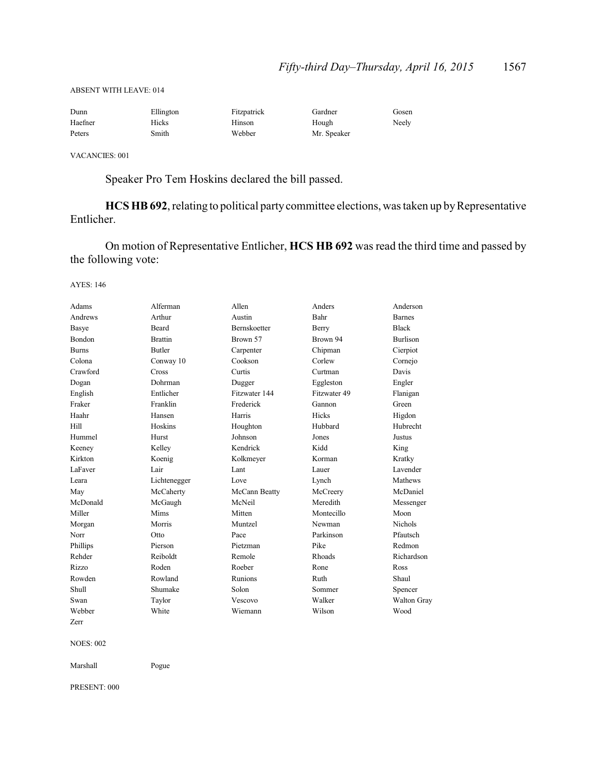#### ABSENT WITH LEAVE: 014

| Dunn    | Ellington | Fitzpatrick | Gardner     | Gosen |
|---------|-----------|-------------|-------------|-------|
| Haefner | Hicks     | Hinson      | Hough       | Neelv |
| Peters  | Smith     | Webber      | Mr. Speaker |       |

VACANCIES: 001

Speaker Pro Tem Hoskins declared the bill passed.

HCS HB 692, relating to political party committee elections, was taken up by Representative Entlicher.

On motion of Representative Entlicher, **HCS HB 692** was read the third time and passed by the following vote:

AYES: 146

| Adams         | Alferman       | Allen               | Anders       | Anderson           |
|---------------|----------------|---------------------|--------------|--------------------|
| Andrews       | Arthur         | Austin              | Bahr         | <b>Barnes</b>      |
| Basye         | Beard          | <b>Bernskoetter</b> | Berry        | <b>Black</b>       |
| <b>Bondon</b> | <b>Brattin</b> | Brown 57            | Brown 94     | <b>Burlison</b>    |
| <b>Burns</b>  | <b>Butler</b>  | Carpenter           | Chipman      | Cierpiot           |
| Colona        | Conway 10      | Cookson             | Corlew       | Cornejo            |
| Crawford      | Cross          | Curtis              | Curtman      | Davis              |
| Dogan         | Dohrman        | Dugger              | Eggleston    | Engler             |
| English       | Entlicher      | Fitzwater 144       | Fitzwater 49 | Flanigan           |
| Fraker        | Franklin       | Frederick           | Gannon       | Green              |
| Haahr         | Hansen         | Harris              | Hicks        | Higdon             |
| Hill          | Hoskins        | Houghton            | Hubbard      | Hubrecht           |
| Hummel        | Hurst          | Johnson             | Jones        | Justus             |
| Keeney        | Kelley         | Kendrick            | Kidd         | King               |
| Kirkton       | Koenig         | Kolkmeyer           | Korman       | Kratky             |
| LaFaver       | Lair           | Lant                | Lauer        | Lavender           |
| Leara         | Lichtenegger   | Love                | Lynch        | Mathews            |
| May           | McCaherty      | McCann Beatty       | McCreery     | McDaniel           |
| McDonald      | McGaugh        | McNeil              | Meredith     | Messenger          |
| Miller        | Mims           | Mitten              | Montecillo   | Moon               |
| Morgan        | Morris         | Muntzel             | Newman       | <b>Nichols</b>     |
| Norr          | Otto           | Pace                | Parkinson    | Pfautsch           |
| Phillips      | Pierson        | Pietzman            | Pike         | Redmon             |
| Rehder        | Reiboldt       | Remole              | Rhoads       | Richardson         |
| Rizzo         | Roden          | Roeber              | Rone         | Ross               |
| Rowden        | Rowland        | Runions             | Ruth         | Shaul              |
| Shull         | Shumake        | Solon               | Sommer       | Spencer            |
| Swan          | Taylor         | Vescovo             | Walker       | <b>Walton Gray</b> |
| Webber        | White          | Wiemann             | Wilson       | Wood               |
| Zerr          |                |                     |              |                    |

NOES: 002

Marshall Pogue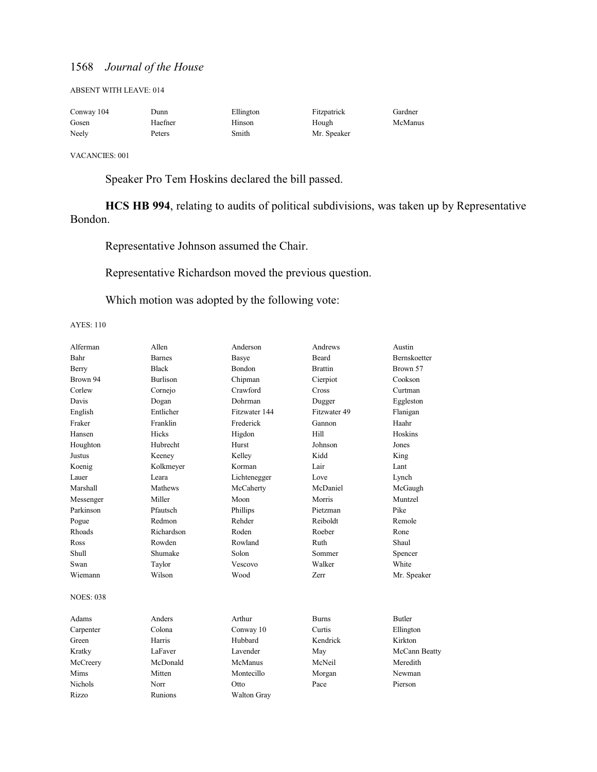ABSENT WITH LEAVE: 014

| Conway 104 | Dunn    | Ellington | Fitzpatrick | Gardner |
|------------|---------|-----------|-------------|---------|
| Gosen      | Haefner | Hinson    | Hough       | McManus |
| Neely      | Peters  | Smith     | Mr. Speaker |         |

VACANCIES: 001

Speaker Pro Tem Hoskins declared the bill passed.

**HCS HB 994**, relating to audits of political subdivisions, was taken up by Representative Bondon.

Representative Johnson assumed the Chair.

Representative Richardson moved the previous question.

Which motion was adopted by the following vote:

| Alferman         | Allen           | Anderson      | Andrews        | Austin              |
|------------------|-----------------|---------------|----------------|---------------------|
| Bahr             | <b>Barnes</b>   | <b>Basye</b>  | <b>Beard</b>   | <b>Bernskoetter</b> |
| Berry            | <b>Black</b>    | Bondon        | <b>Brattin</b> | Brown 57            |
| Brown 94         | <b>Burlison</b> | Chipman       | Cierpiot       | Cookson             |
| Corlew           | Cornejo         | Crawford      | Cross          | Curtman             |
| Davis            | Dogan           | Dohrman       | Dugger         | Eggleston           |
| English          | Entlicher       | Fitzwater 144 | Fitzwater 49   | Flanigan            |
| Fraker           | Franklin        | Frederick     | Gannon         | Haahr               |
| Hansen           | Hicks           | Higdon        | Hill           | Hoskins             |
| Houghton         | Hubrecht        | Hurst         | Johnson        | Jones               |
| Justus           | Keeney          | Kelley        | Kidd           | King                |
| Koenig           | Kolkmeyer       | Korman        | Lair           | Lant                |
| Lauer            | Leara           | Lichtenegger  | Love           | Lynch               |
| Marshall         | Mathews         | McCaherty     | McDaniel       | McGaugh             |
| Messenger        | Miller          | Moon          | Morris         | Muntzel             |
| Parkinson        | Pfautsch        | Phillips      | Pietzman       | Pike                |
| Pogue            | Redmon          | Rehder        | Reiboldt       | Remole              |
| Rhoads           | Richardson      | Roden         | Roeber         | Rone                |
| Ross             | Rowden          | Rowland       | Ruth           | Shaul               |
| Shull            | Shumake         | Solon         | Sommer         | Spencer             |
| Swan             | Taylor          | Vescovo       | Walker         | White               |
| Wiemann          | Wilson          | Wood          | Zerr           | Mr. Speaker         |
| <b>NOES: 038</b> |                 |               |                |                     |
| Adams            | Anders          | Arthur        | <b>Burns</b>   | Butler              |
| Carpenter        | Colona          | Conway 10     | Curtis         | Ellington           |
| Green            | Harris          | Hubbard       | Kendrick       | Kirkton             |
| Kratky           | LaFaver         | Lavender      | May            | McCann Beatty       |
| McCreery         | McDonald        | McManus       | McNeil         | Meredith            |
| Mims             | Mitten          | Montecillo    | Morgan         | Newman              |
| <b>Nichols</b>   | Norr            | Otto          | Pace           | Pierson             |
| Rizzo            | Runions         | Walton Gray   |                |                     |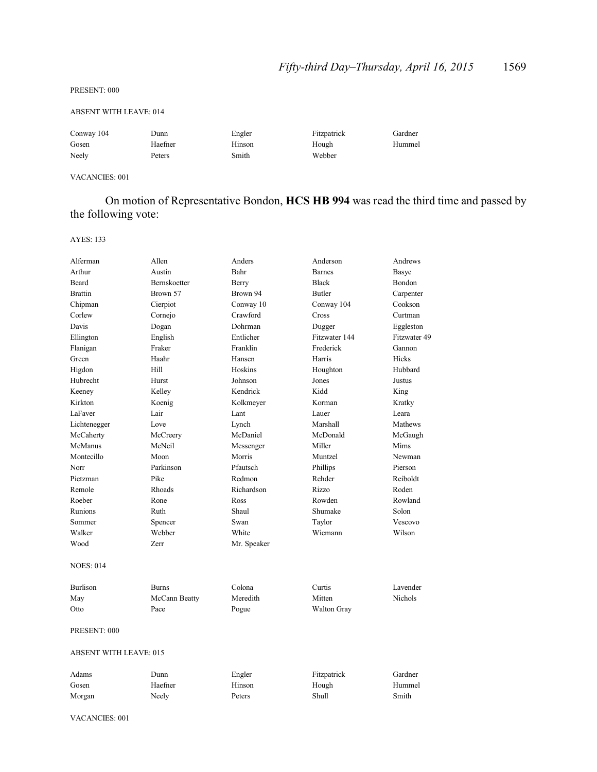#### PRESENT: 000

#### ABSENT WITH LEAVE: 014

| Conway 104 | Dunn    | Engler | Fitzpatrick | Gardner |
|------------|---------|--------|-------------|---------|
| Gosen      | Haefner | Hinson | Hough       | Hummel  |
| Neely      | Peters  | Smith  | Webber      |         |

### VACANCIES: 001

# On motion of Representative Bondon, **HCS HB 994** was read the third time and passed by the following vote:

### AYES: 133

| Alferman                      | Allen               | Anders      | Anderson      | Andrews      |
|-------------------------------|---------------------|-------------|---------------|--------------|
| Arthur                        | Austin              | Bahr        | <b>Barnes</b> | Basye        |
| Beard                         | <b>Bernskoetter</b> | Berry       | <b>Black</b>  | Bondon       |
| <b>Brattin</b>                | Brown 57            | Brown 94    | <b>Butler</b> | Carpenter    |
| Chipman                       | Cierpiot            | Conway 10   | Conway 104    | Cookson      |
| Corlew                        | Cornejo             | Crawford    | Cross         | Curtman      |
| Davis                         | Dogan               | Dohrman     | Dugger        | Eggleston    |
| Ellington                     | English             | Entlicher   | Fitzwater 144 | Fitzwater 49 |
| Flanigan                      | Fraker              | Franklin    | Frederick     | Gannon       |
| Green                         | Haahr               | Hansen      | Harris        | Hicks        |
| Higdon                        | Hill                | Hoskins     | Houghton      | Hubbard      |
| Hubrecht                      | Hurst               | Johnson     | Jones         | Justus       |
| Keeney                        | Kelley              | Kendrick    | Kidd          | King         |
| Kirkton                       | Koenig              | Kolkmeyer   | Korman        | Kratky       |
| LaFaver                       | Lair                | Lant        | Lauer         | Leara        |
| Lichtenegger                  | Love                | Lynch       | Marshall      | Mathews      |
| McCaherty                     | McCreery            | McDaniel    | McDonald      | McGaugh      |
| <b>McManus</b>                | McNeil              | Messenger   | Miller        | Mims         |
| Montecillo                    | Moon                | Morris      | Muntzel       | Newman       |
| Norr                          | Parkinson           | Pfautsch    | Phillips      | Pierson      |
| Pietzman                      | Pike                | Redmon      | Rehder        | Reiboldt     |
| Remole                        | Rhoads              | Richardson  | Rizzo         | Roden        |
| Roeber                        | Rone                | Ross        | Rowden        | Rowland      |
| Runions                       | Ruth                | Shaul       | Shumake       | Solon        |
| Sommer                        | Spencer             | Swan        | Taylor        | Vescovo      |
| Walker                        | Webber              | White       | Wiemann       | Wilson       |
| Wood                          | Zerr                | Mr. Speaker |               |              |
| <b>NOES: 014</b>              |                     |             |               |              |
| <b>Burlison</b>               | <b>Burns</b>        | Colona      | Curtis        | Lavender     |
| May                           | McCann Beatty       | Meredith    | Mitten        | Nichols      |
| Otto                          | Pace                | Pogue       | Walton Gray   |              |
| PRESENT: 000                  |                     |             |               |              |
| <b>ABSENT WITH LEAVE: 015</b> |                     |             |               |              |
| Adams                         | Dunn                | Engler      | Fitzpatrick   | Gardner      |
| Gosen                         | Haefner             | Hinson      | Hough         | Hummel       |
| Morgan                        | Neely               | Peters      | Shull         | Smith        |

VACANCIES: 001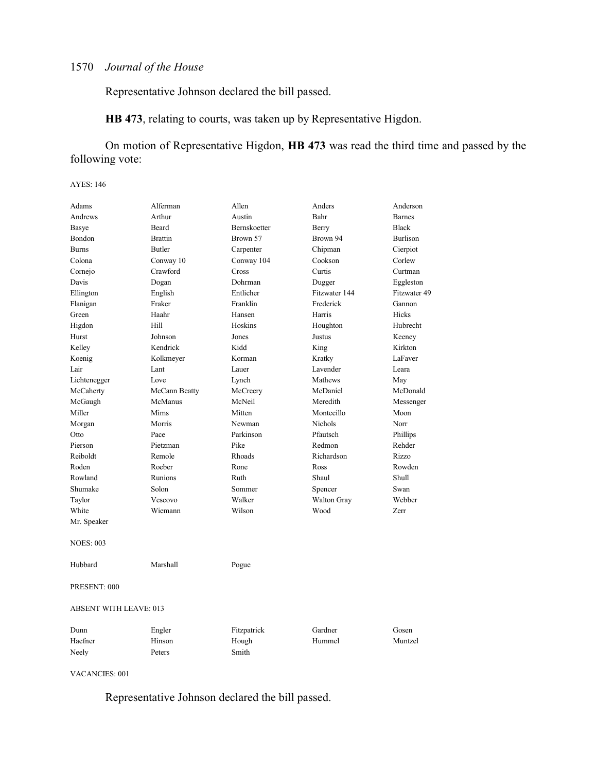Representative Johnson declared the bill passed.

**HB 473**, relating to courts, was taken up by Representative Higdon.

On motion of Representative Higdon, **HB 473** was read the third time and passed by the following vote:

### AYES: 146

| Adams            | Alferman                      | Allen               | Anders         | Anderson        |  |
|------------------|-------------------------------|---------------------|----------------|-----------------|--|
| Andrews          | Arthur                        | Austin              | Bahr           | <b>Barnes</b>   |  |
| Basye            | <b>Beard</b>                  | <b>Bernskoetter</b> | Berry          | <b>Black</b>    |  |
| Bondon           | <b>Brattin</b>                | Brown 57            | Brown 94       | <b>Burlison</b> |  |
| <b>Burns</b>     | <b>Butler</b>                 | Carpenter           | Chipman        | Cierpiot        |  |
| Colona           | Conway 10                     | Conway 104          | Cookson        | Corlew          |  |
| Cornejo          | Crawford                      | Cross               | Curtis         | Curtman         |  |
| Davis            | Dogan                         | Dohrman             | Dugger         | Eggleston       |  |
| Ellington        | English                       | Entlicher           | Fitzwater 144  | Fitzwater 49    |  |
| Flanigan         | Fraker                        | Franklin            | Frederick      | Gannon          |  |
| Green            | Haahr                         | Hansen              | Harris         | Hicks           |  |
| Higdon           | Hill                          | Hoskins             | Houghton       | Hubrecht        |  |
| Hurst            | Johnson                       | Jones               | Justus         | Keeney          |  |
| Kelley           | Kendrick                      | Kidd                | King           | Kirkton         |  |
| Koenig           | Kolkmeyer                     | Korman              | Kratky         | LaFaver         |  |
| Lair             | Lant                          | Lauer               | Lavender       | Leara           |  |
| Lichtenegger     | Love                          | Lynch               | Mathews        | May             |  |
| McCaherty        | McCann Beatty                 | McCreery            | McDaniel       | McDonald        |  |
| McGaugh          | McManus                       | McNeil              | Meredith       | Messenger       |  |
| Miller           | Mims                          | Mitten              | Montecillo     | Moon            |  |
| Morgan           | Morris                        | Newman              | <b>Nichols</b> | Norr            |  |
| Otto             | Pace                          | Parkinson           | Pfautsch       | Phillips        |  |
| Pierson          | Pietzman                      | Pike                | Redmon         | Rehder          |  |
| Reiboldt         | Remole                        | Rhoads              | Richardson     | Rizzo           |  |
| Roden            | Roeber                        | Rone                | Ross           | Rowden          |  |
| Rowland          | Runions                       | Ruth                | Shaul          | Shull           |  |
| Shumake          | Solon                         | Sommer              | Spencer        | Swan            |  |
| Taylor           | Vescovo                       | Walker              | Walton Gray    | Webber          |  |
| White            | Wiemann                       | Wilson              | Wood           | Zerr            |  |
| Mr. Speaker      |                               |                     |                |                 |  |
| <b>NOES: 003</b> |                               |                     |                |                 |  |
| Hubbard          | Marshall                      | Pogue               |                |                 |  |
| PRESENT: 000     |                               |                     |                |                 |  |
|                  | <b>ABSENT WITH LEAVE: 013</b> |                     |                |                 |  |
| Dunn             | Engler                        | Fitzpatrick         | Gardner        | Gosen           |  |
| Haefner          | Hinson                        | Hough               | Hummel         | Muntzel         |  |
| Neely            | Peters                        | Smith               |                |                 |  |

VACANCIES: 001

Representative Johnson declared the bill passed.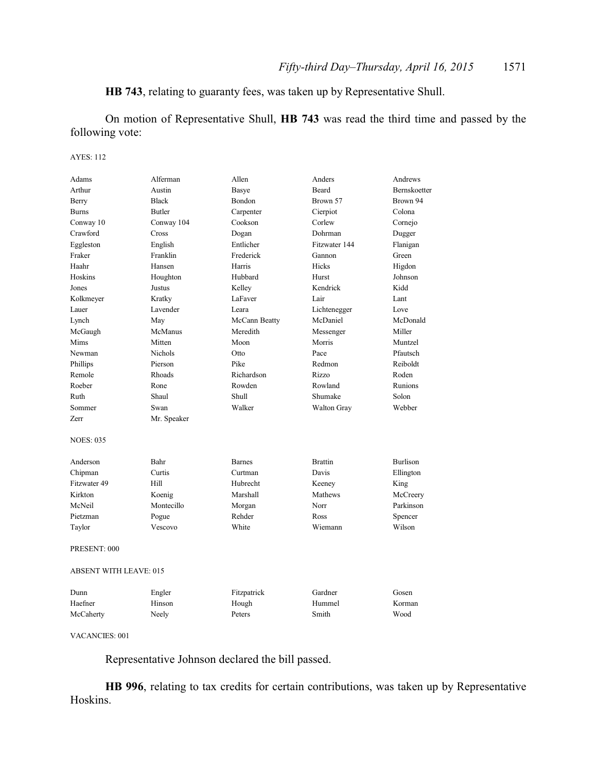**HB 743**, relating to guaranty fees, was taken up by Representative Shull.

On motion of Representative Shull, **HB 743** was read the third time and passed by the following vote:

### AYES: 112

| Austin<br>Beard<br>Bernskoetter<br>Arthur<br>Basye<br><b>Black</b><br>Brown 57<br>Brown 94<br>Bondon<br>Berry<br><b>Butler</b><br>Colona<br><b>Burns</b><br>Carpenter<br>Cierpiot<br>Cookson<br>Corlew<br>Conway 10<br>Conway 104<br>Cornejo |  |
|----------------------------------------------------------------------------------------------------------------------------------------------------------------------------------------------------------------------------------------------|--|
|                                                                                                                                                                                                                                              |  |
|                                                                                                                                                                                                                                              |  |
|                                                                                                                                                                                                                                              |  |
|                                                                                                                                                                                                                                              |  |
| Crawford<br>Cross<br>Dogan<br>Dohrman<br>Dugger                                                                                                                                                                                              |  |
| Entlicher<br>Fitzwater 144<br>Eggleston<br>English<br>Flanigan                                                                                                                                                                               |  |
| Franklin<br>Fraker<br>Frederick<br>Green<br>Gannon                                                                                                                                                                                           |  |
| Haahr<br>Hansen<br>Harris<br>Hicks<br>Higdon                                                                                                                                                                                                 |  |
| Hoskins<br>Houghton<br>Hubbard<br>Hurst<br>Johnson                                                                                                                                                                                           |  |
| Kendrick<br>Kidd<br>Jones<br>Justus<br>Kelley                                                                                                                                                                                                |  |
| Kratky<br>LaFaver<br>Kolkmeyer<br>Lair<br>Lant                                                                                                                                                                                               |  |
| Lavender<br>Lauer<br>Leara<br>Lichtenegger<br>Love                                                                                                                                                                                           |  |
| McDaniel<br>Lynch<br>May<br>McCann Beatty<br>McDonald                                                                                                                                                                                        |  |
| Meredith<br>Miller<br>McGaugh<br>McManus<br>Messenger                                                                                                                                                                                        |  |
| Mims<br>Mitten<br>Morris<br>Moon<br>Muntzel                                                                                                                                                                                                  |  |
| <b>Nichols</b><br>Pfautsch<br>Newman<br>Otto<br>Pace                                                                                                                                                                                         |  |
| Pike<br>Redmon<br>Reiboldt<br>Phillips<br>Pierson                                                                                                                                                                                            |  |
| Remole<br>Rhoads<br>Richardson<br>Rizzo<br>Roden                                                                                                                                                                                             |  |
| Roeber<br>Rowden<br>Rowland<br>Runions<br>Rone                                                                                                                                                                                               |  |
| Shaul<br><b>Shull</b><br>Shumake<br>Solon<br>Ruth                                                                                                                                                                                            |  |
| Sommer<br>Swan<br>Walker<br><b>Walton Gray</b><br>Webber                                                                                                                                                                                     |  |
| Zerr<br>Mr. Speaker                                                                                                                                                                                                                          |  |
| <b>NOES: 035</b>                                                                                                                                                                                                                             |  |
| Bahr<br><b>Burlison</b><br>Anderson<br><b>Brattin</b><br><b>Barnes</b>                                                                                                                                                                       |  |
| Chipman<br>Davis<br>Curtis<br>Curtman<br>Ellington                                                                                                                                                                                           |  |
| Fitzwater 49<br>Hill<br>Hubrecht<br>Keeney<br>King                                                                                                                                                                                           |  |
| Kirkton<br>Koenig<br>Marshall<br>Mathews<br>McCreery                                                                                                                                                                                         |  |
| Parkinson<br>McNeil<br>Montecillo<br>Norr<br>Morgan                                                                                                                                                                                          |  |
| Rehder<br>Pietzman<br>Pogue<br>Ross<br>Spencer                                                                                                                                                                                               |  |
| White<br>Wiemann<br>Wilson<br>Taylor<br>Vescovo                                                                                                                                                                                              |  |
| PRESENT: 000                                                                                                                                                                                                                                 |  |
| <b>ABSENT WITH LEAVE: 015</b>                                                                                                                                                                                                                |  |
| Gardner<br>Dunn<br>Engler<br>Fitzpatrick<br>Gosen                                                                                                                                                                                            |  |
| Haefner<br>Hough<br>Hummel<br>Korman<br>Hinson                                                                                                                                                                                               |  |
| McCaherty<br>Peters<br>Smith<br>Wood<br>Neely                                                                                                                                                                                                |  |

VACANCIES: 001

Representative Johnson declared the bill passed.

**HB 996**, relating to tax credits for certain contributions, was taken up by Representative Hoskins.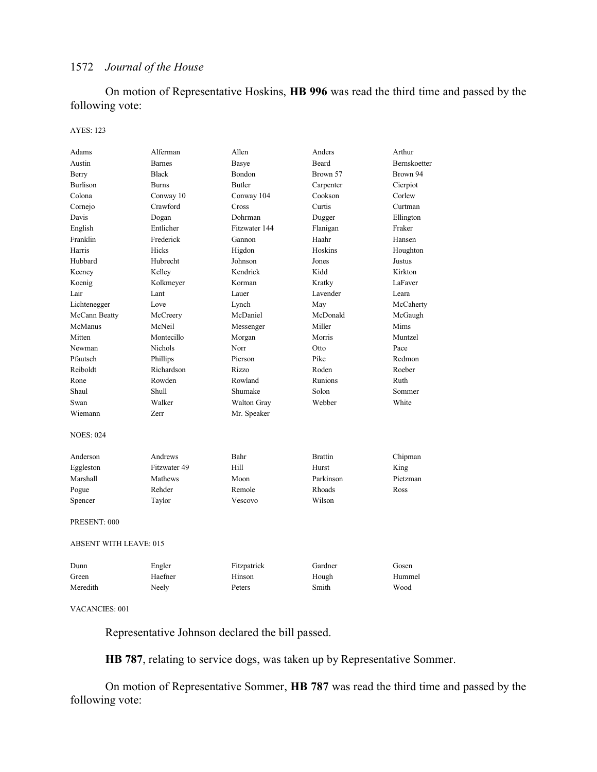On motion of Representative Hoskins, **HB 996** was read the third time and passed by the following vote:

### AYES: 123

| Adams                         | Alferman       | Allen         | Anders         | Arthur       |
|-------------------------------|----------------|---------------|----------------|--------------|
| Austin                        | <b>Barnes</b>  | Basye         | Beard          | Bernskoetter |
| Berry                         | <b>Black</b>   | Bondon        | Brown 57       | Brown 94     |
| <b>Burlison</b>               | <b>Burns</b>   | <b>Butler</b> | Carpenter      | Cierpiot     |
| Colona                        | Conway 10      | Conway 104    | Cookson        | Corlew       |
| Cornejo                       | Crawford       | Cross         | Curtis         | Curtman      |
| Davis                         | Dogan          | Dohrman       | Dugger         | Ellington    |
| English                       | Entlicher      | Fitzwater 144 | Flanigan       | Fraker       |
| Franklin                      | Frederick      | Gannon        | Haahr          | Hansen       |
| Harris                        | Hicks          | Higdon        | Hoskins        | Houghton     |
| Hubbard                       | Hubrecht       | Johnson       | Jones          | Justus       |
| Keeney                        | Kelley         | Kendrick      | Kidd           | Kirkton      |
| Koenig                        | Kolkmeyer      | Korman        | Kratky         | LaFaver      |
| Lair                          | Lant           | Lauer         | Lavender       | Leara        |
| Lichtenegger                  | Love           | Lynch         | May            | McCaherty    |
| McCann Beatty                 | McCreery       | McDaniel      | McDonald       | McGaugh      |
| McManus                       | McNeil         | Messenger     | Miller         | Mims         |
| Mitten                        | Montecillo     | Morgan        | Morris         | Muntzel      |
| Newman                        | <b>Nichols</b> | Norr          | Otto           | Pace         |
| Pfautsch                      | Phillips       | Pierson       | Pike           | Redmon       |
| Reiboldt                      | Richardson     | <b>Rizzo</b>  | Roden          | Roeber       |
| Rone                          | Rowden         | Rowland       | Runions        | Ruth         |
| Shaul                         | Shull          | Shumake       | Solon          | Sommer       |
| Swan                          | Walker         | Walton Gray   | Webber         | White        |
| Wiemann                       | Zerr           | Mr. Speaker   |                |              |
| <b>NOES: 024</b>              |                |               |                |              |
| Anderson                      | Andrews        | Bahr          | <b>Brattin</b> | Chipman      |
| Eggleston                     | Fitzwater 49   | Hill          | Hurst          | King         |
| Marshall                      | Mathews        | Moon          | Parkinson      | Pietzman     |
| Pogue                         | Rehder         | Remole        | Rhoads         | Ross         |
| Spencer                       | Taylor         | Vescovo       | Wilson         |              |
| PRESENT: 000                  |                |               |                |              |
| <b>ABSENT WITH LEAVE: 015</b> |                |               |                |              |
| Dunn                          | Engler         | Fitzpatrick   | Gardner        | Gosen        |
| Green                         | Haefner        | Hinson        | Hough          | Hummel       |
| Meredith                      | Neely          | Peters        | Smith          | Wood         |
|                               |                |               |                |              |

### VACANCIES: 001

Representative Johnson declared the bill passed.

**HB 787**, relating to service dogs, was taken up by Representative Sommer.

On motion of Representative Sommer, **HB 787** was read the third time and passed by the following vote: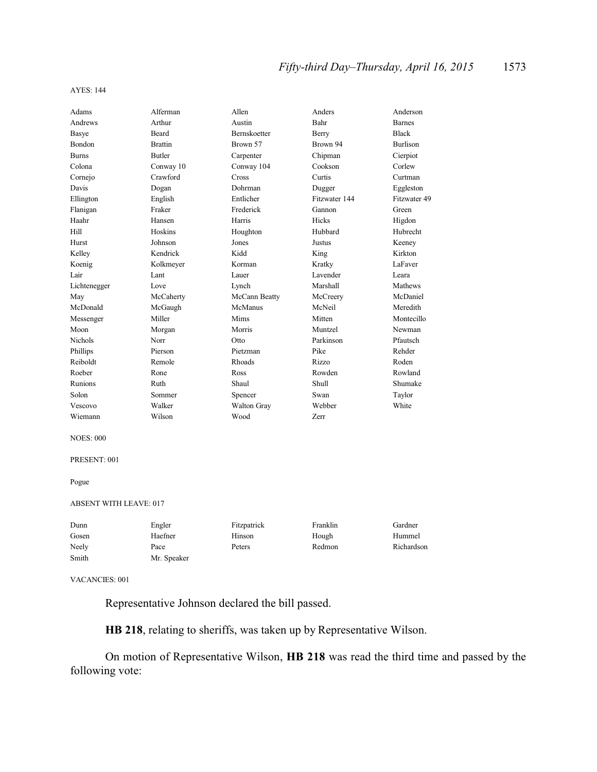#### AYES: 144

| Adams                         | Alferman       | Allen         | Anders        | Anderson        |
|-------------------------------|----------------|---------------|---------------|-----------------|
| Andrews                       | Arthur         | Austin        | Bahr          | <b>Barnes</b>   |
| Basye                         | Beard          | Bernskoetter  | Berry         | <b>Black</b>    |
| Bondon                        | <b>Brattin</b> | Brown 57      | Brown 94      | <b>Burlison</b> |
| <b>Burns</b>                  | <b>Butler</b>  | Carpenter     | Chipman       | Cierpiot        |
| Colona                        | Conway 10      | Conway 104    | Cookson       | Corlew          |
| Cornejo                       | Crawford       | Cross         | Curtis        | Curtman         |
| Davis                         | Dogan          | Dohrman       | Dugger        | Eggleston       |
| Ellington                     | English        | Entlicher     | Fitzwater 144 | Fitzwater 49    |
| Flanigan                      | Fraker         | Frederick     | Gannon        | Green           |
| Haahr                         | Hansen         | Harris        | Hicks         | Higdon          |
| Hill                          | Hoskins        | Houghton      | Hubbard       | Hubrecht        |
| Hurst                         | Johnson        | Jones         | Justus        | Keeney          |
| Kelley                        | Kendrick       | Kidd          | King          | Kirkton         |
| Koenig                        | Kolkmeyer      | Korman        | Kratky        | LaFaver         |
| Lair                          | Lant           | Lauer         | Lavender      | Leara           |
| Lichtenegger                  | Love           | Lynch         | Marshall      | Mathews         |
| May                           | McCaherty      | McCann Beatty | McCreery      | McDaniel        |
| McDonald                      | McGaugh        | McManus       | McNeil        | Meredith        |
| Messenger                     | Miller         | Mims          | Mitten        | Montecillo      |
| Moon                          | Morgan         | Morris        | Muntzel       | Newman          |
| <b>Nichols</b>                | Norr           | Otto          | Parkinson     | Pfautsch        |
| Phillips                      | Pierson        | Pietzman      | Pike          | Rehder          |
| Reiboldt                      | Remole         | Rhoads        | Rizzo         | Roden           |
| Roeber                        | Rone           | Ross          | Rowden        | Rowland         |
| Runions                       | Ruth           | Shaul         | Shull         | Shumake         |
| Solon                         | Sommer         | Spencer       | Swan          | Taylor          |
| Vescovo                       | Walker         | Walton Gray   | Webber        | White           |
| Wiemann                       | Wilson         | Wood          | Zerr          |                 |
| <b>NOES: 000</b>              |                |               |               |                 |
| PRESENT: 001                  |                |               |               |                 |
| Pogue                         |                |               |               |                 |
| <b>ABSENT WITH LEAVE: 017</b> |                |               |               |                 |

| Dunn  | Engler      | Fitzpatrick | Franklin | Gardner    |
|-------|-------------|-------------|----------|------------|
| Gosen | Haefner     | Hinson      | Hough    | Hummel     |
| Neely | Pace        | Peters      | Redmon   | Richardson |
| Smith | Mr. Speaker |             |          |            |

VACANCIES: 001

Representative Johnson declared the bill passed.

**HB 218**, relating to sheriffs, was taken up by Representative Wilson.

On motion of Representative Wilson, **HB 218** was read the third time and passed by the following vote: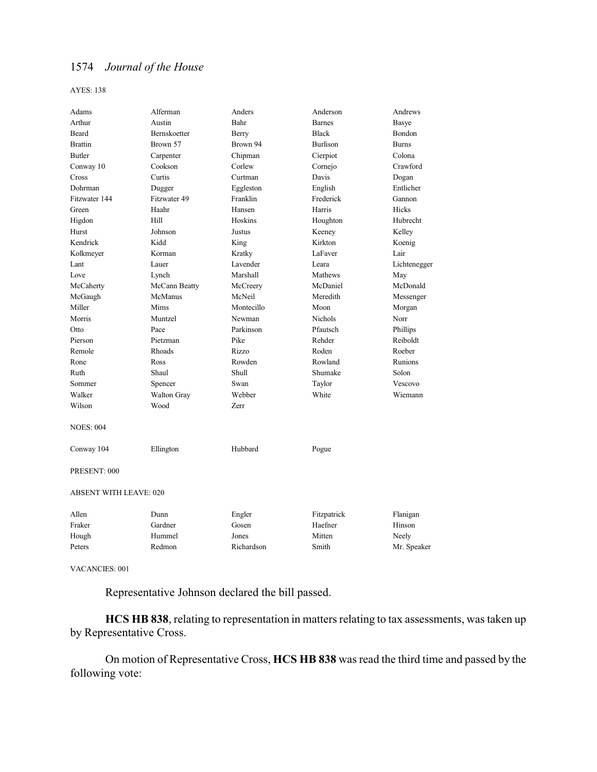AYES: 138

| Adams                         | Alferman      | Anders     | Anderson        | Andrews      |
|-------------------------------|---------------|------------|-----------------|--------------|
| Arthur                        | Austin        | Bahr       | <b>Barnes</b>   | Basye        |
| Beard                         | Bernskoetter  | Berry      | <b>Black</b>    | Bondon       |
| <b>Brattin</b>                | Brown 57      | Brown 94   | <b>Burlison</b> | <b>Burns</b> |
| <b>Butler</b>                 | Carpenter     | Chipman    | Cierpiot        | Colona       |
| Conway 10                     | Cookson       | Corlew     | Cornejo         | Crawford     |
| Cross                         | Curtis        | Curtman    | Davis           | Dogan        |
| Dohrman                       | Dugger        | Eggleston  | English         | Entlicher    |
| Fitzwater 144                 | Fitzwater 49  | Franklin   | Frederick       | Gannon       |
| Green                         | Haahr         | Hansen     | Harris          | Hicks        |
| Higdon                        | Hill          | Hoskins    | Houghton        | Hubrecht     |
| Hurst                         | Johnson       | Justus     | Keeney          | Kelley       |
| Kendrick                      | Kidd          | King       | Kirkton         | Koenig       |
| Kolkmeyer                     | Korman        | Kratky     | LaFaver         | Lair         |
| Lant                          | Lauer         | Lavender   | Leara           | Lichtenegger |
| Love                          | Lynch         | Marshall   | Mathews         | May          |
| McCaherty                     | McCann Beatty | McCreery   | McDaniel        | McDonald     |
| McGaugh                       | McManus       | McNeil     | Meredith        | Messenger    |
| Miller                        | Mims          | Montecillo | Moon            | Morgan       |
| Morris                        | Muntzel       | Newman     | <b>Nichols</b>  | Norr         |
| Otto                          | Pace          | Parkinson  | Pfautsch        | Phillips     |
| Pierson                       | Pietzman      | Pike       | Rehder          | Reiboldt     |
| Remole                        | Rhoads        | Rizzo      | Roden           | Roeber       |
| Rone                          | Ross          | Rowden     | Rowland         | Runions      |
| Ruth                          | Shaul         | Shull      | Shumake         | Solon        |
| Sommer                        | Spencer       | Swan       | Taylor          | Vescovo      |
| Walker                        | Walton Gray   | Webber     | White           | Wiemann      |
| Wilson                        | Wood          | Zerr       |                 |              |
| <b>NOES: 004</b>              |               |            |                 |              |
| Conway 104                    | Ellington     | Hubbard    | Pogue           |              |
| PRESENT: 000                  |               |            |                 |              |
| <b>ABSENT WITH LEAVE: 020</b> |               |            |                 |              |
| Allen                         | Dunn          | Engler     | Fitzpatrick     | Flanigan     |
| Fraker                        | Gardner       | Gosen      | Haefner         | Hinson       |
| Hough                         | Hummel        | Jones      | Mitten          | Neely        |
| Peters                        | Redmon        | Richardson | Smith           | Mr. Speaker  |

VACANCIES: 001

Representative Johnson declared the bill passed.

**HCS HB 838**, relating to representation in matters relating to tax assessments, was taken up by Representative Cross.

On motion of Representative Cross, **HCS HB 838** was read the third time and passed by the following vote: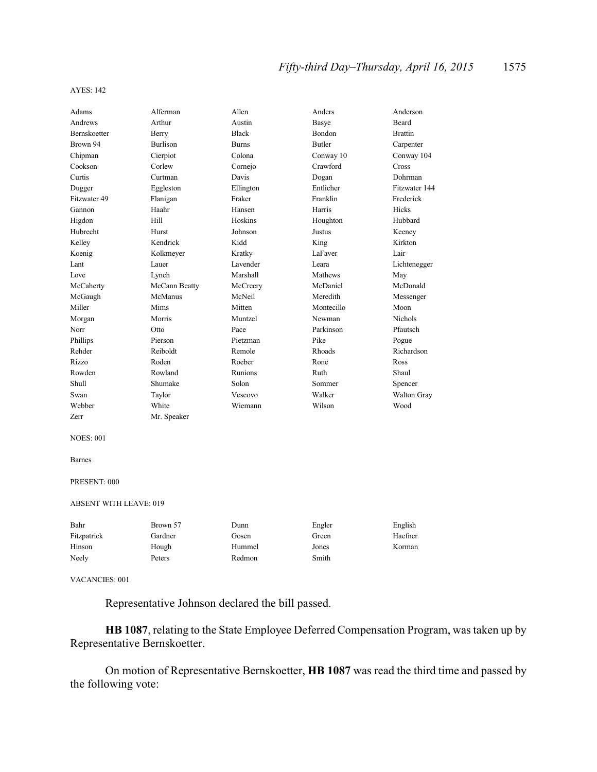#### AYES: 142

| Adams            | Alferman                      | Allen        | Anders        | Anderson       |  |
|------------------|-------------------------------|--------------|---------------|----------------|--|
| Andrews          | Arthur                        | Austin       | Basye         | <b>Beard</b>   |  |
| Bernskoetter     | Berry                         | <b>Black</b> | Bondon        | <b>Brattin</b> |  |
| Brown 94         | Burlison                      | <b>Burns</b> | <b>Butler</b> | Carpenter      |  |
| Chipman          | Cierpiot                      | Colona       | Conway 10     | Conway 104     |  |
| Cookson          | Corlew                        | Cornejo      | Crawford      | Cross          |  |
| Curtis           | Curtman                       | Davis        | Dogan         | Dohrman        |  |
| Dugger           | Eggleston                     | Ellington    | Entlicher     | Fitzwater 144  |  |
| Fitzwater 49     | Flanigan                      | Fraker       | Franklin      | Frederick      |  |
| Gannon           | Haahr                         | Hansen       | Harris        | Hicks          |  |
| Higdon           | Hill                          | Hoskins      | Houghton      | Hubbard        |  |
| Hubrecht         | Hurst                         | Johnson      | Justus        | Keeney         |  |
| Kelley           | Kendrick                      | Kidd         | King          | Kirkton        |  |
| Koenig           | Kolkmeyer                     | Kratky       | LaFaver       | Lair           |  |
| Lant             | Lauer                         | Lavender     | Leara         | Lichtenegger   |  |
| Love             | Lynch                         | Marshall     | Mathews       | May            |  |
| McCaherty        | McCann Beatty                 | McCreery     | McDaniel      | McDonald       |  |
| McGaugh          | McManus                       | McNeil       | Meredith      | Messenger      |  |
| Miller           | Mims                          | Mitten       | Montecillo    | Moon           |  |
| Morgan           | Morris                        | Muntzel      | Newman        | <b>Nichols</b> |  |
| Norr             | Otto                          | Pace         | Parkinson     | Pfautsch       |  |
| Phillips         | Pierson                       | Pietzman     | Pike          | Pogue          |  |
| Rehder           | Reiboldt                      | Remole       | Rhoads        | Richardson     |  |
| Rizzo            | Roden                         | Roeber       | Rone          | Ross           |  |
| Rowden           | Rowland                       | Runions      | Ruth          | Shaul          |  |
| Shull            | Shumake                       | Solon        | Sommer        | Spencer        |  |
| Swan             | Taylor                        | Vescovo      | Walker        | Walton Gray    |  |
| Webber           | White                         | Wiemann      | Wilson        | Wood           |  |
| Zerr             | Mr. Speaker                   |              |               |                |  |
| <b>NOES: 001</b> |                               |              |               |                |  |
| <b>Barnes</b>    |                               |              |               |                |  |
| PRESENT: 000     |                               |              |               |                |  |
|                  | <b>ABSENT WITH LEAVE: 019</b> |              |               |                |  |
| Bahr             | Brown 57                      | Dunn         | Engler        | English        |  |
| Fitzpatrick      | Gardner                       | Gosen        | Green         | Haefner        |  |
| Hinson           | Hough                         | Hummel       | Jones         | Korman         |  |
| Neely            | Peters                        | Redmon       | Smith         |                |  |
|                  |                               |              |               |                |  |

VACANCIES: 001

Representative Johnson declared the bill passed.

**HB 1087**, relating to the State Employee Deferred Compensation Program, was taken up by Representative Bernskoetter.

On motion of Representative Bernskoetter, **HB 1087** was read the third time and passed by the following vote: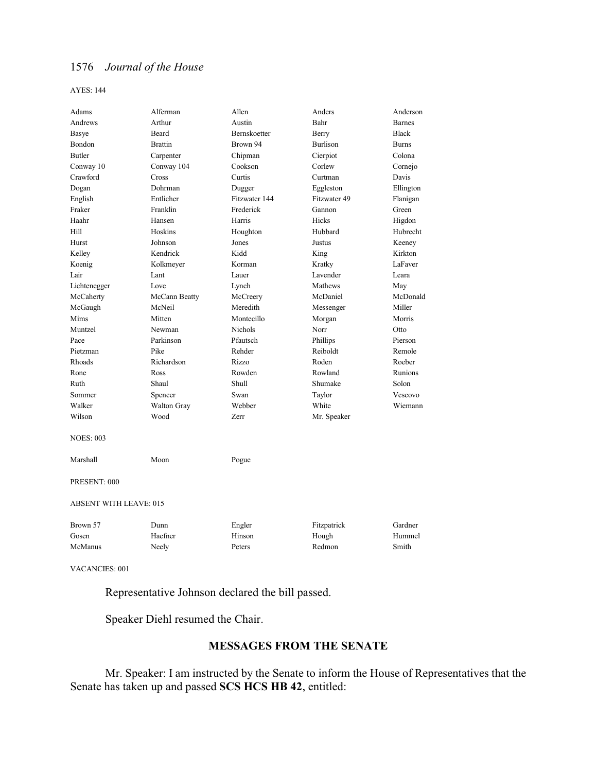AYES: 144

| Adams                         | Alferman           | Allen               | Anders          | Anderson      |
|-------------------------------|--------------------|---------------------|-----------------|---------------|
| Andrews                       | Arthur             | Austin              | Bahr            | <b>Barnes</b> |
| Basye                         | <b>Beard</b>       | <b>Bernskoetter</b> | Berry           | <b>Black</b>  |
| Bondon                        | <b>Brattin</b>     | Brown 94            | <b>Burlison</b> | <b>Burns</b>  |
| <b>Butler</b>                 | Carpenter          | Chipman             | Cierpiot        | Colona        |
| Conway 10                     | Conway 104         | Cookson             | Corlew          | Cornejo       |
| Crawford                      | Cross              | Curtis              | Curtman         | Davis         |
| Dogan                         | Dohrman            | Dugger              | Eggleston       | Ellington     |
| English                       | Entlicher          | Fitzwater 144       | Fitzwater 49    | Flanigan      |
| Fraker                        | Franklin           | Frederick           | Gannon          | Green         |
| Haahr                         | Hansen             | Harris              | Hicks           | Higdon        |
| Hill                          | Hoskins            | Houghton            | Hubbard         | Hubrecht      |
| Hurst                         | Johnson            | Jones               | Justus          | Keeney        |
| Kelley                        | Kendrick           | Kidd                | King            | Kirkton       |
| Koenig                        | Kolkmeyer          | Korman              | Kratky          | LaFaver       |
| Lair                          | Lant               | Lauer               | Lavender        | Leara         |
| Lichtenegger                  | Love               | Lynch               | Mathews         | May           |
| McCaherty                     | McCann Beatty      | McCreery            | McDaniel        | McDonald      |
| McGaugh                       | McNeil             | Meredith            | Messenger       | Miller        |
| Mims                          | Mitten             | Montecillo          | Morgan          | Morris        |
| Muntzel                       | Newman             | <b>Nichols</b>      | Norr            | Otto          |
| Pace                          | Parkinson          | Pfautsch            | Phillips        | Pierson       |
| Pietzman                      | Pike               | Rehder              | Reiboldt        | Remole        |
| Rhoads                        | Richardson         | Rizzo               | Roden           | Roeber        |
| Rone                          | Ross               | Rowden              | Rowland         | Runions       |
| Ruth                          | Shaul              | Shull               | Shumake         | Solon         |
| Sommer                        | Spencer            | Swan                | Taylor          | Vescovo       |
| Walker                        | <b>Walton Gray</b> | Webber              | White           | Wiemann       |
| Wilson                        | Wood               | Zerr                | Mr. Speaker     |               |
| <b>NOES: 003</b>              |                    |                     |                 |               |
| Marshall                      | Moon               | Pogue               |                 |               |
| PRESENT: 000                  |                    |                     |                 |               |
| <b>ABSENT WITH LEAVE: 015</b> |                    |                     |                 |               |
| Brown 57                      | Dunn               | Engler              | Fitzpatrick     | Gardner       |
| Gosen                         | Haefner            | Hinson              | Hough           | Hummel        |
| McManus                       | Neely              | Peters              | Redmon          | Smith         |

VACANCIES: 001

Representative Johnson declared the bill passed.

Speaker Diehl resumed the Chair.

### **MESSAGES FROM THE SENATE**

Mr. Speaker: I am instructed by the Senate to inform the House of Representatives that the Senate has taken up and passed **SCS HCS HB 42**, entitled: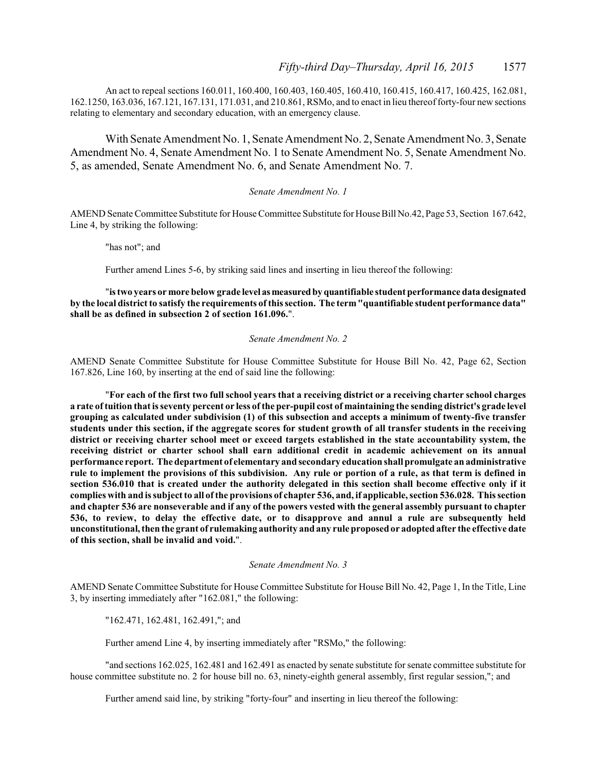An act to repeal sections 160.011, 160.400, 160.403, 160.405, 160.410, 160.415, 160.417, 160.425, 162.081, 162.1250, 163.036, 167.121, 167.131, 171.031, and 210.861, RSMo, and to enact in lieu thereofforty-four new sections relating to elementary and secondary education, with an emergency clause.

With Senate Amendment No. 1, Senate Amendment No. 2, Senate Amendment No. 3, Senate Amendment No. 4, Senate Amendment No. 1 to Senate Amendment No. 5, Senate Amendment No. 5, as amended, Senate Amendment No. 6, and Senate Amendment No. 7.

#### *Senate Amendment No. 1*

AMEND Senate Committee Substitute for House Committee Substitute for House Bill No.42, Page 53, Section 167.642, Line 4, by striking the following:

"has not"; and

Further amend Lines 5-6, by striking said lines and inserting in lieu thereof the following:

"**is two years or more below grade level asmeasuredbyquantifiable student performance data designated by the local district to satisfy the requirements of this section. The term"quantifiable student performance data" shall be as defined in subsection 2 of section 161.096.**".

#### *Senate Amendment No. 2*

AMEND Senate Committee Substitute for House Committee Substitute for House Bill No. 42, Page 62, Section 167.826, Line 160, by inserting at the end of said line the following:

"**For each of the first two full school years that a receiving district or a receiving charter school charges a rate of tuition that is seventy percent or less of the per-pupil cost of maintaining the sending district's grade level grouping as calculated under subdivision (1) of this subsection and accepts a minimum of twenty-five transfer students under this section, if the aggregate scores for student growth of all transfer students in the receiving district or receiving charter school meet or exceed targets established in the state accountability system, the receiving district or charter school shall earn additional credit in academic achievement on its annual performance report. The department of elementary and secondary education shall promulgate an administrative rule to implement the provisions of this subdivision. Any rule or portion of a rule, as that term is defined in section 536.010 that is created under the authority delegated in this section shall become effective only if it complies with and is subject to all of the provisions of chapter 536, and, if applicable, section 536.028. This section and chapter 536 are nonseverable and if any of the powers vested with the general assembly pursuant to chapter 536, to review, to delay the effective date, or to disapprove and annul a rule are subsequently held unconstitutional, then the grant of rulemaking authority and any rule proposed or adopted after the effective date of this section, shall be invalid and void.**".

#### *Senate Amendment No. 3*

AMEND Senate Committee Substitute for House Committee Substitute for House Bill No. 42, Page 1, In the Title, Line 3, by inserting immediately after "162.081," the following:

"162.471, 162.481, 162.491,"; and

Further amend Line 4, by inserting immediately after "RSMo," the following:

"and sections 162.025, 162.481 and 162.491 as enacted by senate substitute for senate committee substitute for house committee substitute no. 2 for house bill no. 63, ninety-eighth general assembly, first regular session,"; and

Further amend said line, by striking "forty-four" and inserting in lieu thereof the following: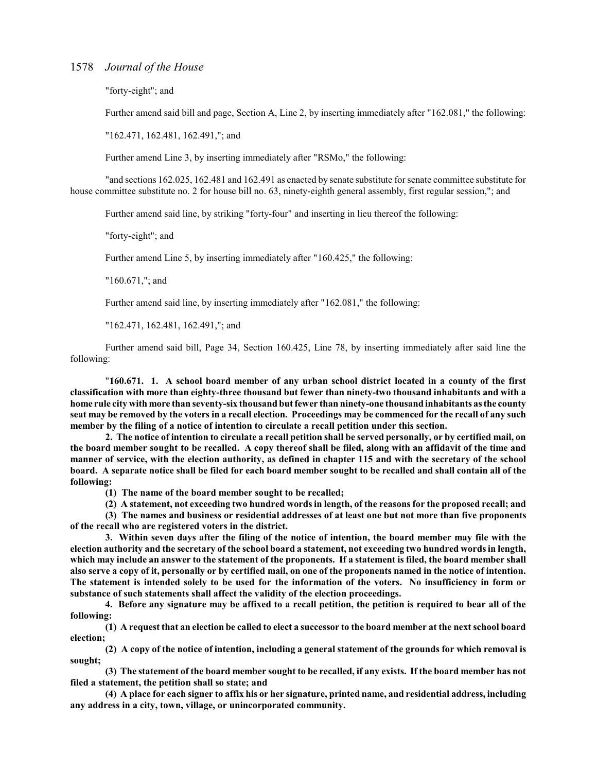"forty-eight"; and

Further amend said bill and page, Section A, Line 2, by inserting immediately after "162.081," the following:

"162.471, 162.481, 162.491,"; and

Further amend Line 3, by inserting immediately after "RSMo," the following:

"and sections 162.025, 162.481 and 162.491 as enacted by senate substitute for senate committee substitute for house committee substitute no. 2 for house bill no. 63, ninety-eighth general assembly, first regular session,"; and

Further amend said line, by striking "forty-four" and inserting in lieu thereof the following:

"forty-eight"; and

Further amend Line 5, by inserting immediately after "160.425," the following:

"160.671,"; and

Further amend said line, by inserting immediately after "162.081," the following:

"162.471, 162.481, 162.491,"; and

Further amend said bill, Page 34, Section 160.425, Line 78, by inserting immediately after said line the following:

"**160.671. 1. A school board member of any urban school district located in a county of the first classification with more than eighty-three thousand but fewer than ninety-two thousand inhabitants and with a home rule city with more than seventy-six thousand but fewer than ninety-one thousand inhabitants as the county seat may be removed by the voters in a recall election. Proceedings may be commenced for the recall of any such member by the filing of a notice of intention to circulate a recall petition under this section.**

**2. The notice of intention to circulate a recall petition shall be served personally, or by certified mail, on the board member sought to be recalled. A copy thereof shall be filed, along with an affidavit of the time and manner of service, with the election authority, as defined in chapter 115 and with the secretary of the school board. A separate notice shall be filed for each board member sought to be recalled and shall contain all of the following:**

**(1) The name of the board member sought to be recalled;**

**(2) A statement, not exceeding two hundred words in length, of the reasons for the proposed recall; and**

**(3) The names and business or residential addresses of at least one but not more than five proponents of the recall who are registered voters in the district.**

**3. Within seven days after the filing of the notice of intention, the board member may file with the election authority and the secretary of the school board a statement, not exceeding two hundred words in length, which may include an answer to the statement of the proponents. If a statement is filed, the board member shall also serve a copy of it, personally or by certified mail, on one of the proponents named in the notice of intention. The statement is intended solely to be used for the information of the voters. No insufficiency in form or substance of such statements shall affect the validity of the election proceedings.**

**4. Before any signature may be affixed to a recall petition, the petition is required to bear all of the following:**

**(1) A request that an election be called to elect a successor to the board member at the next school board election;**

**(2) A copy of the notice of intention, including a general statement of the grounds for which removal is sought;**

**(3) The statement of the board member sought to be recalled, if any exists. If the board member has not filed a statement, the petition shall so state; and**

**(4) A place for each signer to affix his or her signature, printed name, and residential address, including any address in a city, town, village, or unincorporated community.**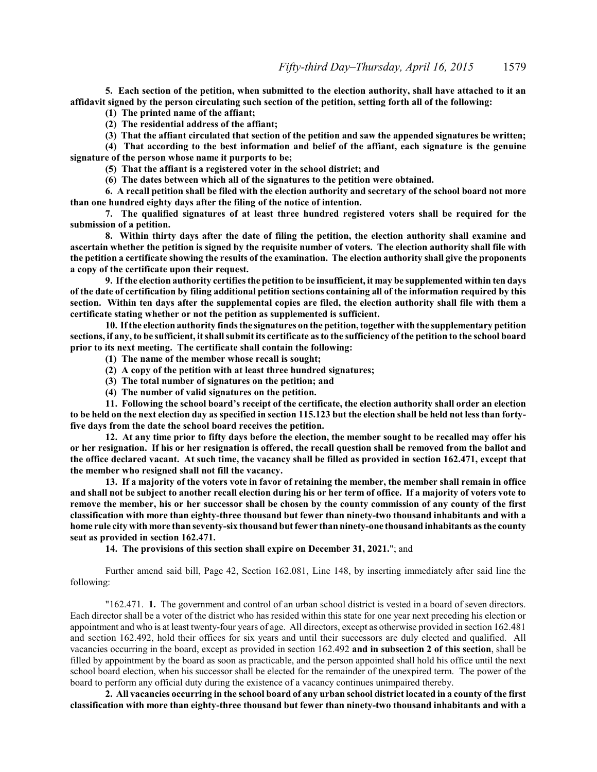**5. Each section of the petition, when submitted to the election authority, shall have attached to it an affidavit signed by the person circulating such section of the petition, setting forth all of the following:**

**(1) The printed name of the affiant;**

**(2) The residential address of the affiant;**

**(3) That the affiant circulated that section of the petition and saw the appended signatures be written;**

**(4) That according to the best information and belief of the affiant, each signature is the genuine signature of the person whose name it purports to be;**

**(5) That the affiant is a registered voter in the school district; and**

**(6) The dates between which all of the signatures to the petition were obtained.**

**6. A recall petition shall be filed with the election authority and secretary of the school board not more than one hundred eighty days after the filing of the notice of intention.**

**7. The qualified signatures of at least three hundred registered voters shall be required for the submission of a petition.**

**8. Within thirty days after the date of filing the petition, the election authority shall examine and ascertain whether the petition is signed by the requisite number of voters. The election authority shall file with the petition a certificate showing the results of the examination. The election authority shall give the proponents a copy of the certificate upon their request.**

**9. If the election authority certifies the petition to be insufficient, it may be supplemented within ten days of the date of certification by filing additional petition sections containing all of the information required by this section. Within ten days after the supplemental copies are filed, the election authority shall file with them a certificate stating whether or not the petition as supplemented is sufficient.**

**10. If the election authority finds the signatures on the petition, together with the supplementary petition sections, if any, to be sufficient, it shall submit its certificate as to the sufficiency of the petition to the school board prior to its next meeting. The certificate shall contain the following:**

**(1) The name of the member whose recall is sought;**

- **(2) A copy of the petition with at least three hundred signatures;**
- **(3) The total number of signatures on the petition; and**
- **(4) The number of valid signatures on the petition.**

**11. Following the school board's receipt of the certificate, the election authority shall order an election to be held on the next election day as specified in section 115.123 but the election shall be held not less than fortyfive days from the date the school board receives the petition.**

**12. At any time prior to fifty days before the election, the member sought to be recalled may offer his or her resignation. If his or her resignation is offered, the recall question shall be removed from the ballot and the office declared vacant. At such time, the vacancy shall be filled as provided in section 162.471, except that the member who resigned shall not fill the vacancy.**

**13. If a majority of the voters vote in favor of retaining the member, the member shall remain in office and shall not be subject to another recall election during his or her term of office. If a majority of voters vote to remove the member, his or her successor shall be chosen by the county commission of any county of the first classification with more than eighty-three thousand but fewer than ninety-two thousand inhabitants and with a home rule city with more than seventy-six thousand but fewer than ninety-one thousand inhabitants as the county seat as provided in section 162.471.**

**14. The provisions of this section shall expire on December 31, 2021.**"; and

Further amend said bill, Page 42, Section 162.081, Line 148, by inserting immediately after said line the following:

"162.471. **1.** The government and control of an urban school district is vested in a board of seven directors. Each director shall be a voter of the district who has resided within this state for one year next preceding his election or appointment and who is at least twenty-four years of age. All directors, except as otherwise provided in section 162.481 and section 162.492, hold their offices for six years and until their successors are duly elected and qualified. All vacancies occurring in the board, except as provided in section 162.492 **and in subsection 2 of this section**, shall be filled by appointment by the board as soon as practicable, and the person appointed shall hold his office until the next school board election, when his successor shall be elected for the remainder of the unexpired term. The power of the board to perform any official duty during the existence of a vacancy continues unimpaired thereby.

**2. All vacancies occurring in the school board of any urban school district located in a county of the first classification with more than eighty-three thousand but fewer than ninety-two thousand inhabitants and with a**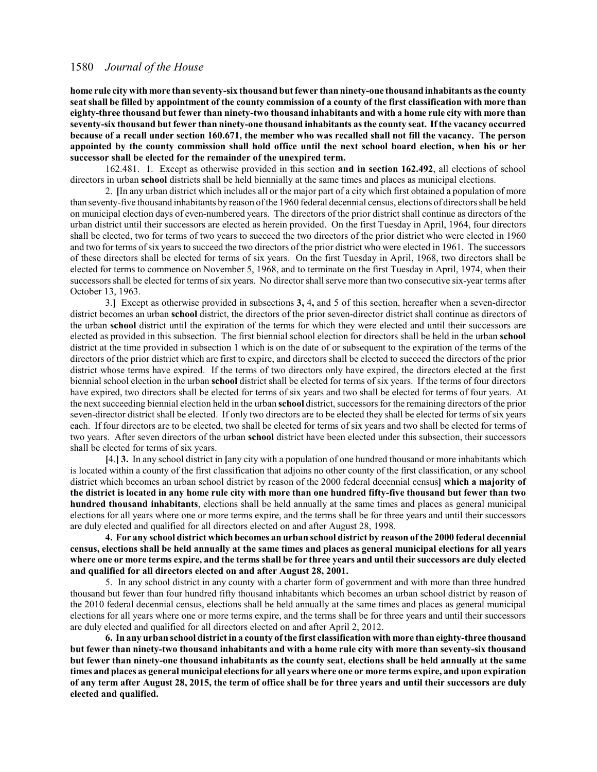**home rule city with more than seventy-six thousand but fewer than ninety-one thousand inhabitants as the county seat shall be filled by appointment of the county commission of a county of the first classification with more than eighty-three thousand but fewer than ninety-two thousand inhabitants and with a home rule city with more than seventy-six thousand but fewer than ninety-one thousand inhabitants as the county seat. If the vacancy occurred because of a recall under section 160.671, the member who was recalled shall not fill the vacancy. The person appointed by the county commission shall hold office until the next school board election, when his or her successor shall be elected for the remainder of the unexpired term.**

162.481. 1. Except as otherwise provided in this section **and in section 162.492**, all elections of school directors in urban **school** districts shall be held biennially at the same times and places as municipal elections.

2. **[**In any urban district which includes all or the major part of a city which first obtained a population of more than seventy-five thousand inhabitants by reason ofthe 1960 federal decennial census, elections of directors shall be held on municipal election days of even-numbered years. The directors of the prior district shall continue as directors of the urban district until their successors are elected as herein provided. On the first Tuesday in April, 1964, four directors shall be elected, two for terms of two years to succeed the two directors of the prior district who were elected in 1960 and two for terms ofsix years to succeed the two directors of the prior district who were elected in 1961. The successors of these directors shall be elected for terms of six years. On the first Tuesday in April, 1968, two directors shall be elected for terms to commence on November 5, 1968, and to terminate on the first Tuesday in April, 1974, when their successors shall be elected for terms ofsix years. No director shall serve more than two consecutive six-year terms after October 13, 1963.

3.**]** Except as otherwise provided in subsections **3,** 4**,** and 5 of this section, hereafter when a seven-director district becomes an urban **school** district, the directors of the prior seven-director district shall continue as directors of the urban **school** district until the expiration of the terms for which they were elected and until their successors are elected as provided in this subsection. The first biennial school election for directors shall be held in the urban **school** district at the time provided in subsection 1 which is on the date of or subsequent to the expiration of the terms of the directors of the prior district which are first to expire, and directors shall be elected to succeed the directors of the prior district whose terms have expired. If the terms of two directors only have expired, the directors elected at the first biennial school election in the urban **school** district shall be elected for terms of six years. If the terms of four directors have expired, two directors shall be elected for terms of six years and two shall be elected for terms of four years. At the next succeeding biennial election held in the urban **school** district, successors for the remaining directors of the prior seven-director district shall be elected. If only two directors are to be elected they shall be elected for terms of six years each. If four directors are to be elected, two shall be elected for terms of six years and two shall be elected for terms of two years. After seven directors of the urban **school** district have been elected under this subsection, their successors shall be elected for terms of six years.

**[**4.**] 3.** In any school district in **[**any city with a population of one hundred thousand or more inhabitants which is located within a county of the first classification that adjoins no other county of the first classification, or any school district which becomes an urban school district by reason of the 2000 federal decennial census**] which a majority of the district is located in any home rule city with more than one hundred fifty-five thousand but fewer than two hundred thousand inhabitants**, elections shall be held annually at the same times and places as general municipal elections for all years where one or more terms expire, and the terms shall be for three years and until their successors are duly elected and qualified for all directors elected on and after August 28, 1998.

### **4. For any school district which becomes an urban school district by reason of the 2000 federal decennial census, elections shall be held annually at the same times and places as general municipal elections for all years where one or more terms expire, and the terms shall be for three years and until their successors are duly elected and qualified for all directors elected on and after August 28, 2001.**

5. In any school district in any county with a charter form of government and with more than three hundred thousand but fewer than four hundred fifty thousand inhabitants which becomes an urban school district by reason of the 2010 federal decennial census, elections shall be held annually at the same times and places as general municipal elections for all years where one or more terms expire, and the terms shall be for three years and until their successors are duly elected and qualified for all directors elected on and after April 2, 2012.

**6. In any urban school district in a county of the first classification with more than eighty-three thousand but fewer than ninety-two thousand inhabitants and with a home rule city with more than seventy-six thousand but fewer than ninety-one thousand inhabitants as the county seat, elections shall be held annually at the same times and places as general municipal elections for all years where one or more terms expire, and upon expiration of any term after August 28, 2015, the term of office shall be for three years and until their successors are duly elected and qualified.**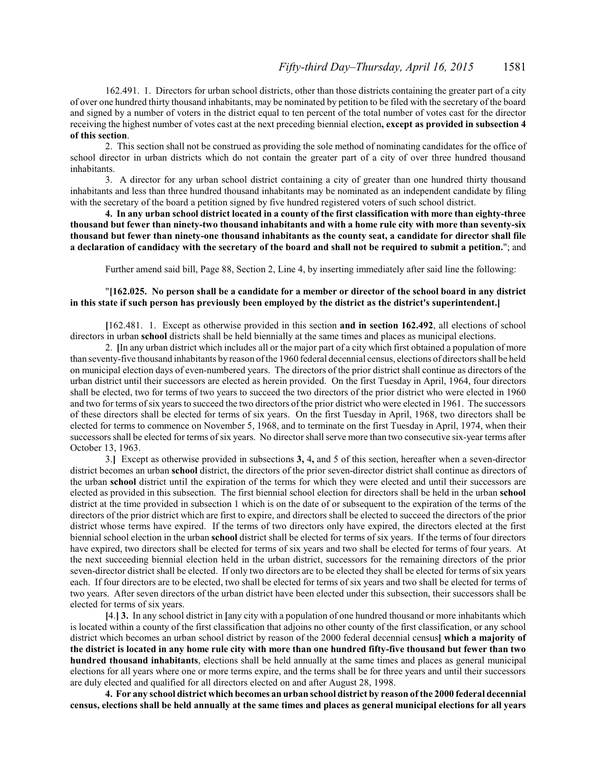162.491. 1. Directors for urban school districts, other than those districts containing the greater part of a city of over one hundred thirty thousand inhabitants, may be nominated by petition to be filed with the secretary of the board and signed by a number of voters in the district equal to ten percent of the total number of votes cast for the director receiving the highest number of votes cast at the next preceding biennial election**, except as provided in subsection 4 of this section**.

2. This section shall not be construed as providing the sole method of nominating candidates for the office of school director in urban districts which do not contain the greater part of a city of over three hundred thousand inhabitants.

3. A director for any urban school district containing a city of greater than one hundred thirty thousand inhabitants and less than three hundred thousand inhabitants may be nominated as an independent candidate by filing with the secretary of the board a petition signed by five hundred registered voters of such school district.

**4. In any urban school district located in a county of the first classification with more than eighty-three thousand but fewer than ninety-two thousand inhabitants and with a home rule city with more than seventy-six thousand but fewer than ninety-one thousand inhabitants as the county seat, a candidate for director shall file a declaration of candidacy with the secretary of the board and shall not be required to submit a petition.**"; and

Further amend said bill, Page 88, Section 2, Line 4, by inserting immediately after said line the following:

### "**[162.025. No person shall be a candidate for a member or director of the school board in any district in this state if such person has previously been employed by the district as the district's superintendent.]**

**[**162.481. 1. Except as otherwise provided in this section **and in section 162.492**, all elections of school directors in urban **school** districts shall be held biennially at the same times and places as municipal elections.

2. **[**In any urban district which includes all or the major part of a city which first obtained a population of more than seventy-five thousand inhabitants by reason ofthe 1960 federal decennial census, elections of directors shall be held on municipal election days of even-numbered years. The directors of the prior district shall continue as directors of the urban district until their successors are elected as herein provided. On the first Tuesday in April, 1964, four directors shall be elected, two for terms of two years to succeed the two directors of the prior district who were elected in 1960 and two for terms of six years to succeed the two directors of the prior district who were elected in 1961. The successors of these directors shall be elected for terms of six years. On the first Tuesday in April, 1968, two directors shall be elected for terms to commence on November 5, 1968, and to terminate on the first Tuesday in April, 1974, when their successors shall be elected for terms ofsix years. No director shall serve more than two consecutive six-year terms after October 13, 1963.

3.**]** Except as otherwise provided in subsections **3,** 4**,** and 5 of this section, hereafter when a seven-director district becomes an urban **school** district, the directors of the prior seven-director district shall continue as directors of the urban **school** district until the expiration of the terms for which they were elected and until their successors are elected as provided in this subsection. The first biennial school election for directors shall be held in the urban **school** district at the time provided in subsection 1 which is on the date of or subsequent to the expiration of the terms of the directors of the prior district which are first to expire, and directors shall be elected to succeed the directors of the prior district whose terms have expired. If the terms of two directors only have expired, the directors elected at the first biennial school election in the urban **school** district shall be elected for terms of six years. If the terms of four directors have expired, two directors shall be elected for terms of six years and two shall be elected for terms of four years. At the next succeeding biennial election held in the urban district, successors for the remaining directors of the prior seven-director district shall be elected. If only two directors are to be elected they shall be elected for terms of six years each. If four directors are to be elected, two shall be elected for terms of six years and two shall be elected for terms of two years. After seven directors of the urban district have been elected under this subsection, their successors shall be elected for terms of six years.

**[**4.**] 3.** In any school district in **[**any city with a population of one hundred thousand or more inhabitants which is located within a county of the first classification that adjoins no other county of the first classification, or any school district which becomes an urban school district by reason of the 2000 federal decennial census**] which a majority of the district is located in any home rule city with more than one hundred fifty-five thousand but fewer than two hundred thousand inhabitants**, elections shall be held annually at the same times and places as general municipal elections for all years where one or more terms expire, and the terms shall be for three years and until their successors are duly elected and qualified for all directors elected on and after August 28, 1998.

**4. For any school district which becomes an urban school district by reason of the 2000 federal decennial census, elections shall be held annually at the same times and places as general municipal elections for all years**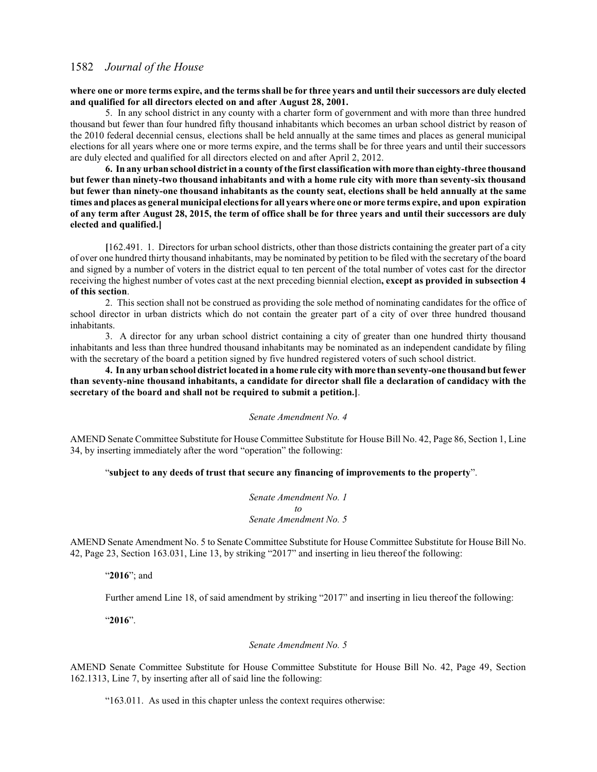### **where one or more terms expire, and the termsshall be for three years and until their successors are duly elected and qualified for all directors elected on and after August 28, 2001.**

5. In any school district in any county with a charter form of government and with more than three hundred thousand but fewer than four hundred fifty thousand inhabitants which becomes an urban school district by reason of the 2010 federal decennial census, elections shall be held annually at the same times and places as general municipal elections for all years where one or more terms expire, and the terms shall be for three years and until their successors are duly elected and qualified for all directors elected on and after April 2, 2012.

**6. In any urban school district in a county of the first classification with more than eighty-three thousand but fewer than ninety-two thousand inhabitants and with a home rule city with more than seventy-six thousand but fewer than ninety-one thousand inhabitants as the county seat, elections shall be held annually at the same times and places as general municipal elections for all years where one or more terms expire, and upon expiration of any term after August 28, 2015, the term of office shall be for three years and until their successors are duly elected and qualified.]**

**[**162.491. 1. Directors for urban school districts, other than those districts containing the greater part of a city of over one hundred thirty thousand inhabitants, may be nominated by petition to be filed with the secretary of the board and signed by a number of voters in the district equal to ten percent of the total number of votes cast for the director receiving the highest number of votes cast at the next preceding biennial election**, except as provided in subsection 4 of this section**.

2. This section shall not be construed as providing the sole method of nominating candidates for the office of school director in urban districts which do not contain the greater part of a city of over three hundred thousand inhabitants.

3. A director for any urban school district containing a city of greater than one hundred thirty thousand inhabitants and less than three hundred thousand inhabitants may be nominated as an independent candidate by filing with the secretary of the board a petition signed by five hundred registered voters of such school district.

**4. In any urban school district located in a home rule city with more than seventy-one thousand but fewer than seventy-nine thousand inhabitants, a candidate for director shall file a declaration of candidacy with the secretary of the board and shall not be required to submit a petition.]**.

*Senate Amendment No. 4*

AMEND Senate Committee Substitute for House Committee Substitute for House Bill No. 42, Page 86, Section 1, Line 34, by inserting immediately after the word "operation" the following:

### "**subject to any deeds of trust that secure any financing of improvements to the property**".

*Senate Amendment No. 1 to Senate Amendment No. 5*

AMEND Senate Amendment No. 5 to Senate Committee Substitute for House Committee Substitute for House Bill No. 42, Page 23, Section 163.031, Line 13, by striking "2017" and inserting in lieu thereof the following:

"**2016**"; and

Further amend Line 18, of said amendment by striking "2017" and inserting in lieu thereof the following:

"**2016**".

### *Senate Amendment No. 5*

AMEND Senate Committee Substitute for House Committee Substitute for House Bill No. 42, Page 49, Section 162.1313, Line 7, by inserting after all of said line the following:

"163.011. As used in this chapter unless the context requires otherwise: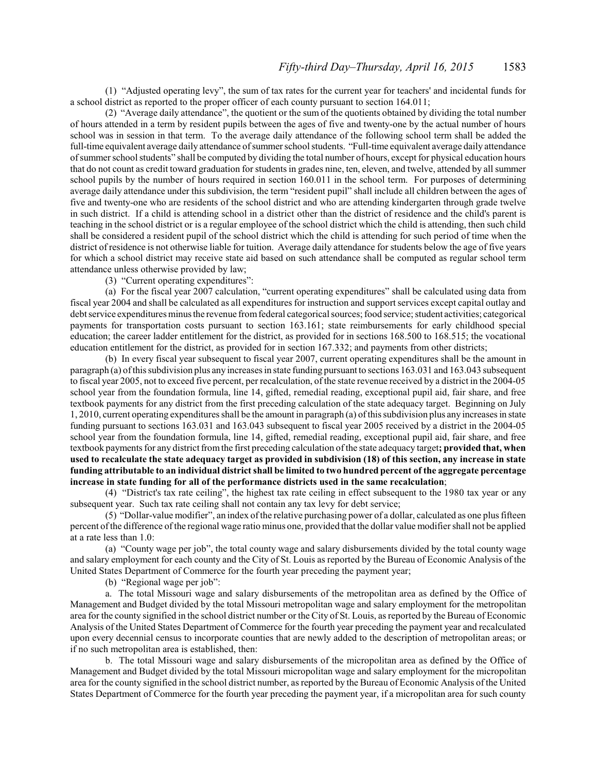(1) "Adjusted operating levy", the sum of tax rates for the current year for teachers' and incidental funds for a school district as reported to the proper officer of each county pursuant to section 164.011;

(2) "Average daily attendance", the quotient or the sum of the quotients obtained by dividing the total number of hours attended in a term by resident pupils between the ages of five and twenty-one by the actual number of hours school was in session in that term. To the average daily attendance of the following school term shall be added the full-time equivalent average daily attendance of summer school students. "Full-time equivalent average daily attendance ofsummer school students" shall be computed by dividing the total number of hours, except for physical education hours that do not count as credit toward graduation for students in grades nine, ten, eleven, and twelve, attended by all summer school pupils by the number of hours required in section 160.011 in the school term. For purposes of determining average daily attendance under this subdivision, the term "resident pupil" shall include all children between the ages of five and twenty-one who are residents of the school district and who are attending kindergarten through grade twelve in such district. If a child is attending school in a district other than the district of residence and the child's parent is teaching in the school district or is a regular employee of the school district which the child is attending, then such child shall be considered a resident pupil of the school district which the child is attending for such period of time when the district of residence is not otherwise liable for tuition. Average daily attendance for students below the age of five years for which a school district may receive state aid based on such attendance shall be computed as regular school term attendance unless otherwise provided by law;

(3) "Current operating expenditures":

(a) For the fiscal year 2007 calculation, "current operating expenditures" shall be calculated using data from fiscal year 2004 and shall be calculated as all expenditures for instruction and support services except capital outlay and debt service expenditures minus the revenue fromfederal categorical sources; food service; student activities; categorical payments for transportation costs pursuant to section 163.161; state reimbursements for early childhood special education; the career ladder entitlement for the district, as provided for in sections 168.500 to 168.515; the vocational education entitlement for the district, as provided for in section 167.332; and payments from other districts;

(b) In every fiscal year subsequent to fiscal year 2007, current operating expenditures shall be the amount in paragraph (a) ofthis subdivision plus any increases in state funding pursuant to sections 163.031 and 163.043 subsequent to fiscal year 2005, not to exceed five percent, per recalculation, of the state revenue received by a district in the 2004-05 school year from the foundation formula, line 14, gifted, remedial reading, exceptional pupil aid, fair share, and free textbook payments for any district from the first preceding calculation of the state adequacy target. Beginning on July 1, 2010, current operating expenditures shall be the amount in paragraph (a) ofthis subdivision plus any increases in state funding pursuant to sections 163.031 and 163.043 subsequent to fiscal year 2005 received by a district in the 2004-05 school year from the foundation formula, line 14, gifted, remedial reading, exceptional pupil aid, fair share, and free textbook payments for any district fromthe first preceding calculation ofthe state adequacy target**; provided that, when used to recalculate the state adequacy target as provided in subdivision (18) of this section, any increase in state funding attributable to an individual district shall be limited to two hundred percent of the aggregate percentage increase in state funding for all of the performance districts used in the same recalculation**;

(4) "District's tax rate ceiling", the highest tax rate ceiling in effect subsequent to the 1980 tax year or any subsequent year. Such tax rate ceiling shall not contain any tax levy for debt service;

(5) "Dollar-value modifier", an index ofthe relative purchasing power of a dollar, calculated as one plus fifteen percent ofthe difference ofthe regional wage ratio minus one, provided that the dollar value modifier shall not be applied at a rate less than 1.0:

(a) "County wage per job", the total county wage and salary disbursements divided by the total county wage and salary employment for each county and the City of St. Louis as reported by the Bureau of Economic Analysis of the United States Department of Commerce for the fourth year preceding the payment year;

(b) "Regional wage per job":

a. The total Missouri wage and salary disbursements of the metropolitan area as defined by the Office of Management and Budget divided by the total Missouri metropolitan wage and salary employment for the metropolitan area for the county signified in the school district number or the City of St. Louis, as reported by the Bureau of Economic Analysis of the United States Department of Commerce for the fourth year preceding the payment year and recalculated upon every decennial census to incorporate counties that are newly added to the description of metropolitan areas; or if no such metropolitan area is established, then:

b. The total Missouri wage and salary disbursements of the micropolitan area as defined by the Office of Management and Budget divided by the total Missouri micropolitan wage and salary employment for the micropolitan area for the county signified in the school district number, as reported by the Bureau of Economic Analysis of the United States Department of Commerce for the fourth year preceding the payment year, if a micropolitan area for such county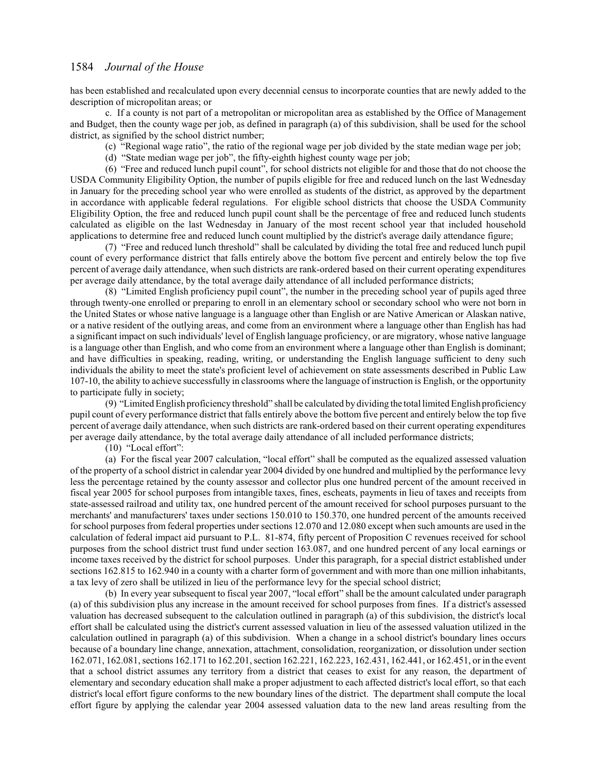has been established and recalculated upon every decennial census to incorporate counties that are newly added to the description of micropolitan areas; or

c. If a county is not part of a metropolitan or micropolitan area as established by the Office of Management and Budget, then the county wage per job, as defined in paragraph (a) of this subdivision, shall be used for the school district, as signified by the school district number;

(c) "Regional wage ratio", the ratio of the regional wage per job divided by the state median wage per job;

(d) "State median wage per job", the fifty-eighth highest county wage per job;

(6) "Free and reduced lunch pupil count", for school districts not eligible for and those that do not choose the USDA Community Eligibility Option, the number of pupils eligible for free and reduced lunch on the last Wednesday in January for the preceding school year who were enrolled as students of the district, as approved by the department in accordance with applicable federal regulations. For eligible school districts that choose the USDA Community Eligibility Option, the free and reduced lunch pupil count shall be the percentage of free and reduced lunch students calculated as eligible on the last Wednesday in January of the most recent school year that included household applications to determine free and reduced lunch count multiplied by the district's average daily attendance figure;

(7) "Free and reduced lunch threshold" shall be calculated by dividing the total free and reduced lunch pupil count of every performance district that falls entirely above the bottom five percent and entirely below the top five percent of average daily attendance, when such districts are rank-ordered based on their current operating expenditures per average daily attendance, by the total average daily attendance of all included performance districts;

(8) "Limited English proficiency pupil count", the number in the preceding school year of pupils aged three through twenty-one enrolled or preparing to enroll in an elementary school or secondary school who were not born in the United States or whose native language is a language other than English or are Native American or Alaskan native, or a native resident of the outlying areas, and come from an environment where a language other than English has had a significant impact on such individuals' level of English language proficiency, or are migratory, whose native language is a language other than English, and who come from an environment where a language other than English is dominant; and have difficulties in speaking, reading, writing, or understanding the English language sufficient to deny such individuals the ability to meet the state's proficient level of achievement on state assessments described in Public Law 107-10, the ability to achieve successfully in classrooms where the language of instruction is English, or the opportunity to participate fully in society;

(9) "LimitedEnglish proficiency threshold" shall be calculated by dividing the total limitedEnglish proficiency pupil count of every performance district that falls entirely above the bottom five percent and entirely below the top five percent of average daily attendance, when such districts are rank-ordered based on their current operating expenditures per average daily attendance, by the total average daily attendance of all included performance districts;

(10) "Local effort":

(a) For the fiscal year 2007 calculation, "local effort" shall be computed as the equalized assessed valuation of the property of a school district in calendar year 2004 divided by one hundred and multiplied by the performance levy less the percentage retained by the county assessor and collector plus one hundred percent of the amount received in fiscal year 2005 for school purposes from intangible taxes, fines, escheats, payments in lieu of taxes and receipts from state-assessed railroad and utility tax, one hundred percent of the amount received for school purposes pursuant to the merchants' and manufacturers' taxes under sections 150.010 to 150.370, one hundred percent of the amounts received for school purposes from federal properties under sections 12.070 and 12.080 except when such amounts are used in the calculation of federal impact aid pursuant to P.L. 81-874, fifty percent of Proposition C revenues received for school purposes from the school district trust fund under section 163.087, and one hundred percent of any local earnings or income taxes received by the district for school purposes. Under this paragraph, for a special district established under sections 162.815 to 162.940 in a county with a charter form of government and with more than one million inhabitants, a tax levy of zero shall be utilized in lieu of the performance levy for the special school district;

(b) In every year subsequent to fiscal year 2007, "local effort" shall be the amount calculated under paragraph (a) of this subdivision plus any increase in the amount received for school purposes from fines. If a district's assessed valuation has decreased subsequent to the calculation outlined in paragraph (a) of this subdivision, the district's local effort shall be calculated using the district's current assessed valuation in lieu of the assessed valuation utilized in the calculation outlined in paragraph (a) of this subdivision. When a change in a school district's boundary lines occurs because of a boundary line change, annexation, attachment, consolidation, reorganization, or dissolution under section 162.071, 162.081, sections 162.171 to 162.201, section 162.221, 162.223, 162.431, 162.441, or 162.451, or in the event that a school district assumes any territory from a district that ceases to exist for any reason, the department of elementary and secondary education shall make a proper adjustment to each affected district's local effort, so that each district's local effort figure conforms to the new boundary lines of the district. The department shall compute the local effort figure by applying the calendar year 2004 assessed valuation data to the new land areas resulting from the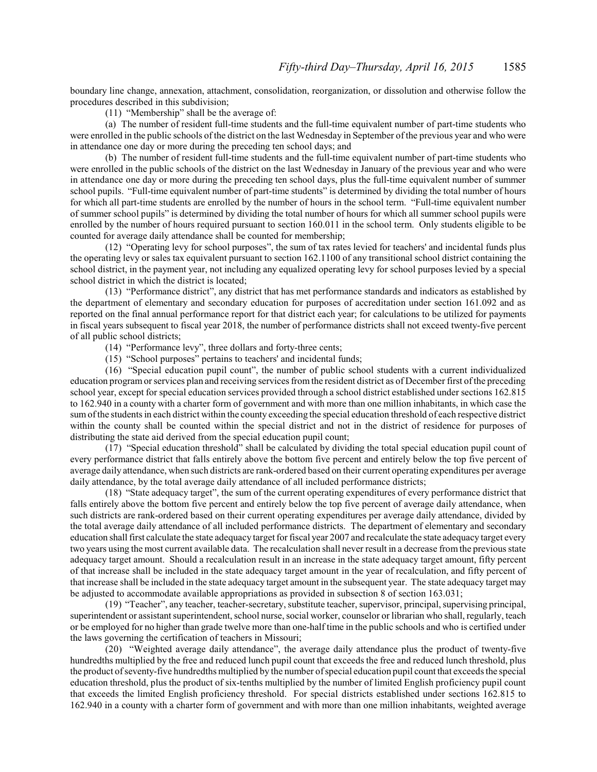boundary line change, annexation, attachment, consolidation, reorganization, or dissolution and otherwise follow the procedures described in this subdivision;

(11) "Membership" shall be the average of:

(a) The number of resident full-time students and the full-time equivalent number of part-time students who were enrolled in the public schools of the district on the last Wednesday in September of the previous year and who were in attendance one day or more during the preceding ten school days; and

(b) The number of resident full-time students and the full-time equivalent number of part-time students who were enrolled in the public schools of the district on the last Wednesday in January of the previous year and who were in attendance one day or more during the preceding ten school days, plus the full-time equivalent number of summer school pupils. "Full-time equivalent number of part-time students" is determined by dividing the total number of hours for which all part-time students are enrolled by the number of hours in the school term. "Full-time equivalent number of summer school pupils" is determined by dividing the total number of hours for which all summer school pupils were enrolled by the number of hours required pursuant to section 160.011 in the school term. Only students eligible to be counted for average daily attendance shall be counted for membership;

(12) "Operating levy for school purposes", the sum of tax rates levied for teachers' and incidental funds plus the operating levy or sales tax equivalent pursuant to section 162.1100 of any transitional school district containing the school district, in the payment year, not including any equalized operating levy for school purposes levied by a special school district in which the district is located;

(13) "Performance district", any district that has met performance standards and indicators as established by the department of elementary and secondary education for purposes of accreditation under section 161.092 and as reported on the final annual performance report for that district each year; for calculations to be utilized for payments in fiscal years subsequent to fiscal year 2018, the number of performance districts shall not exceed twenty-five percent of all public school districts;

- (14) "Performance levy", three dollars and forty-three cents;
- (15) "School purposes" pertains to teachers' and incidental funds;

(16) "Special education pupil count", the number of public school students with a current individualized education programor services plan and receiving services fromthe resident district as of December first ofthe preceding school year, except for special education services provided through a school district established under sections 162.815 to 162.940 in a county with a charter form of government and with more than one million inhabitants, in which case the sumofthe students in each district within the county exceeding the special education threshold of each respective district within the county shall be counted within the special district and not in the district of residence for purposes of distributing the state aid derived from the special education pupil count;

(17) "Special education threshold" shall be calculated by dividing the total special education pupil count of every performance district that falls entirely above the bottom five percent and entirely below the top five percent of average daily attendance, when such districts are rank-ordered based on their current operating expenditures per average daily attendance, by the total average daily attendance of all included performance districts;

(18) "State adequacy target", the sum of the current operating expenditures of every performance district that falls entirely above the bottom five percent and entirely below the top five percent of average daily attendance, when such districts are rank-ordered based on their current operating expenditures per average daily attendance, divided by the total average daily attendance of all included performance districts. The department of elementary and secondary education shall first calculate the state adequacy target for fiscal year 2007 and recalculate the state adequacy target every two years using the most current available data. The recalculation shall never result in a decrease from the previous state adequacy target amount. Should a recalculation result in an increase in the state adequacy target amount, fifty percent of that increase shall be included in the state adequacy target amount in the year of recalculation, and fifty percent of that increase shall be included in the state adequacy target amount in the subsequent year. The state adequacy target may be adjusted to accommodate available appropriations as provided in subsection 8 of section 163.031;

(19) "Teacher", any teacher, teacher-secretary, substitute teacher, supervisor, principal, supervising principal, superintendent or assistant superintendent, school nurse, social worker, counselor or librarian who shall, regularly, teach or be employed for no higher than grade twelve more than one-half time in the public schools and who is certified under the laws governing the certification of teachers in Missouri;

(20) "Weighted average daily attendance", the average daily attendance plus the product of twenty-five hundredths multiplied by the free and reduced lunch pupil count that exceeds the free and reduced lunch threshold, plus the product ofseventy-five hundredths multiplied by the number ofspecial education pupil count that exceeds the special education threshold, plus the product of six-tenths multiplied by the number of limited English proficiency pupil count that exceeds the limited English proficiency threshold. For special districts established under sections 162.815 to 162.940 in a county with a charter form of government and with more than one million inhabitants, weighted average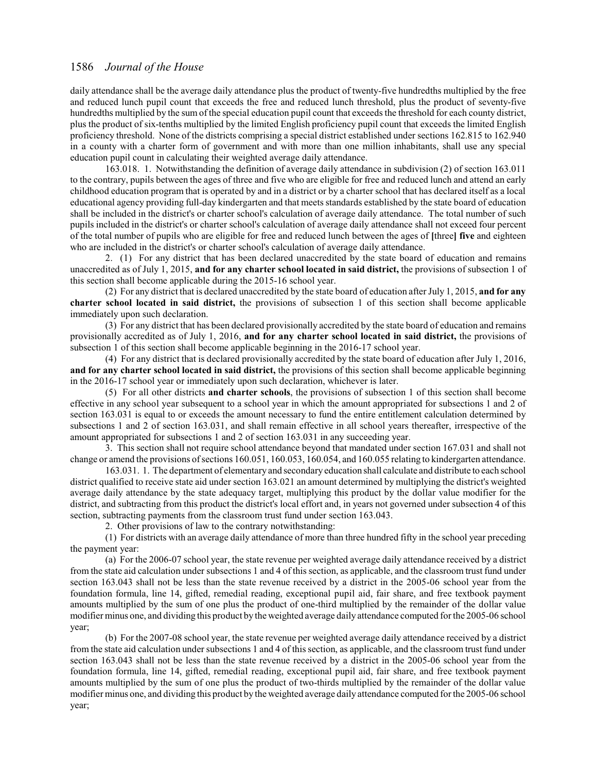daily attendance shall be the average daily attendance plus the product of twenty-five hundredths multiplied by the free and reduced lunch pupil count that exceeds the free and reduced lunch threshold, plus the product of seventy-five hundredths multiplied by the sum of the special education pupil count that exceeds the threshold for each county district, plus the product of six-tenths multiplied by the limited English proficiency pupil count that exceeds the limited English proficiency threshold. None of the districts comprising a special district established under sections 162.815 to 162.940 in a county with a charter form of government and with more than one million inhabitants, shall use any special education pupil count in calculating their weighted average daily attendance.

163.018. 1. Notwithstanding the definition of average daily attendance in subdivision (2) of section 163.011 to the contrary, pupils between the ages of three and five who are eligible for free and reduced lunch and attend an early childhood education program that is operated by and in a district or by a charter school that has declared itself as a local educational agency providing full-day kindergarten and that meets standards established by the state board of education shall be included in the district's or charter school's calculation of average daily attendance. The total number of such pupils included in the district's or charter school's calculation of average daily attendance shall not exceed four percent of the total number of pupils who are eligible for free and reduced lunch between the ages of **[**three**] five** and eighteen who are included in the district's or charter school's calculation of average daily attendance.

2. (1) For any district that has been declared unaccredited by the state board of education and remains unaccredited as of July 1, 2015, **and for any charter school located in said district,** the provisions of subsection 1 of this section shall become applicable during the 2015-16 school year.

(2) For any district that is declared unaccredited by the state board of education after July 1, 2015, **and for any charter school located in said district,** the provisions of subsection 1 of this section shall become applicable immediately upon such declaration.

(3) For any district that has been declared provisionally accredited by the state board of education and remains provisionally accredited as of July 1, 2016, **and for any charter school located in said district,** the provisions of subsection 1 of this section shall become applicable beginning in the 2016-17 school year.

(4) For any district that is declared provisionally accredited by the state board of education after July 1, 2016, **and for any charter school located in said district,** the provisions of this section shall become applicable beginning in the 2016-17 school year or immediately upon such declaration, whichever is later.

(5) For all other districts **and charter schools**, the provisions of subsection 1 of this section shall become effective in any school year subsequent to a school year in which the amount appropriated for subsections 1 and 2 of section 163.031 is equal to or exceeds the amount necessary to fund the entire entitlement calculation determined by subsections 1 and 2 of section 163.031, and shall remain effective in all school years thereafter, irrespective of the amount appropriated for subsections 1 and 2 of section 163.031 in any succeeding year.

3. This section shall not require school attendance beyond that mandated under section 167.031 and shall not change or amend the provisions ofsections 160.051, 160.053, 160.054, and 160.055 relating to kindergarten attendance.

163.031. 1. The department of elementary and secondary education shall calculate and distribute to each school district qualified to receive state aid under section 163.021 an amount determined by multiplying the district's weighted average daily attendance by the state adequacy target, multiplying this product by the dollar value modifier for the district, and subtracting from this product the district's local effort and, in years not governed under subsection 4 of this section, subtracting payments from the classroom trust fund under section 163.043.

2. Other provisions of law to the contrary notwithstanding:

(1) For districts with an average daily attendance of more than three hundred fifty in the school year preceding the payment year:

(a) For the 2006-07 school year, the state revenue per weighted average daily attendance received by a district from the state aid calculation under subsections 1 and 4 of this section, as applicable, and the classroom trust fund under section 163.043 shall not be less than the state revenue received by a district in the 2005-06 school year from the foundation formula, line 14, gifted, remedial reading, exceptional pupil aid, fair share, and free textbook payment amounts multiplied by the sum of one plus the product of one-third multiplied by the remainder of the dollar value modifier minus one, and dividing this product by the weighted average daily attendance computed for the 2005-06 school year;

(b) For the 2007-08 school year, the state revenue per weighted average daily attendance received by a district from the state aid calculation under subsections 1 and 4 of this section, as applicable, and the classroom trust fund under section 163.043 shall not be less than the state revenue received by a district in the 2005-06 school year from the foundation formula, line 14, gifted, remedial reading, exceptional pupil aid, fair share, and free textbook payment amounts multiplied by the sum of one plus the product of two-thirds multiplied by the remainder of the dollar value modifier minus one, and dividing this product by the weighted average daily attendance computed for the 2005-06 school year;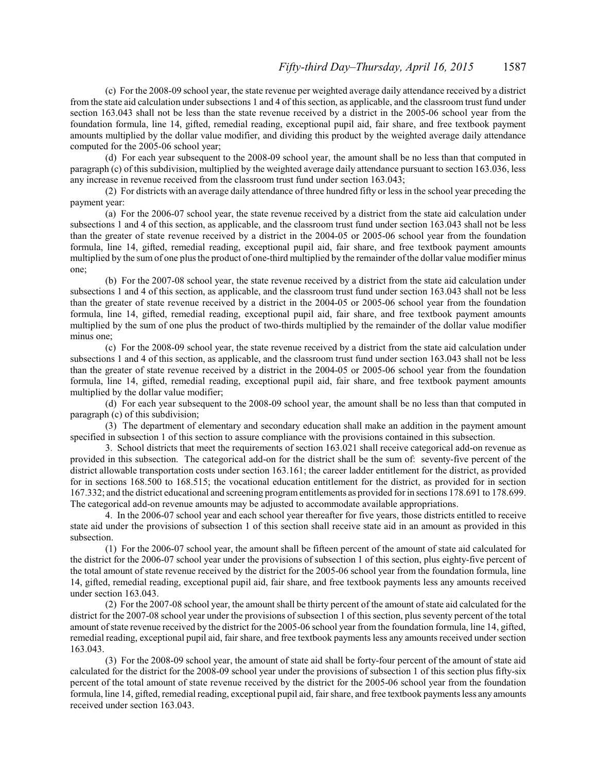(c) For the 2008-09 school year, the state revenue per weighted average daily attendance received by a district from the state aid calculation under subsections 1 and 4 of this section, as applicable, and the classroom trust fund under section 163.043 shall not be less than the state revenue received by a district in the 2005-06 school year from the foundation formula, line 14, gifted, remedial reading, exceptional pupil aid, fair share, and free textbook payment amounts multiplied by the dollar value modifier, and dividing this product by the weighted average daily attendance computed for the 2005-06 school year;

(d) For each year subsequent to the 2008-09 school year, the amount shall be no less than that computed in paragraph (c) of this subdivision, multiplied by the weighted average daily attendance pursuant to section 163.036, less any increase in revenue received from the classroom trust fund under section 163.043;

(2) For districts with an average daily attendance of three hundred fifty or less in the school year preceding the payment year:

(a) For the 2006-07 school year, the state revenue received by a district from the state aid calculation under subsections 1 and 4 of this section, as applicable, and the classroom trust fund under section 163.043 shall not be less than the greater of state revenue received by a district in the 2004-05 or 2005-06 school year from the foundation formula, line 14, gifted, remedial reading, exceptional pupil aid, fair share, and free textbook payment amounts multiplied by the sum of one plusthe product of one-third multiplied by the remainder ofthe dollar value modifier minus one;

(b) For the 2007-08 school year, the state revenue received by a district from the state aid calculation under subsections 1 and 4 of this section, as applicable, and the classroom trust fund under section 163.043 shall not be less than the greater of state revenue received by a district in the 2004-05 or 2005-06 school year from the foundation formula, line 14, gifted, remedial reading, exceptional pupil aid, fair share, and free textbook payment amounts multiplied by the sum of one plus the product of two-thirds multiplied by the remainder of the dollar value modifier minus one;

(c) For the 2008-09 school year, the state revenue received by a district from the state aid calculation under subsections 1 and 4 of this section, as applicable, and the classroom trust fund under section 163.043 shall not be less than the greater of state revenue received by a district in the 2004-05 or 2005-06 school year from the foundation formula, line 14, gifted, remedial reading, exceptional pupil aid, fair share, and free textbook payment amounts multiplied by the dollar value modifier;

(d) For each year subsequent to the 2008-09 school year, the amount shall be no less than that computed in paragraph (c) of this subdivision;

(3) The department of elementary and secondary education shall make an addition in the payment amount specified in subsection 1 of this section to assure compliance with the provisions contained in this subsection.

3. School districts that meet the requirements of section 163.021 shall receive categorical add-on revenue as provided in this subsection. The categorical add-on for the district shall be the sum of: seventy-five percent of the district allowable transportation costs under section 163.161; the career ladder entitlement for the district, as provided for in sections 168.500 to 168.515; the vocational education entitlement for the district, as provided for in section 167.332; and the district educational and screening program entitlements as provided for in sections 178.691 to 178.699. The categorical add-on revenue amounts may be adjusted to accommodate available appropriations.

4. In the 2006-07 school year and each school year thereafter for five years, those districts entitled to receive state aid under the provisions of subsection 1 of this section shall receive state aid in an amount as provided in this subsection.

(1) For the 2006-07 school year, the amount shall be fifteen percent of the amount of state aid calculated for the district for the 2006-07 school year under the provisions of subsection 1 of this section, plus eighty-five percent of the total amount of state revenue received by the district for the 2005-06 school year from the foundation formula, line 14, gifted, remedial reading, exceptional pupil aid, fair share, and free textbook payments less any amounts received under section 163.043.

(2) For the 2007-08 school year, the amount shall be thirty percent of the amount of state aid calculated for the district for the 2007-08 school year under the provisions of subsection 1 of this section, plus seventy percent of the total amount ofstate revenue received by the district for the 2005-06 school year from the foundation formula, line 14, gifted, remedial reading, exceptional pupil aid, fair share, and free textbook payments less any amounts received under section 163.043.

(3) For the 2008-09 school year, the amount of state aid shall be forty-four percent of the amount of state aid calculated for the district for the 2008-09 school year under the provisions of subsection 1 of this section plus fifty-six percent of the total amount of state revenue received by the district for the 2005-06 school year from the foundation formula, line 14, gifted, remedial reading, exceptional pupil aid, fair share, and free textbook payments less any amounts received under section 163.043.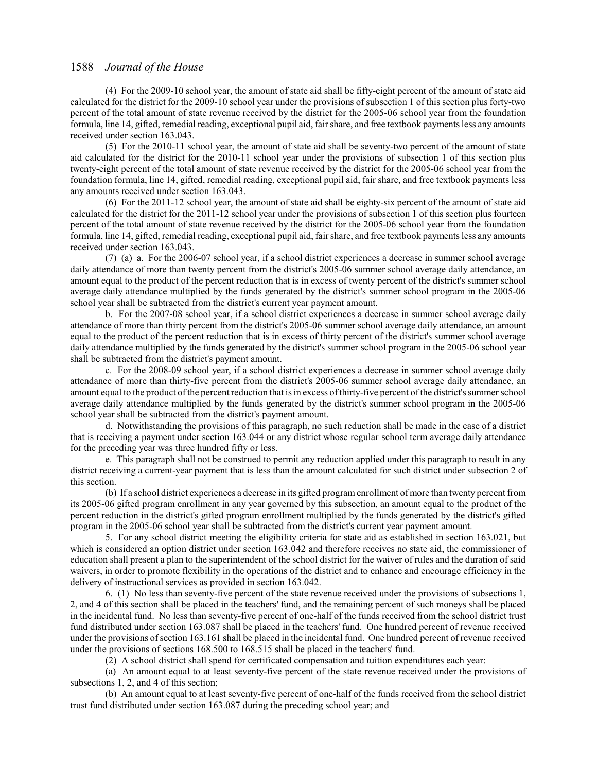(4) For the 2009-10 school year, the amount of state aid shall be fifty-eight percent of the amount of state aid calculated for the district for the 2009-10 school year under the provisions of subsection 1 of this section plus forty-two percent of the total amount of state revenue received by the district for the 2005-06 school year from the foundation formula, line 14, gifted, remedial reading, exceptional pupil aid, fair share, and free textbook payments less any amounts received under section 163.043.

(5) For the 2010-11 school year, the amount of state aid shall be seventy-two percent of the amount of state aid calculated for the district for the 2010-11 school year under the provisions of subsection 1 of this section plus twenty-eight percent of the total amount of state revenue received by the district for the 2005-06 school year from the foundation formula, line 14, gifted, remedial reading, exceptional pupil aid, fair share, and free textbook payments less any amounts received under section 163.043.

(6) For the 2011-12 school year, the amount of state aid shall be eighty-six percent of the amount of state aid calculated for the district for the 2011-12 school year under the provisions of subsection 1 of this section plus fourteen percent of the total amount of state revenue received by the district for the 2005-06 school year from the foundation formula, line 14, gifted, remedial reading, exceptional pupil aid, fair share, and free textbook payments less any amounts received under section 163.043.

(7) (a) a. For the 2006-07 school year, if a school district experiences a decrease in summer school average daily attendance of more than twenty percent from the district's 2005-06 summer school average daily attendance, an amount equal to the product of the percent reduction that is in excess of twenty percent of the district's summer school average daily attendance multiplied by the funds generated by the district's summer school program in the 2005-06 school year shall be subtracted from the district's current year payment amount.

b. For the 2007-08 school year, if a school district experiences a decrease in summer school average daily attendance of more than thirty percent from the district's 2005-06 summer school average daily attendance, an amount equal to the product of the percent reduction that is in excess of thirty percent of the district's summer school average daily attendance multiplied by the funds generated by the district's summer school program in the 2005-06 school year shall be subtracted from the district's payment amount.

c. For the 2008-09 school year, if a school district experiences a decrease in summer school average daily attendance of more than thirty-five percent from the district's 2005-06 summer school average daily attendance, an amount equal to the product ofthe percentreduction that is in excess of thirty-five percent of the district's summer school average daily attendance multiplied by the funds generated by the district's summer school program in the 2005-06 school year shall be subtracted from the district's payment amount.

d. Notwithstanding the provisions of this paragraph, no such reduction shall be made in the case of a district that is receiving a payment under section 163.044 or any district whose regular school term average daily attendance for the preceding year was three hundred fifty or less.

e. This paragraph shall not be construed to permit any reduction applied under this paragraph to result in any district receiving a current-year payment that is less than the amount calculated for such district under subsection 2 of this section.

(b) If a school district experiences a decrease in its gifted program enrollment ofmore than twenty percent from its 2005-06 gifted program enrollment in any year governed by this subsection, an amount equal to the product of the percent reduction in the district's gifted program enrollment multiplied by the funds generated by the district's gifted program in the 2005-06 school year shall be subtracted from the district's current year payment amount.

5. For any school district meeting the eligibility criteria for state aid as established in section 163.021, but which is considered an option district under section 163.042 and therefore receives no state aid, the commissioner of education shall present a plan to the superintendent of the school district for the waiver of rules and the duration of said waivers, in order to promote flexibility in the operations of the district and to enhance and encourage efficiency in the delivery of instructional services as provided in section 163.042.

6. (1) No less than seventy-five percent of the state revenue received under the provisions of subsections 1, 2, and 4 of this section shall be placed in the teachers' fund, and the remaining percent of such moneys shall be placed in the incidental fund. No less than seventy-five percent of one-half of the funds received from the school district trust fund distributed under section 163.087 shall be placed in the teachers' fund. One hundred percent of revenue received under the provisions ofsection 163.161 shall be placed in the incidental fund. One hundred percent of revenue received under the provisions of sections 168.500 to 168.515 shall be placed in the teachers' fund.

(2) A school district shall spend for certificated compensation and tuition expenditures each year:

(a) An amount equal to at least seventy-five percent of the state revenue received under the provisions of subsections 1, 2, and 4 of this section;

(b) An amount equal to at least seventy-five percent of one-half of the funds received from the school district trust fund distributed under section 163.087 during the preceding school year; and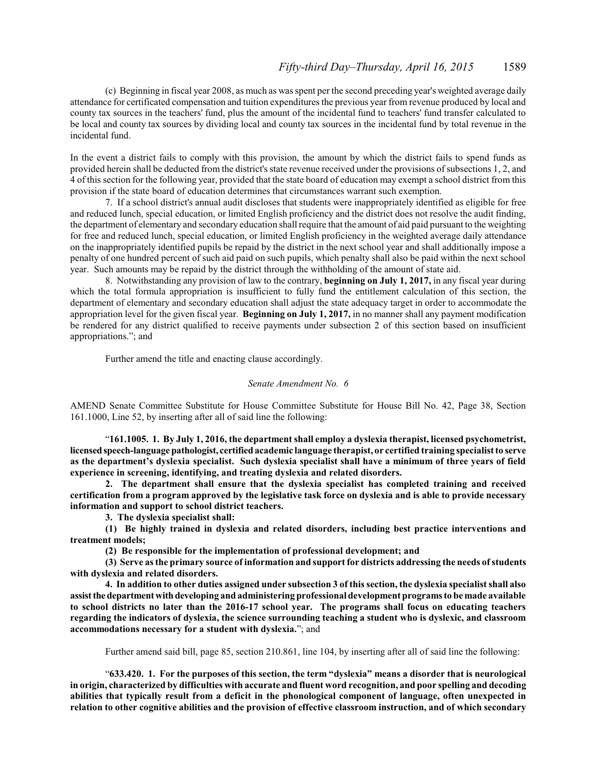(c) Beginning in fiscal year 2008, as much as was spent per the second preceding year's weighted average daily attendance for certificated compensation and tuition expenditures the previous year from revenue produced by local and county tax sources in the teachers' fund, plus the amount of the incidental fund to teachers' fund transfer calculated to be local and county tax sources by dividing local and county tax sources in the incidental fund by total revenue in the incidental fund.

In the event a district fails to comply with this provision, the amount by which the district fails to spend funds as provided herein shall be deducted from the district's state revenue received under the provisions of subsections 1, 2, and 4 of this section for the following year, provided that the state board of education may exempt a school district from this provision if the state board of education determines that circumstances warrant such exemption.

7. If a school district's annual audit discloses that students were inappropriately identified as eligible for free and reduced lunch, special education, or limited English proficiency and the district does not resolve the audit finding, the department of elementary and secondary education shall require that the amount of aid paid pursuant to the weighting for free and reduced lunch, special education, or limited English proficiency in the weighted average daily attendance on the inappropriately identified pupils be repaid by the district in the next school year and shall additionally impose a penalty of one hundred percent of such aid paid on such pupils, which penalty shall also be paid within the next school year. Such amounts may be repaid by the district through the withholding of the amount of state aid.

8. Notwithstanding any provision of law to the contrary, **beginning on July 1, 2017,** in any fiscal year during which the total formula appropriation is insufficient to fully fund the entitlement calculation of this section, the department of elementary and secondary education shall adjust the state adequacy target in order to accommodate the appropriation level for the given fiscal year. **Beginning on July 1, 2017,** in no manner shall any payment modification be rendered for any district qualified to receive payments under subsection 2 of this section based on insufficient appropriations."; and

Further amend the title and enacting clause accordingly.

### *Senate Amendment No. 6*

AMEND Senate Committee Substitute for House Committee Substitute for House Bill No. 42, Page 38, Section 161.1000, Line 52, by inserting after all of said line the following:

"**161.1005. 1. By July 1, 2016, the department shall employ a dyslexia therapist, licensed psychometrist, licensedspeech-languagepathologist, certifiedacademic language therapist, or certified training specialist to serve as the department's dyslexia specialist. Such dyslexia specialist shall have a minimum of three years of field experience in screening, identifying, and treating dyslexia and related disorders.**

**2. The department shall ensure that the dyslexia specialist has completed training and received certification from a program approved by the legislative task force on dyslexia and is able to provide necessary information and support to school district teachers.**

**3. The dyslexia specialist shall:**

**(1) Be highly trained in dyslexia and related disorders, including best practice interventions and treatment models;**

**(2) Be responsible for the implementation of professional development; and**

**(3) Serve as the primary source of information and support for districts addressing the needs of students with dyslexia and related disorders.**

**4. In addition to other duties assigned under subsection 3 of this section, the dyslexia specialist shall also assistthedepartmentwithdeveloping and administering professional development programsto be made available to school districts no later than the 2016-17 school year. The programs shall focus on educating teachers regarding the indicators of dyslexia, the science surrounding teaching a student who is dyslexic, and classroom accommodations necessary for a student with dyslexia.**"; and

Further amend said bill, page 85, section 210.861, line 104, by inserting after all of said line the following:

"**633.420. 1. For the purposes of this section, the term "dyslexia" means a disorder that is neurological in origin, characterized by difficulties with accurate and fluent word recognition, and poor spelling and decoding abilities that typically result from a deficit in the phonological component of language, often unexpected in relation to other cognitive abilities and the provision of effective classroom instruction, and of which secondary**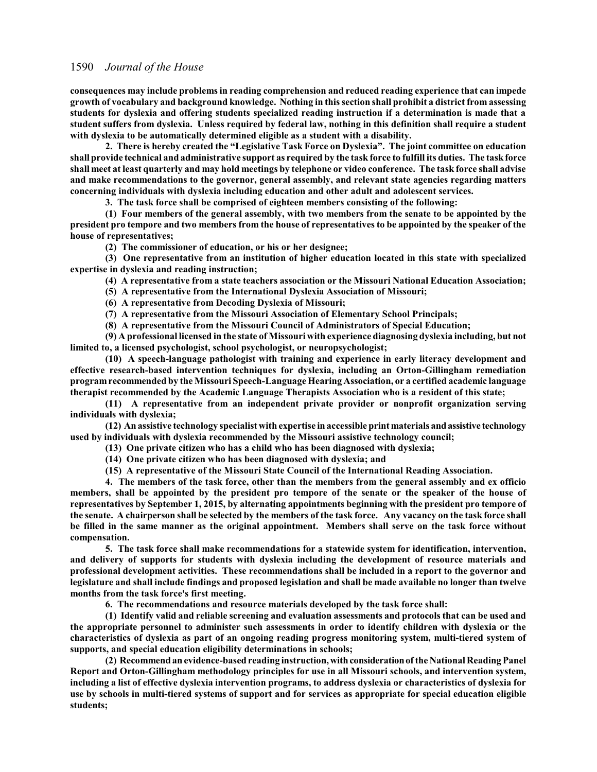**consequences may include problems in reading comprehension and reduced reading experience that can impede growth of vocabulary and background knowledge. Nothing in this section shall prohibit a district from assessing students for dyslexia and offering students specialized reading instruction if a determination is made that a student suffers from dyslexia. Unless required by federal law, nothing in this definition shall require a student with dyslexia to be automatically determined eligible as a student with a disability.**

**2. There is hereby created the "Legislative Task Force on Dyslexia". The joint committee on education shall provide technical and administrative support as required by the task force to fulfill its duties. The task force shall meet at least quarterly and may hold meetings by telephone or video conference. The task force shall advise and make recommendations to the governor, general assembly, and relevant state agencies regarding matters concerning individuals with dyslexia including education and other adult and adolescent services.**

**3. The task force shall be comprised of eighteen members consisting of the following:**

**(1) Four members of the general assembly, with two members from the senate to be appointed by the president pro tempore and two members from the house of representatives to be appointed by the speaker of the house of representatives;**

**(2) The commissioner of education, or his or her designee;**

**(3) One representative from an institution of higher education located in this state with specialized expertise in dyslexia and reading instruction;**

**(4) A representative from a state teachers association or the Missouri National Education Association;**

**(5) A representative from the International Dyslexia Association of Missouri;**

**(6) A representative from Decoding Dyslexia of Missouri;**

**(7) A representative from the Missouri Association of Elementary School Principals;**

**(8) A representative from the Missouri Council of Administrators of Special Education;**

**(9) A professional licensed in the state of Missouri with experience diagnosing dyslexia including, but not limited to, a licensed psychologist, school psychologist, or neuropsychologist;**

**(10) A speech-language pathologist with training and experience in early literacy development and effective research-based intervention techniques for dyslexia, including an Orton-Gillingham remediation programrecommended by the Missouri Speech-Language Hearing Association, or a certified academic language therapist recommended by the Academic Language Therapists Association who is a resident of this state;**

**(11) A representative from an independent private provider or nonprofit organization serving individuals with dyslexia;**

**(12) An assistive technology specialist with expertise in accessible print materials andassistive technology used by individuals with dyslexia recommended by the Missouri assistive technology council;**

**(13) One private citizen who has a child who has been diagnosed with dyslexia;**

**(14) One private citizen who has been diagnosed with dyslexia; and**

**(15) A representative of the Missouri State Council of the International Reading Association.**

**4. The members of the task force, other than the members from the general assembly and ex officio members, shall be appointed by the president pro tempore of the senate or the speaker of the house of representatives by September 1, 2015, by alternating appointments beginning with the president pro tempore of the senate. A chairperson shall be selected by the members of the task force. Any vacancy on the task force shall be filled in the same manner as the original appointment. Members shall serve on the task force without compensation.**

**5. The task force shall make recommendations for a statewide system for identification, intervention, and delivery of supports for students with dyslexia including the development of resource materials and professional development activities. These recommendations shall be included in a report to the governor and legislature and shall include findings and proposed legislation and shall be made available no longer than twelve months from the task force's first meeting.**

**6. The recommendations and resource materials developed by the task force shall:**

**(1) Identify valid and reliable screening and evaluation assessments and protocols that can be used and the appropriate personnel to administer such assessments in order to identify children with dyslexia or the characteristics of dyslexia as part of an ongoing reading progress monitoring system, multi-tiered system of supports, and special education eligibility determinations in schools;**

**(2) Recommend anevidence-based reading instruction,withconsiderationof the National ReadingPanel Report and Orton-Gillingham methodology principles for use in all Missouri schools, and intervention system, including a list of effective dyslexia intervention programs, to address dyslexia or characteristics of dyslexia for use by schools in multi-tiered systems of support and for services as appropriate for special education eligible students;**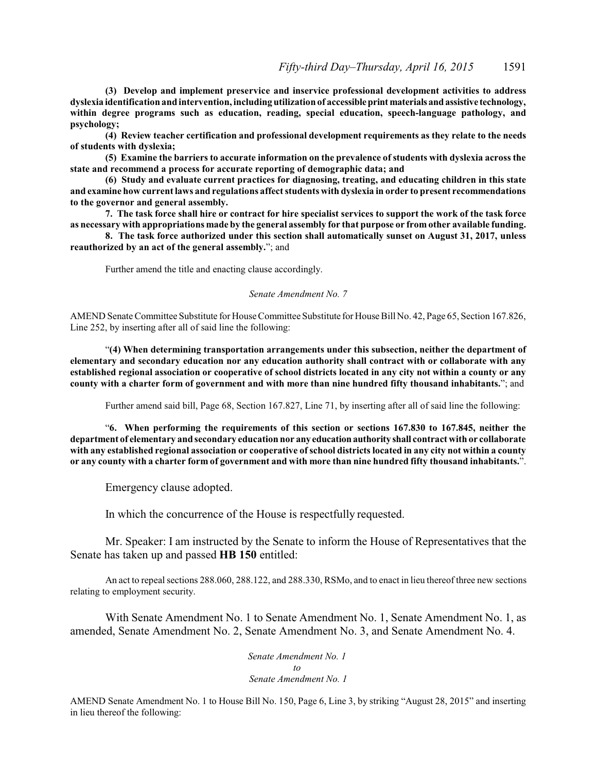**(3) Develop and implement preservice and inservice professional development activities to address dyslexia identification and intervention, including utilizationof accessibleprintmaterials andassistive technology, within degree programs such as education, reading, special education, speech-language pathology, and psychology;**

**(4) Review teacher certification and professional development requirements as they relate to the needs of students with dyslexia;**

**(5) Examine the barriers to accurate information on the prevalence of students with dyslexia across the state and recommend a process for accurate reporting of demographic data; and**

**(6) Study and evaluate current practices for diagnosing, treating, and educating children in this state and examine how current laws and regulations affect students with dyslexia in order to present recommendations to the governor and general assembly.**

**7. The task force shall hire or contract for hire specialist services to support the work of the task force as necessary with appropriations made by the general assembly for that purpose or from other available funding.**

**8. The task force authorized under this section shall automatically sunset on August 31, 2017, unless reauthorized by an act of the general assembly.**"; and

Further amend the title and enacting clause accordingly.

### *Senate Amendment No. 7*

AMEND Senate Committee Substitute for House Committee Substitute for House Bill No. 42, Page 65, Section 167.826, Line 252, by inserting after all of said line the following:

"**(4) When determining transportation arrangements under this subsection, neither the department of elementary and secondary education nor any education authority shall contract with or collaborate with any established regional association or cooperative of school districts located in any city not within a county or any county with a charter form of government and with more than nine hundred fifty thousand inhabitants.**"; and

Further amend said bill, Page 68, Section 167.827, Line 71, by inserting after all of said line the following:

"**6. When performing the requirements of this section or sections 167.830 to 167.845, neither the department of elementary and secondary education nor any educationauthority shall contract with or collaborate with any established regional association or cooperative of school districts located in any city not within a county or any county with a charter form of government and with more than nine hundred fifty thousand inhabitants.**".

Emergency clause adopted.

In which the concurrence of the House is respectfully requested.

Mr. Speaker: I am instructed by the Senate to inform the House of Representatives that the Senate has taken up and passed **HB 150** entitled:

An act to repeal sections 288.060, 288.122, and 288.330, RSMo, and to enact in lieu thereof three new sections relating to employment security.

With Senate Amendment No. 1 to Senate Amendment No. 1, Senate Amendment No. 1, as amended, Senate Amendment No. 2, Senate Amendment No. 3, and Senate Amendment No. 4.

> *Senate Amendment No. 1 to Senate Amendment No. 1*

AMEND Senate Amendment No. 1 to House Bill No. 150, Page 6, Line 3, by striking "August 28, 2015" and inserting in lieu thereof the following: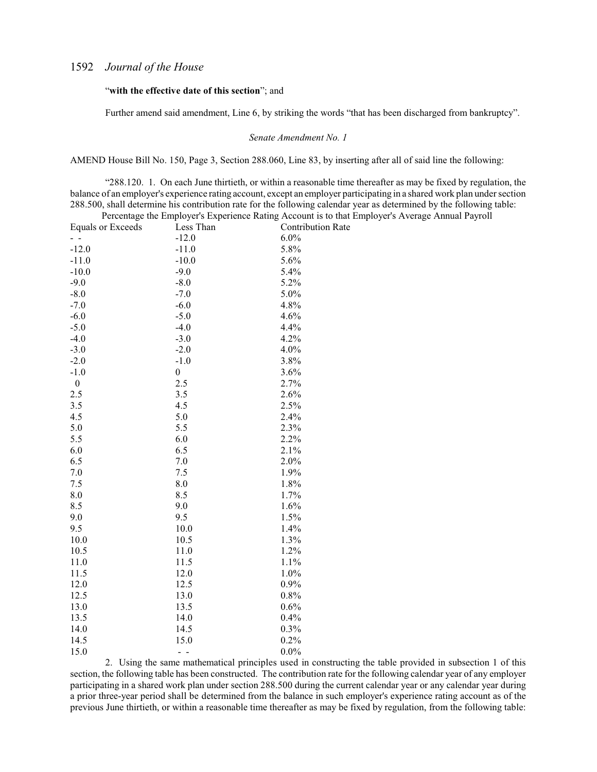### "**with the effective date of this section**"; and

Further amend said amendment, Line 6, by striking the words "that has been discharged from bankruptcy".

*Senate Amendment No. 1*

AMEND House Bill No. 150, Page 3, Section 288.060, Line 83, by inserting after all of said line the following:

"288.120. 1. On each June thirtieth, or within a reasonable time thereafter as may be fixed by regulation, the balance of an employer's experience rating account, except an employer participating in a shared work plan under section 288.500, shall determine his contribution rate for the following calendar year as determined by the following table: Percentage the Employer's Experience Rating Account is to that Employer's Average Annual Payroll

|                   | I creenage the Employer's Experience Kating Account is to that |                          |
|-------------------|----------------------------------------------------------------|--------------------------|
| Equals or Exceeds | Less Than                                                      | <b>Contribution Rate</b> |
| $\sim$ $\sim$     | $-12.0$                                                        | $6.0\%$                  |
| $-12.0$           | $-11.0$                                                        | 5.8%                     |
| $-11.0$           | $-10.0$                                                        | 5.6%                     |
| $-10.0$           | $-9.0$                                                         | 5.4%                     |
| $-9.0$            | $-8.0$                                                         | 5.2%                     |
| $-8.0$            | $-7.0$                                                         | 5.0%                     |
| $-7.0$            | $-6.0$                                                         | 4.8%                     |
| $-6.0$            | $-5.0$                                                         | 4.6%                     |
| $-5.0$            | $-4.0$                                                         | 4.4%                     |
| $-4.0$            | $-3.0$                                                         | 4.2%                     |
| $-3.0$            | $-2.0$                                                         | 4.0%                     |
| $-2.0$            | $-1.0$                                                         | 3.8%                     |
| $-1.0$            | $\boldsymbol{0}$                                               | 3.6%                     |
| $\boldsymbol{0}$  | 2.5                                                            | 2.7%                     |
| 2.5               | 3.5                                                            | 2.6%                     |
| 3.5               | 4.5                                                            | 2.5%                     |
| 4.5               | 5.0                                                            | 2.4%                     |
| 5.0               | 5.5                                                            | 2.3%                     |
| 5.5               | 6.0                                                            | 2.2%                     |
| 6.0               | 6.5                                                            | 2.1%                     |
| 6.5               | 7.0                                                            | 2.0%                     |
| 7.0               | 7.5                                                            | 1.9%                     |
| 7.5               | 8.0                                                            | 1.8%                     |
| 8.0               | 8.5                                                            | 1.7%                     |
| 8.5               | 9.0                                                            | 1.6%                     |
| 9.0               | 9.5                                                            | 1.5%                     |
| 9.5               | 10.0                                                           | 1.4%                     |
| 10.0              | 10.5                                                           | 1.3%                     |
| 10.5              | 11.0                                                           | 1.2%                     |
| 11.0              | 11.5                                                           | 1.1%                     |
| 11.5              | 12.0                                                           | 1.0%                     |
| 12.0              | 12.5                                                           | 0.9%                     |
| 12.5              | 13.0                                                           | 0.8%                     |
| 13.0              | 13.5                                                           | 0.6%                     |
| 13.5              | 14.0                                                           | 0.4%                     |
| 14.0              | 14.5                                                           | 0.3%                     |
| 14.5              | 15.0                                                           | 0.2%                     |
| 15.0              | - -                                                            | $0.0\%$                  |
|                   |                                                                |                          |

2. Using the same mathematical principles used in constructing the table provided in subsection 1 of this section, the following table has been constructed. The contribution rate for the following calendar year of any employer participating in a shared work plan under section 288.500 during the current calendar year or any calendar year during a prior three-year period shall be determined from the balance in such employer's experience rating account as of the previous June thirtieth, or within a reasonable time thereafter as may be fixed by regulation, from the following table: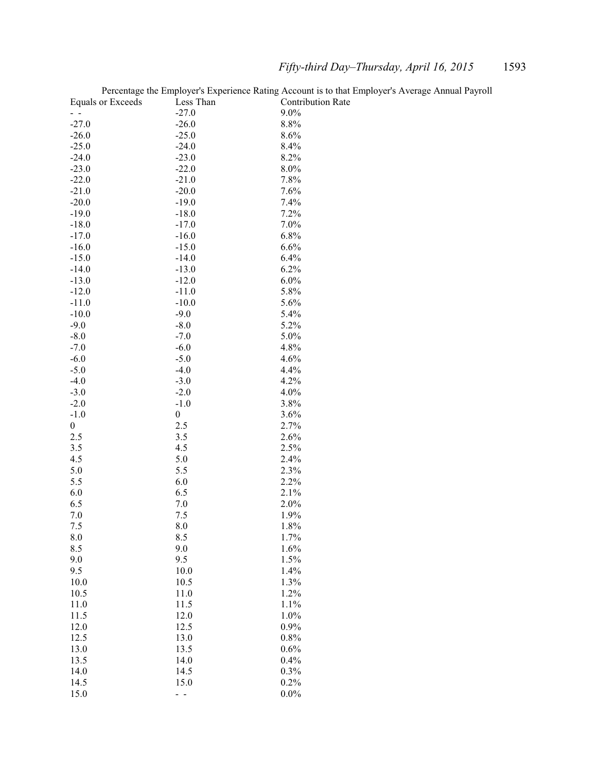|                          |                  | Percentage the Employer's Experience Rating Account is to that Employer's Average Annual Payroll |
|--------------------------|------------------|--------------------------------------------------------------------------------------------------|
| <b>Equals or Exceeds</b> | Less Than        | Contribution Rate                                                                                |
| $\omega_{\rm c}$ in      | $-27.0$          | $9.0\%$                                                                                          |
| $-27.0$                  | $-26.0$          | 8.8%                                                                                             |
| $-26.0$                  | $-25.0$          | 8.6%                                                                                             |
| $-25.0$                  | $-24.0$          | 8.4%                                                                                             |
| $-24.0$                  | $-23.0$          | 8.2%                                                                                             |
| $-23.0$                  | $-22.0$          | 8.0%                                                                                             |
| $-22.0$                  | $-21.0$          | 7.8%                                                                                             |
| $-21.0$                  | $-20.0$          | 7.6%                                                                                             |
| $-20.0$                  | $-19.0$          | 7.4%                                                                                             |
| $-19.0$                  | $-18.0$          | 7.2%                                                                                             |
| $-18.0$                  | $-17.0$          | 7.0%                                                                                             |
| $-17.0$                  | $-16.0$          | 6.8%                                                                                             |
| $-16.0$                  | $-15.0$          | 6.6%                                                                                             |
| $-15.0$                  | $-14.0$          | 6.4%                                                                                             |
| $-14.0$                  | $-13.0$          | 6.2%                                                                                             |
| $-13.0$                  | $-12.0$          | $6.0\%$                                                                                          |
| $-12.0$                  | $-11.0$          | 5.8%                                                                                             |
| $-11.0$                  | $-10.0$          | 5.6%                                                                                             |
| $-10.0$                  | $-9.0$           | 5.4%                                                                                             |
| $-9.0$                   |                  |                                                                                                  |
|                          | $-8.0$           | 5.2%                                                                                             |
| $-8.0$                   | $-7.0$           | 5.0%                                                                                             |
| $-7.0$                   | $-6.0$           | 4.8%                                                                                             |
| $-6.0$                   | $-5.0$           | 4.6%                                                                                             |
| $-5.0$                   | $-4.0$           | 4.4%                                                                                             |
| $-4.0$                   | $-3.0$           | 4.2%                                                                                             |
| $-3.0$                   | $-2.0$           | 4.0%                                                                                             |
| $-2.0$                   | $-1.0$           | 3.8%                                                                                             |
| $-1.0$                   | $\boldsymbol{0}$ | 3.6%                                                                                             |
| $\boldsymbol{0}$         | 2.5              | 2.7%                                                                                             |
| 2.5                      | 3.5              | 2.6%                                                                                             |
| 3.5                      | 4.5              | 2.5%                                                                                             |
| 4.5                      | 5.0              | 2.4%                                                                                             |
| 5.0                      | 5.5              | 2.3%                                                                                             |
| 5.5                      | 6.0              | 2.2%                                                                                             |
| 6.0                      | 6.5              | 2.1%                                                                                             |
| 6.5                      | 7.0              | 2.0%                                                                                             |
| 7.0                      | 7.5              | 1.9%                                                                                             |
| 7.5                      | 8.0              | 1.8%                                                                                             |
| 8.0                      | 8.5              | 1.7%                                                                                             |
| 8.5                      | 9.0              | 1.6%                                                                                             |
| 9.0                      | 9.5              | 1.5%                                                                                             |
| 9.5                      | 10.0             | 1.4%                                                                                             |
| 10.0                     | 10.5             | 1.3%                                                                                             |
| 10.5                     | 11.0             | 1.2%                                                                                             |
| 11.0                     | 11.5             | 1.1%                                                                                             |
| 11.5                     | 12.0             | 1.0%                                                                                             |
| 12.0                     | 12.5             | 0.9%                                                                                             |
| 12.5                     | 13.0             | 0.8%                                                                                             |
| 13.0                     | 13.5             | 0.6%                                                                                             |
| 13.5                     | 14.0             | 0.4%                                                                                             |
| 14.0                     | 14.5             | 0.3%                                                                                             |
| 14.5                     | 15.0             |                                                                                                  |
|                          |                  | 0.2%                                                                                             |
| 15.0                     | 212              | $0.0\%$                                                                                          |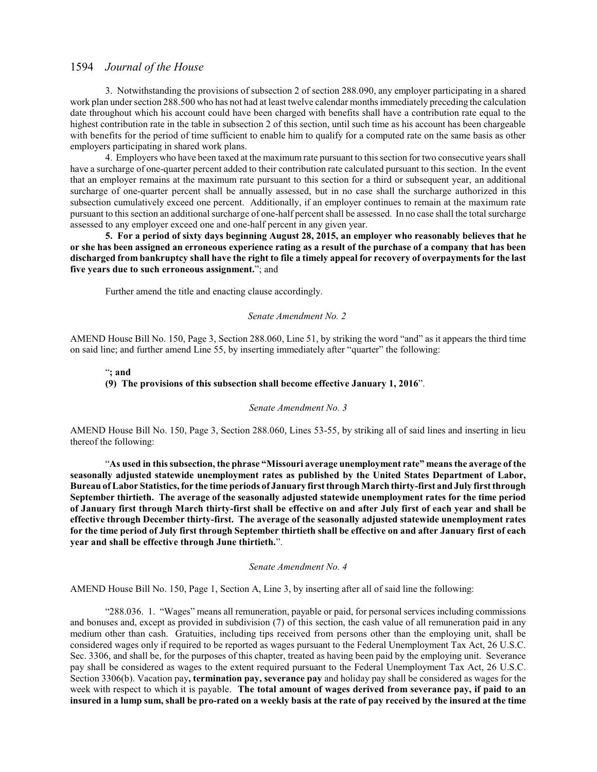3. Notwithstanding the provisions of subsection 2 of section 288.090, any employer participating in a shared work plan under section 288.500 who has not had at least twelve calendar months immediately preceding the calculation date throughout which his account could have been charged with benefits shall have a contribution rate equal to the highest contribution rate in the table in subsection 2 of this section, until such time as his account has been chargeable with benefits for the period of time sufficient to enable him to qualify for a computed rate on the same basis as other employers participating in shared work plans.

4. Employers who have been taxed at the maximum rate pursuant to thissection for two consecutive years shall have a surcharge of one-quarter percent added to their contribution rate calculated pursuant to this section. In the event that an employer remains at the maximum rate pursuant to this section for a third or subsequent year, an additional surcharge of one-quarter percent shall be annually assessed, but in no case shall the surcharge authorized in this subsection cumulatively exceed one percent. Additionally, if an employer continues to remain at the maximum rate pursuant to this section an additional surcharge of one-half percent shall be assessed. In no case shall the total surcharge assessed to any employer exceed one and one-half percent in any given year.

**5. For a period of sixty days beginning August 28, 2015, an employer who reasonably believes that he or she has been assigned an erroneous experience rating as a result of the purchase of a company that has been discharged from bankruptcy shall have the right to file a timely appeal for recovery of overpayments for the last five years due to such erroneous assignment.**"; and

Further amend the title and enacting clause accordingly.

#### *Senate Amendment No. 2*

AMEND House Bill No. 150, Page 3, Section 288.060, Line 51, by striking the word "and" as it appears the third time on said line; and further amend Line 55, by inserting immediately after "quarter" the following:

"**; and (9) The provisions of this subsection shall become effective January 1, 2016**".

### *Senate Amendment No. 3*

AMEND House Bill No. 150, Page 3, Section 288.060, Lines 53-55, by striking all of said lines and inserting in lieu thereof the following:

"**As used in this subsection, the phrase "Missouri average unemployment rate" means the average of the seasonally adjusted statewide unemployment rates as published by the United States Department of Labor, Bureau of Labor Statistics, for the time periods of January first through March thirty-first and July first through September thirtieth. The average of the seasonally adjusted statewide unemployment rates for the time period of January first through March thirty-first shall be effective on and after July first of each year and shall be effective through December thirty-first. The average of the seasonally adjusted statewide unemployment rates for the time period of July first through September thirtieth shall be effective on and after January first of each year and shall be effective through June thirtieth.**".

#### *Senate Amendment No. 4*

AMEND House Bill No. 150, Page 1, Section A, Line 3, by inserting after all of said line the following:

"288.036. 1. "Wages" means all remuneration, payable or paid, for personal services including commissions and bonuses and, except as provided in subdivision (7) of this section, the cash value of all remuneration paid in any medium other than cash. Gratuities, including tips received from persons other than the employing unit, shall be considered wages only if required to be reported as wages pursuant to the Federal Unemployment Tax Act, 26 U.S.C. Sec. 3306, and shall be, for the purposes of this chapter, treated as having been paid by the employing unit. Severance pay shall be considered as wages to the extent required pursuant to the Federal Unemployment Tax Act, 26 U.S.C. Section 3306(b). Vacation pay**, termination pay, severance pay** and holiday pay shall be considered as wages for the week with respect to which it is payable. **The total amount of wages derived from severance pay, if paid to an insured in a lump sum, shall be pro-rated on a weekly basis at the rate of pay received by the insured at the time**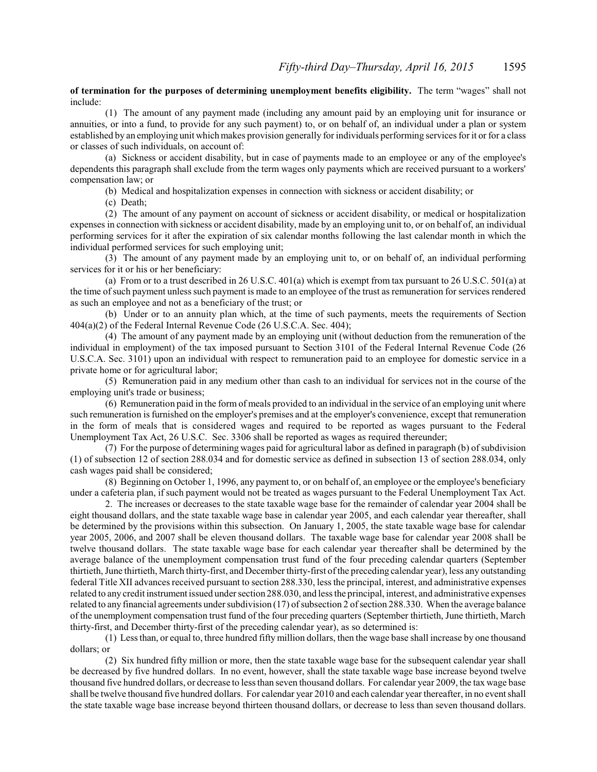**of termination for the purposes of determining unemployment benefits eligibility.** The term "wages" shall not include:

(1) The amount of any payment made (including any amount paid by an employing unit for insurance or annuities, or into a fund, to provide for any such payment) to, or on behalf of, an individual under a plan or system established by an employing unit whichmakes provision generally for individuals performing services for it or for a class or classes of such individuals, on account of:

(a) Sickness or accident disability, but in case of payments made to an employee or any of the employee's dependents this paragraph shall exclude from the term wages only payments which are received pursuant to a workers' compensation law; or

(b) Medical and hospitalization expenses in connection with sickness or accident disability; or

(c) Death;

(2) The amount of any payment on account of sickness or accident disability, or medical or hospitalization expenses in connection with sickness or accident disability, made by an employing unit to, or on behalf of, an individual performing services for it after the expiration of six calendar months following the last calendar month in which the individual performed services for such employing unit;

(3) The amount of any payment made by an employing unit to, or on behalf of, an individual performing services for it or his or her beneficiary:

(a) From or to a trust described in 26 U.S.C. 401(a) which is exempt from tax pursuant to 26 U.S.C. 501(a) at the time ofsuch payment unless such payment is made to an employee of the trust as remuneration for services rendered as such an employee and not as a beneficiary of the trust; or

(b) Under or to an annuity plan which, at the time of such payments, meets the requirements of Section 404(a)(2) of the Federal Internal Revenue Code (26 U.S.C.A. Sec. 404);

(4) The amount of any payment made by an employing unit (without deduction from the remuneration of the individual in employment) of the tax imposed pursuant to Section 3101 of the Federal Internal Revenue Code (26 U.S.C.A. Sec. 3101) upon an individual with respect to remuneration paid to an employee for domestic service in a private home or for agricultural labor;

(5) Remuneration paid in any medium other than cash to an individual for services not in the course of the employing unit's trade or business;

(6) Remuneration paid in the form of meals provided to an individual in the service of an employing unit where such remuneration is furnished on the employer's premises and at the employer's convenience, except that remuneration in the form of meals that is considered wages and required to be reported as wages pursuant to the Federal Unemployment Tax Act, 26 U.S.C. Sec. 3306 shall be reported as wages as required thereunder;

(7) For the purpose of determining wages paid for agricultural labor as defined in paragraph (b) ofsubdivision (1) of subsection 12 of section 288.034 and for domestic service as defined in subsection 13 of section 288.034, only cash wages paid shall be considered;

(8) Beginning on October 1, 1996, any payment to, or on behalf of, an employee or the employee's beneficiary under a cafeteria plan, if such payment would not be treated as wages pursuant to the Federal Unemployment Tax Act.

2. The increases or decreases to the state taxable wage base for the remainder of calendar year 2004 shall be eight thousand dollars, and the state taxable wage base in calendar year 2005, and each calendar year thereafter, shall be determined by the provisions within this subsection. On January 1, 2005, the state taxable wage base for calendar year 2005, 2006, and 2007 shall be eleven thousand dollars. The taxable wage base for calendar year 2008 shall be twelve thousand dollars. The state taxable wage base for each calendar year thereafter shall be determined by the average balance of the unemployment compensation trust fund of the four preceding calendar quarters (September thirtieth, June thirtieth, March thirty-first, and December thirty-first ofthe preceding calendar year), less any outstanding federal Title XII advances received pursuant to section 288.330, less the principal, interest, and administrative expenses related to any credit instrument issued under section 288.030, and less the principal, interest, and administrative expenses related to any financial agreements under subdivision (17) of subsection 2 of section 288.330. When the average balance of the unemployment compensation trust fund of the four preceding quarters (September thirtieth, June thirtieth, March thirty-first, and December thirty-first of the preceding calendar year), as so determined is:

(1) Less than, or equal to, three hundred fifty million dollars, then the wage base shall increase by one thousand dollars; or

(2) Six hundred fifty million or more, then the state taxable wage base for the subsequent calendar year shall be decreased by five hundred dollars. In no event, however, shall the state taxable wage base increase beyond twelve thousand five hundred dollars, or decrease to less than seven thousand dollars. For calendar year 2009, the tax wage base shall be twelve thousand five hundred dollars. For calendar year 2010 and each calendar year thereafter, in no event shall the state taxable wage base increase beyond thirteen thousand dollars, or decrease to less than seven thousand dollars.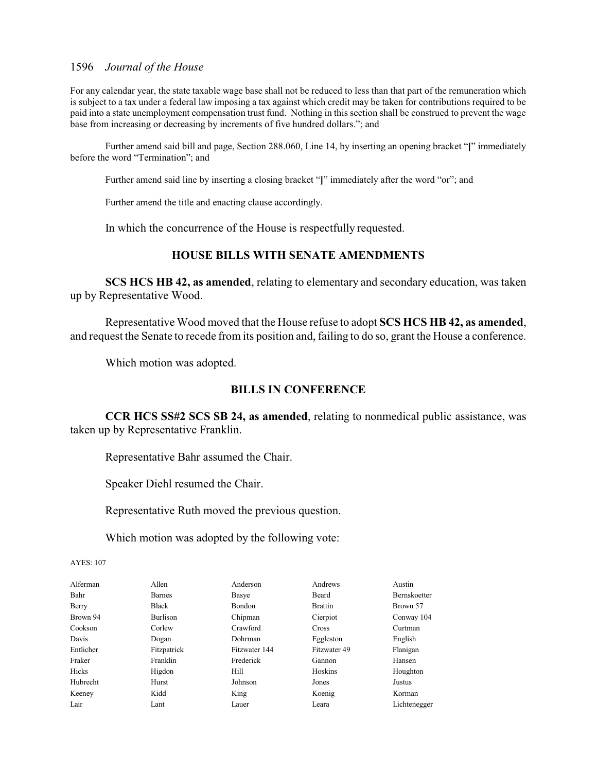For any calendar year, the state taxable wage base shall not be reduced to less than that part of the remuneration which is subject to a tax under a federal law imposing a tax against which credit may be taken for contributions required to be paid into a state unemployment compensation trust fund. Nothing in this section shall be construed to prevent the wage base from increasing or decreasing by increments of five hundred dollars."; and

Further amend said bill and page, Section 288.060, Line 14, by inserting an opening bracket "**[**" immediately before the word "Termination"; and

Further amend said line by inserting a closing bracket "**]**" immediately after the word "or"; and

Further amend the title and enacting clause accordingly.

In which the concurrence of the House is respectfully requested.

# **HOUSE BILLS WITH SENATE AMENDMENTS**

**SCS HCS HB 42, as amended**, relating to elementary and secondary education, was taken up by Representative Wood.

Representative Wood moved that the House refuse to adopt **SCS HCS HB 42, as amended**, and request the Senate to recede from its position and, failing to do so, grant the House a conference.

Which motion was adopted.

# **BILLS IN CONFERENCE**

**CCR HCS SS#2 SCS SB 24, as amended**, relating to nonmedical public assistance, was taken up by Representative Franklin.

Representative Bahr assumed the Chair.

Speaker Diehl resumed the Chair.

Representative Ruth moved the previous question.

Which motion was adopted by the following vote:

AYES: 107

| Alferman  | Allen           | Anderson      | Andrews        | Austin              |
|-----------|-----------------|---------------|----------------|---------------------|
| Bahr      | <b>Barnes</b>   | Basye         | Beard          | <b>Bernskoetter</b> |
| Berry     | <b>Black</b>    | <b>Bondon</b> | <b>Brattin</b> | Brown 57            |
| Brown 94  | <b>Burlison</b> | Chipman       | Cierpiot       | Conway 104          |
| Cookson   | Corlew          | Crawford      | Cross          | Curtman             |
| Davis     | Dogan           | Dohrman       | Eggleston      | English             |
| Entlicher | Fitzpatrick     | Fitzwater 144 | Fitzwater 49   | Flanigan            |
| Fraker    | Franklin        | Frederick     | Gannon         | Hansen              |
| Hicks     | Higdon          | Hill          | Hoskins        | Houghton            |
| Hubrecht  | Hurst           | Johnson       | Jones          | Justus              |
| Keeney    | Kidd            | King          | Koenig         | Korman              |
| Lair      | Lant            | Lauer         | Leara          | Lichtenegger        |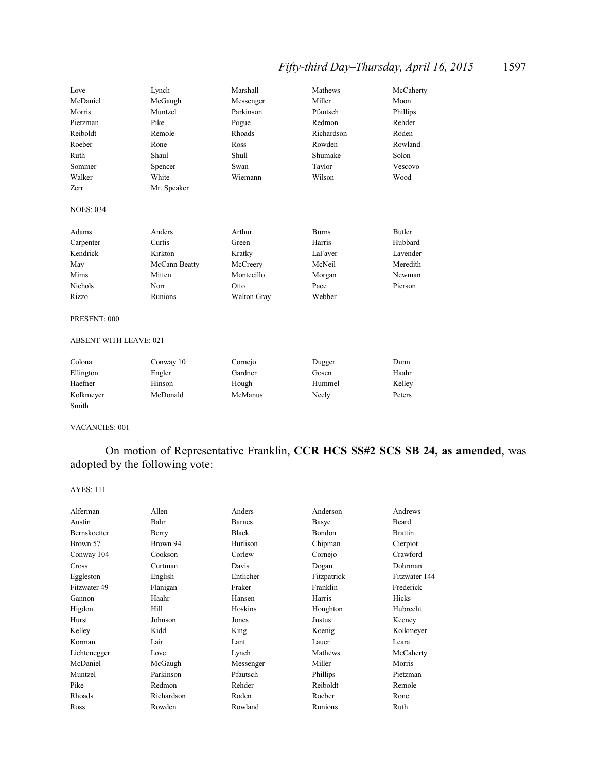# *Fifty-third Day–Thursday, April 16, 2015* 1597

| Love             | Lynch         | Marshall    | Mathews      | McCaherty     |
|------------------|---------------|-------------|--------------|---------------|
| McDaniel         | McGaugh       | Messenger   | Miller       | Moon          |
| Morris           | Muntzel       | Parkinson   | Pfautsch     | Phillips      |
| Pietzman         | Pike          | Pogue       | Redmon       | Rehder        |
| Reiboldt         | Remole        | Rhoads      | Richardson   | Roden         |
| Roeber           | Rone          | Ross        | Rowden       | Rowland       |
| Ruth             | Shaul         | Shull       | Shumake      | Solon         |
| Sommer           | Spencer       | Swan        | Taylor       | Vescovo       |
| Walker           | White         | Wiemann     | Wilson       | Wood          |
| Zerr             | Mr. Speaker   |             |              |               |
| <b>NOES: 034</b> |               |             |              |               |
| Adams            | Anders        | Arthur      | <b>Burns</b> | <b>Butler</b> |
| Carpenter        | Curtis        | Green       | Harris       | Hubbard       |
| Kendrick         | Kirkton       | Kratky      | LaFaver      | Lavender      |
| May              | McCann Beatty | McCreery    | McNeil       | Meredith      |
| Mims             | Mitten        | Montecillo  | Morgan       | Newman        |
| Nichols          | Norr          | Otto        | Pace         | Pierson       |
| Rizzo            | Runions       | Walton Gray | Webber       |               |
| PRESENT: 000     |               |             |              |               |

### ABSENT WITH LEAVE: 021

| Colona    | Conway 10 | Cornejo | Dugger | Dunn   |
|-----------|-----------|---------|--------|--------|
| Ellington | Engler    | Gardner | Gosen  | Haahr  |
| Haefner   | Hinson    | Hough   | Hummel | Kelley |
| Kolkmeyer | McDonald  | McManus | Neely  | Peters |
| Smith     |           |         |        |        |

#### VACANCIES: 001

# On motion of Representative Franklin, **CCR HCS SS#2 SCS SB 24, as amended**, was adopted by the following vote:

### AYES: 111

| Alferman     | Allen      | Anders        | Anderson    | Andrews        |
|--------------|------------|---------------|-------------|----------------|
| Austin       | Bahr       | <b>Barnes</b> | Basye       | Beard          |
| Bernskoetter | Berry      | <b>Black</b>  | Bondon      | <b>Brattin</b> |
| Brown 57     | Brown 94   | Burlison      | Chipman     | Cierpiot       |
| Conway 104   | Cookson    | Corlew        | Cornejo     | Crawford       |
| Cross        | Curtman    | Davis         | Dogan       | Dohrman        |
| Eggleston    | English    | Entlicher     | Fitzpatrick | Fitzwater 144  |
| Fitzwater 49 | Flanigan   | Fraker        | Franklin    | Frederick      |
| Gannon       | Haahr      | Hansen        | Harris      | Hicks          |
| Higdon       | Hill       | Hoskins       | Houghton    | Hubrecht       |
| Hurst        | Johnson    | Jones         | Justus      | Keeney         |
| Kelley       | Kidd       | King          | Koenig      | Kolkmeyer      |
| Korman       | Lair       | Lant          | Lauer       | Leara          |
| Lichtenegger | Love       | Lynch         | Mathews     | McCaherty      |
| McDaniel     | McGaugh    | Messenger     | Miller      | Morris         |
| Muntzel      | Parkinson  | Pfautsch      | Phillips    | Pietzman       |
| Pike         | Redmon     | Rehder        | Reiboldt    | Remole         |
| Rhoads       | Richardson | Roden         | Roeber      | Rone           |
| Ross         | Rowden     | Rowland       | Runions     | Ruth           |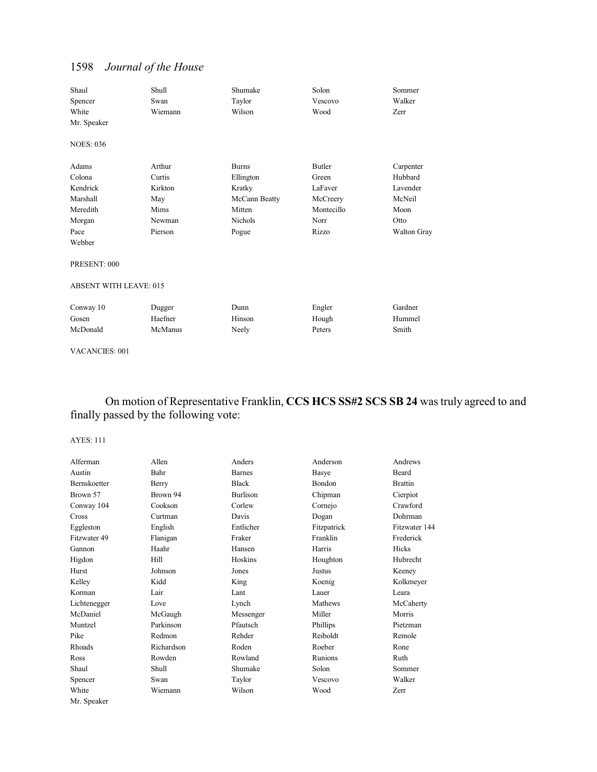| Shaul<br>Spencer<br>White     | Shull<br>Swan<br>Wiemann | Shumake<br>Taylor<br>Wilson | Solon<br>Vescovo<br>Wood | Sommer<br>Walker<br>Zerr |
|-------------------------------|--------------------------|-----------------------------|--------------------------|--------------------------|
| Mr. Speaker                   |                          |                             |                          |                          |
| <b>NOES: 036</b>              |                          |                             |                          |                          |
| Adams                         | Arthur                   | <b>Burns</b>                | <b>Butler</b>            | Carpenter                |
| Colona                        | Curtis                   | Ellington                   | Green                    | Hubbard                  |
| Kendrick                      | Kirkton                  | Kratky                      | LaFaver                  | Lavender                 |
| Marshall                      | May                      | McCann Beatty               | McCreery                 | McNeil                   |
| Meredith                      | Mims                     | Mitten                      | Montecillo               | Moon                     |
| Morgan                        | Newman                   | <b>Nichols</b>              | Norr                     | Otto                     |
| Pace                          | Pierson                  | Pogue                       | Rizzo                    | <b>Walton Gray</b>       |
| Webber                        |                          |                             |                          |                          |
| PRESENT: 000                  |                          |                             |                          |                          |
| <b>ABSENT WITH LEAVE: 015</b> |                          |                             |                          |                          |
| Conway 10                     | Dugger                   | Dunn                        | Engler                   | Gardner                  |
| Gosen                         | Haefner                  | Hinson                      | Hough                    | Hummel                   |
| McDonald                      | McManus                  | Neely                       | Peters                   | Smith                    |

VACANCIES: 001

# On motion of Representative Franklin, **CCS HCS SS#2 SCS SB 24** was truly agreed to and finally passed by the following vote:

## AYES: 111

| Alferman            | Allen      | Anders          | Anderson      | Andrews        |
|---------------------|------------|-----------------|---------------|----------------|
| Austin              | Bahr       | <b>Barnes</b>   | Basye         | Beard          |
| <b>Bernskoetter</b> | Berry      | <b>Black</b>    | <b>Bondon</b> | <b>Brattin</b> |
| Brown 57            | Brown 94   | <b>Burlison</b> | Chipman       | Cierpiot       |
| Conway 104          | Cookson    | Corlew          | Cornejo       | Crawford       |
| Cross               | Curtman    | Davis           | Dogan         | Dohrman        |
| Eggleston           | English    | Entlicher       | Fitzpatrick   | Fitzwater 144  |
| Fitzwater 49        | Flanigan   | Fraker          | Franklin      | Frederick      |
| Gannon              | Haahr      | Hansen          | Harris        | Hicks          |
| Higdon              | Hill       | Hoskins         | Houghton      | Hubrecht       |
| Hurst               | Johnson    | Jones           | Justus        | Keeney         |
| Kelley              | Kidd       | King            | Koenig        | Kolkmeyer      |
| Korman              | Lair       | Lant            | Lauer         | Leara          |
| Lichtenegger        | Love       | Lynch           | Mathews       | McCaherty      |
| McDaniel            | McGaugh    | Messenger       | Miller        | Morris         |
| Muntzel             | Parkinson  | Pfautsch        | Phillips      | Pietzman       |
| Pike                | Redmon     | Rehder          | Reiboldt      | Remole         |
| Rhoads              | Richardson | Roden           | Roeber        | Rone           |
| Ross                | Rowden     | Rowland         | Runions       | Ruth           |
| Shaul               | Shull      | Shumake         | Solon         | Sommer         |
| Spencer             | Swan       | Taylor          | Vescovo       | Walker         |
| White               | Wiemann    | Wilson          | Wood          | Zerr           |
| Mr. Speaker         |            |                 |               |                |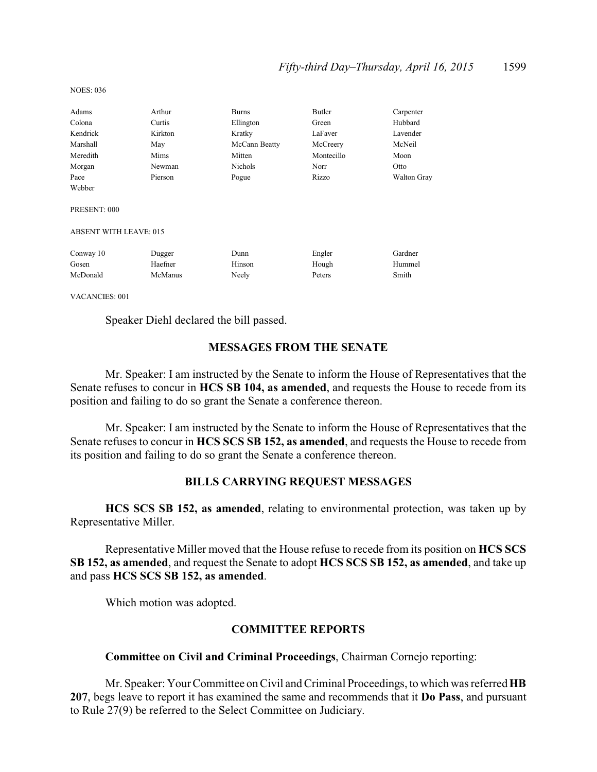# *Fifty-third Day–Thursday, April 16, 2015* 1599

| Adams                         | Arthur  | <b>Burns</b>   | Butler     | Carpenter          |
|-------------------------------|---------|----------------|------------|--------------------|
| Colona                        | Curtis  | Ellington      | Green      | Hubbard            |
| Kendrick                      | Kirkton | Kratky         | LaFaver    | Lavender           |
| Marshall                      | May     | McCann Beatty  | McCreery   | McNeil             |
| Meredith                      | Mims    | Mitten         | Montecillo | Moon               |
| Morgan                        | Newman  | <b>Nichols</b> | Norr       | Otto               |
| Pace                          | Pierson | Pogue          | Rizzo      | <b>Walton Gray</b> |
| Webber                        |         |                |            |                    |
| PRESENT: 000                  |         |                |            |                    |
| <b>ABSENT WITH LEAVE: 015</b> |         |                |            |                    |
| Conway 10                     | Dugger  | Dunn           | Engler     | Gardner            |
| Gosen                         | Haefner | Hinson         | Hough      | Hummel             |
| McDonald                      | McManus | Neely          | Peters     | Smith              |
|                               |         |                |            |                    |

VACANCIES: 001

NOES: 036

Speaker Diehl declared the bill passed.

# **MESSAGES FROM THE SENATE**

Mr. Speaker: I am instructed by the Senate to inform the House of Representatives that the Senate refuses to concur in **HCS SB 104, as amended**, and requests the House to recede from its position and failing to do so grant the Senate a conference thereon.

Mr. Speaker: I am instructed by the Senate to inform the House of Representatives that the Senate refuses to concur in **HCS SCS SB 152, as amended**, and requests the House to recede from its position and failing to do so grant the Senate a conference thereon.

# **BILLS CARRYING REQUEST MESSAGES**

**HCS SCS SB 152, as amended**, relating to environmental protection, was taken up by Representative Miller.

Representative Miller moved that the House refuse to recede from its position on **HCS SCS SB 152, as amended**, and request the Senate to adopt **HCS SCS SB 152, as amended**, and take up and pass **HCS SCS SB 152, as amended**.

Which motion was adopted.

# **COMMITTEE REPORTS**

# **Committee on Civil and Criminal Proceedings**, Chairman Cornejo reporting:

Mr. Speaker: Your Committee on Civil and Criminal Proceedings, to which was referred **HB 207**, begs leave to report it has examined the same and recommends that it **Do Pass**, and pursuant to Rule 27(9) be referred to the Select Committee on Judiciary.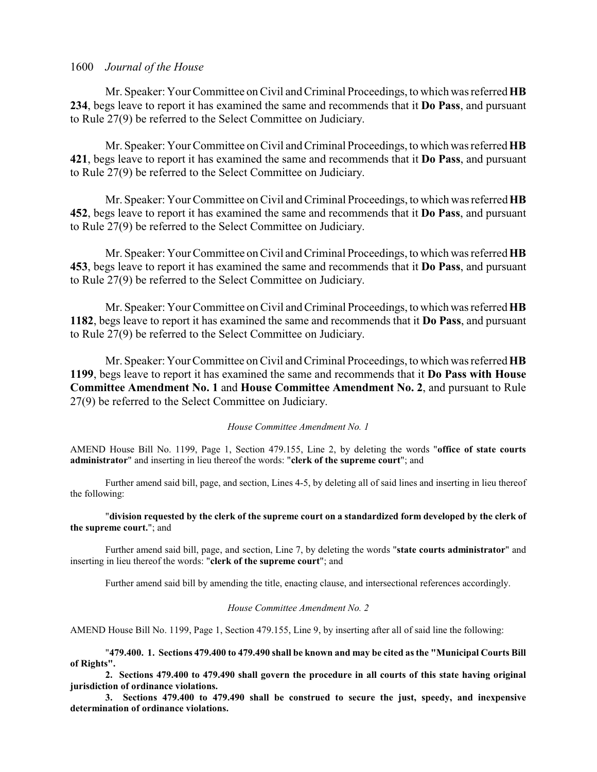Mr. Speaker: Your Committee on Civil and Criminal Proceedings, to which was referred **HB 234**, begs leave to report it has examined the same and recommends that it **Do Pass**, and pursuant to Rule 27(9) be referred to the Select Committee on Judiciary.

Mr. Speaker: Your Committee on Civil and Criminal Proceedings, to which was referred **HB 421**, begs leave to report it has examined the same and recommends that it **Do Pass**, and pursuant to Rule 27(9) be referred to the Select Committee on Judiciary.

Mr. Speaker: Your Committee on Civil and Criminal Proceedings, to which was referred **HB 452**, begs leave to report it has examined the same and recommends that it **Do Pass**, and pursuant to Rule 27(9) be referred to the Select Committee on Judiciary.

Mr. Speaker: Your Committee on Civil and Criminal Proceedings, to which was referred **HB 453**, begs leave to report it has examined the same and recommends that it **Do Pass**, and pursuant to Rule 27(9) be referred to the Select Committee on Judiciary.

Mr. Speaker: Your Committee on Civil and Criminal Proceedings, to which was referred **HB 1182**, begs leave to report it has examined the same and recommends that it **Do Pass**, and pursuant to Rule 27(9) be referred to the Select Committee on Judiciary.

Mr. Speaker: Your Committee on Civil and Criminal Proceedings, to which was referred **HB 1199**, begs leave to report it has examined the same and recommends that it **Do Pass with House Committee Amendment No. 1 and House Committee Amendment No. 2, and pursuant to Rule** 27(9) be referred to the Select Committee on Judiciary.

### *House Committee Amendment No. 1*

AMEND House Bill No. 1199, Page 1, Section 479.155, Line 2, by deleting the words "**office of state courts administrator**" and inserting in lieu thereof the words: "**clerk of the supreme court**"; and

Further amend said bill, page, and section, Lines 4-5, by deleting all of said lines and inserting in lieu thereof the following:

"**division requested by the clerk of the supreme court on a standardized form developed by the clerk of the supreme court.**"; and

Further amend said bill, page, and section, Line 7, by deleting the words "**state courts administrator**" and inserting in lieu thereof the words: "**clerk of the supreme court**"; and

Further amend said bill by amending the title, enacting clause, and intersectional references accordingly.

### *House Committee Amendment No. 2*

AMEND House Bill No. 1199, Page 1, Section 479.155, Line 9, by inserting after all of said line the following:

"**479.400. 1. Sections 479.400 to 479.490 shall be known and may be cited as the "Municipal Courts Bill of Rights".**

**2. Sections 479.400 to 479.490 shall govern the procedure in all courts of this state having original jurisdiction of ordinance violations.**

**3. Sections 479.400 to 479.490 shall be construed to secure the just, speedy, and inexpensive determination of ordinance violations.**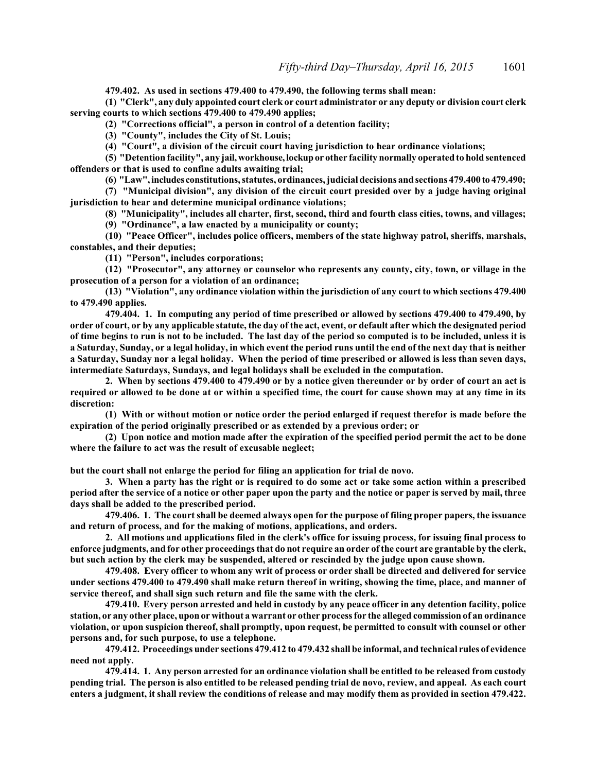**479.402. As used in sections 479.400 to 479.490, the following terms shall mean:**

**(1) "Clerk", any duly appointed court clerk or court administrator or any deputy or division court clerk serving courts to which sections 479.400 to 479.490 applies;**

**(2) "Corrections official", a person in control of a detention facility;**

**(3) "County", includes the City of St. Louis;**

**(4) "Court", a division of the circuit court having jurisdiction to hear ordinance violations;**

**(5) "Detention facility", any jail,workhouse,lockupor other facility normally operated to hold sentenced offenders or that is used to confine adults awaiting trial;**

**(6) "Law",includes constitutions, statutes, ordinances, judicialdecisions and sections 479.400 to 479.490;**

**(7) "Municipal division", any division of the circuit court presided over by a judge having original jurisdiction to hear and determine municipal ordinance violations;**

**(8) "Municipality", includes all charter, first, second, third and fourth class cities, towns, and villages;**

**(9) "Ordinance", a law enacted by a municipality or county;**

**(10) "Peace Officer", includes police officers, members of the state highway patrol, sheriffs, marshals, constables, and their deputies;**

**(11) "Person", includes corporations;**

**(12) "Prosecutor", any attorney or counselor who represents any county, city, town, or village in the prosecution of a person for a violation of an ordinance;**

**(13) "Violation", any ordinance violation within the jurisdiction of any court to which sections 479.400 to 479.490 applies.**

**479.404. 1. In computing any period of time prescribed or allowed by sections 479.400 to 479.490, by order of court, or by any applicable statute, the day of the act, event, or default after which the designated period of time begins to run is not to be included. The last day of the period so computed is to be included, unless it is a Saturday, Sunday, or a legal holiday, in which event the period runs until the end of the next day that is neither a Saturday, Sunday nor a legal holiday. When the period of time prescribed or allowed is less than seven days, intermediate Saturdays, Sundays, and legal holidays shall be excluded in the computation.**

**2. When by sections 479.400 to 479.490 or by a notice given thereunder or by order of court an act is required or allowed to be done at or within a specified time, the court for cause shown may at any time in its discretion:**

**(1) With or without motion or notice order the period enlarged if request therefor is made before the expiration of the period originally prescribed or as extended by a previous order; or**

**(2) Upon notice and motion made after the expiration of the specified period permit the act to be done where the failure to act was the result of excusable neglect;**

**but the court shall not enlarge the period for filing an application for trial de novo.**

**3. When a party has the right or is required to do some act or take some action within a prescribed period after the service of a notice or other paper upon the party and the notice or paper is served by mail, three days shall be added to the prescribed period.**

**479.406. 1. The court shall be deemed always open for the purpose of filing proper papers, the issuance and return of process, and for the making of motions, applications, and orders.**

**2. All motions and applications filed in the clerk's office for issuing process, for issuing final process to enforce judgments, and for other proceedings that do not require an order of the court are grantable by the clerk, but such action by the clerk may be suspended, altered or rescinded by the judge upon cause shown.**

**479.408. Every officer to whom any writ of process or order shall be directed and delivered for service under sections 479.400 to 479.490 shall make return thereof in writing, showing the time, place, and manner of service thereof, and shall sign such return and file the same with the clerk.**

**479.410. Every person arrested and held in custody by any peace officer in any detention facility, police station, or any other place, upon or without a warrant or other process for the alleged commission of an ordinance violation, or upon suspicion thereof, shall promptly, upon request, be permitted to consult with counsel or other persons and, for such purpose, to use a telephone.**

**479.412. Proceedings under sections 479.412 to 479.432 shall be informal, and technical rules of evidence need not apply.**

**479.414. 1. Any person arrested for an ordinance violation shall be entitled to be released from custody pending trial. The person is also entitled to be released pending trial de novo, review, and appeal. As each court enters a judgment, it shall review the conditions of release and may modify them as provided in section 479.422.**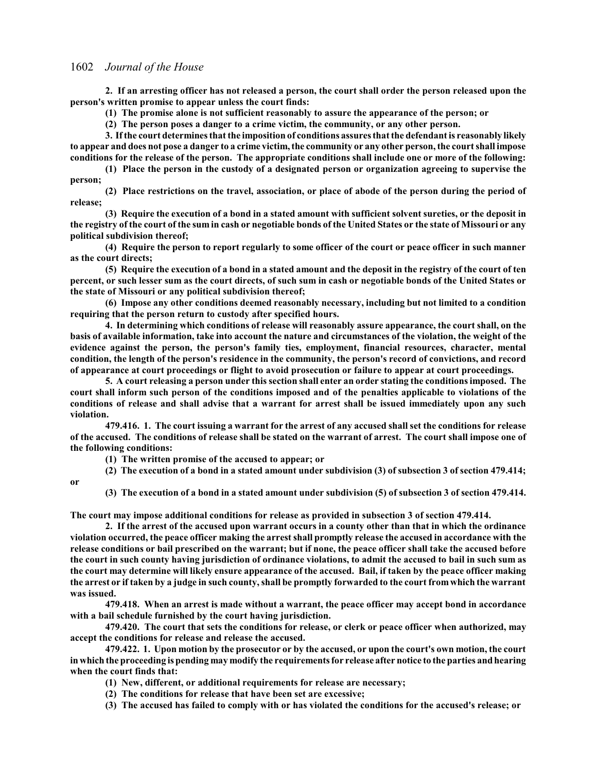**or**

**2. If an arresting officer has not released a person, the court shall order the person released upon the person's written promise to appear unless the court finds:**

**(1) The promise alone is not sufficient reasonably to assure the appearance of the person; or**

**(2) The person poses a danger to a crime victim, the community, or any other person.**

**3. If the court determines that the imposition of conditions assures that the defendant is reasonably likely to appear and does not pose a danger to a crime victim, the community or any other person, the court shall impose conditions for the release of the person. The appropriate conditions shall include one or more of the following:**

**(1) Place the person in the custody of a designated person or organization agreeing to supervise the person;**

**(2) Place restrictions on the travel, association, or place of abode of the person during the period of release;**

**(3) Require the execution of a bond in a stated amount with sufficient solvent sureties, or the deposit in the registry of the court of the sum in cash or negotiable bonds of the United States or the state of Missouri or any political subdivision thereof;**

**(4) Require the person to report regularly to some officer of the court or peace officer in such manner as the court directs;**

**(5) Require the execution of a bond in a stated amount and the deposit in the registry of the court of ten percent, or such lesser sum as the court directs, of such sum in cash or negotiable bonds of the United States or the state of Missouri or any political subdivision thereof;**

**(6) Impose any other conditions deemed reasonably necessary, including but not limited to a condition requiring that the person return to custody after specified hours.**

**4. In determining which conditions of release will reasonably assure appearance, the court shall, on the basis of available information, take into account the nature and circumstances of the violation, the weight of the evidence against the person, the person's family ties, employment, financial resources, character, mental condition, the length of the person's residence in the community, the person's record of convictions, and record of appearance at court proceedings or flight to avoid prosecution or failure to appear at court proceedings.**

**5. A court releasing a person under this section shall enter an order stating the conditions imposed. The court shall inform such person of the conditions imposed and of the penalties applicable to violations of the conditions of release and shall advise that a warrant for arrest shall be issued immediately upon any such violation.**

**479.416. 1. The court issuing a warrant for the arrest of any accused shall set the conditions for release of the accused. The conditions of release shall be stated on the warrant of arrest. The court shall impose one of the following conditions:**

**(1) The written promise of the accused to appear; or**

**(2) The execution of a bond in a stated amount under subdivision (3) of subsection 3 of section 479.414;**

**(3) The execution of a bond in a stated amount under subdivision (5) of subsection 3 of section 479.414.**

**The court may impose additional conditions for release as provided in subsection 3 of section 479.414.**

**2. If the arrest of the accused upon warrant occurs in a county other than that in which the ordinance violation occurred, the peace officer making the arrest shall promptly release the accused in accordance with the release conditions or bail prescribed on the warrant; but if none, the peace officer shall take the accused before the court in such county having jurisdiction of ordinance violations, to admit the accused to bail in such sum as the court may determine will likely ensure appearance of the accused. Bail, if taken by the peace officer making the arrest or if taken by a judge in such county, shall be promptly forwarded to the court fromwhich the warrant was issued.**

**479.418. When an arrest is made without a warrant, the peace officer may accept bond in accordance with a bail schedule furnished by the court having jurisdiction.**

**479.420. The court that sets the conditions for release, or clerk or peace officer when authorized, may accept the conditions for release and release the accused.**

**479.422. 1. Upon motion by the prosecutor or by the accused, or upon the court's own motion, the court in which the proceeding is pending may modify the requirements for release after notice to the parties and hearing when the court finds that:**

**(1) New, different, or additional requirements for release are necessary;**

**(2) The conditions for release that have been set are excessive;**

**(3) The accused has failed to comply with or has violated the conditions for the accused's release; or**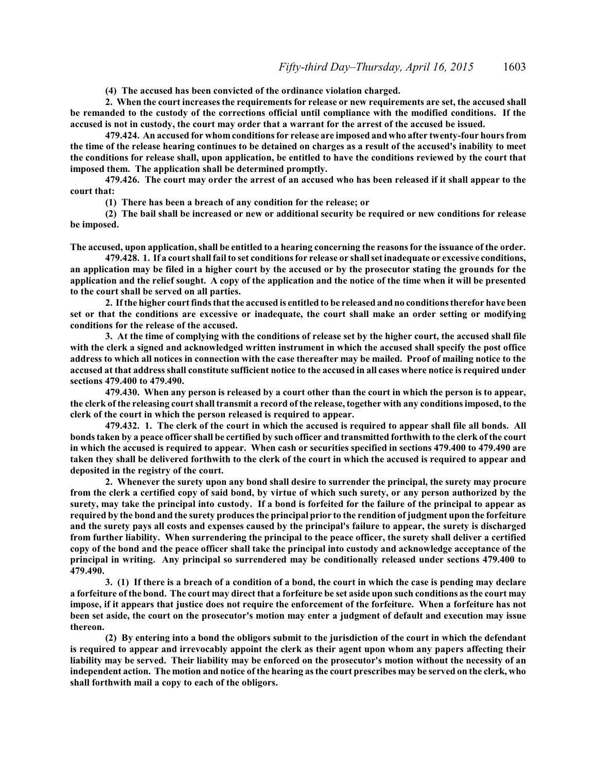**(4) The accused has been convicted of the ordinance violation charged.**

**2. When the court increases the requirements for release or new requirements are set, the accused shall be remanded to the custody of the corrections official until compliance with the modified conditions. If the accused is not in custody, the court may order that a warrant for the arrest of the accused be issued.**

**479.424. An accused for whom conditions for release are imposed and who after twenty-four hours from the time of the release hearing continues to be detained on charges as a result of the accused's inability to meet the conditions for release shall, upon application, be entitled to have the conditions reviewed by the court that imposed them. The application shall be determined promptly.**

**479.426. The court may order the arrest of an accused who has been released if it shall appear to the court that:**

**(1) There has been a breach of any condition for the release; or**

**(2) The bail shall be increased or new or additional security be required or new conditions for release be imposed.**

**The accused, upon application, shall be entitled to a hearing concerning the reasons for the issuance of the order.**

**479.428. 1. If a court shall fail to set conditions for release or shall set inadequate or excessive conditions, an application may be filed in a higher court by the accused or by the prosecutor stating the grounds for the application and the relief sought. A copy of the application and the notice of the time when it will be presented to the court shall be served on all parties.**

**2. If the higher court finds that the accused is entitled to be released and no conditions therefor have been set or that the conditions are excessive or inadequate, the court shall make an order setting or modifying conditions for the release of the accused.**

**3. At the time of complying with the conditions of release set by the higher court, the accused shall file with the clerk a signed and acknowledged written instrument in which the accused shall specify the post office address to which all notices in connection with the case thereafter may be mailed. Proof of mailing notice to the accused at that address shall constitute sufficient notice to the accused in all cases where notice is required under sections 479.400 to 479.490.**

**479.430. When any person is released by a court other than the court in which the person is to appear, the clerk of the releasing court shall transmit a record of the release, together with any conditions imposed, to the clerk of the court in which the person released is required to appear.**

**479.432. 1. The clerk of the court in which the accused is required to appear shall file all bonds. All bonds taken by a peace officer shall be certified by such officer and transmitted forthwith to the clerk of the court in which the accused is required to appear. When cash or securities specified in sections 479.400 to 479.490 are taken they shall be delivered forthwith to the clerk of the court in which the accused is required to appear and deposited in the registry of the court.**

**2. Whenever the surety upon any bond shall desire to surrender the principal, the surety may procure from the clerk a certified copy of said bond, by virtue of which such surety, or any person authorized by the surety, may take the principal into custody. If a bond is forfeited for the failure of the principal to appear as required by the bond and the surety produces the principal prior to the rendition of judgment upon the forfeiture and the surety pays all costs and expenses caused by the principal's failure to appear, the surety is discharged from further liability. When surrendering the principal to the peace officer, the surety shall deliver a certified copy of the bond and the peace officer shall take the principal into custody and acknowledge acceptance of the principal in writing. Any principal so surrendered may be conditionally released under sections 479.400 to 479.490.**

**3. (1) If there is a breach of a condition of a bond, the court in which the case is pending may declare a forfeiture of the bond. The court may direct that a forfeiture be set aside upon such conditions as the court may impose, if it appears that justice does not require the enforcement of the forfeiture. When a forfeiture has not been set aside, the court on the prosecutor's motion may enter a judgment of default and execution may issue thereon.**

**(2) By entering into a bond the obligors submit to the jurisdiction of the court in which the defendant is required to appear and irrevocably appoint the clerk as their agent upon whom any papers affecting their liability may be served. Their liability may be enforced on the prosecutor's motion without the necessity of an independent action. The motion and notice of the hearing as the court prescribes may be served on the clerk, who shall forthwith mail a copy to each of the obligors.**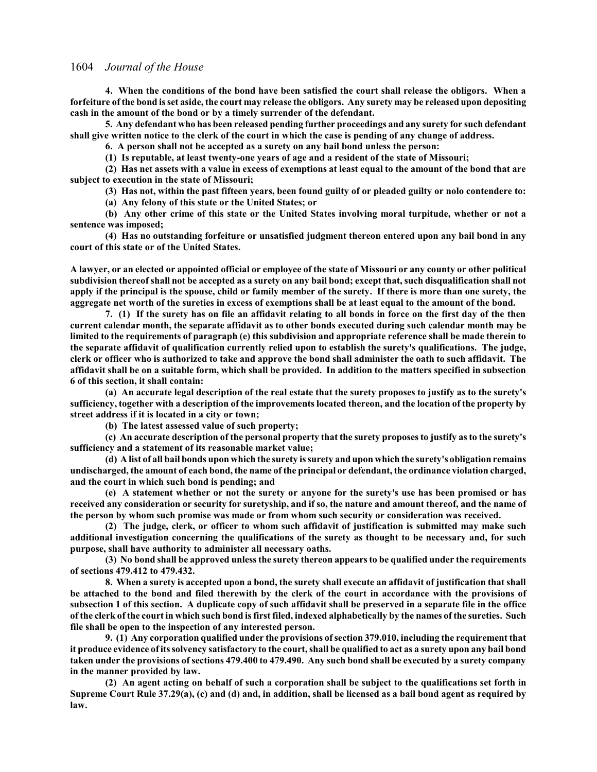**4. When the conditions of the bond have been satisfied the court shall release the obligors. When a forfeiture of the bond is set aside, the court may release the obligors. Any surety may be released upon depositing cash in the amount of the bond or by a timely surrender of the defendant.**

**5. Any defendant who has been released pending further proceedings and any surety for such defendant shall give written notice to the clerk of the court in which the case is pending of any change of address.**

**6. A person shall not be accepted as a surety on any bail bond unless the person:**

**(1) Is reputable, at least twenty-one years of age and a resident of the state of Missouri;**

**(2) Has net assets with a value in excess of exemptions at least equal to the amount of the bond that are subject to execution in the state of Missouri;**

**(3) Has not, within the past fifteen years, been found guilty of or pleaded guilty or nolo contendere to:**

**(a) Any felony of this state or the United States; or**

**(b) Any other crime of this state or the United States involving moral turpitude, whether or not a sentence was imposed;**

**(4) Has no outstanding forfeiture or unsatisfied judgment thereon entered upon any bail bond in any court of this state or of the United States.**

**A lawyer, or an elected or appointed official or employee of the state of Missouri or any county or other political subdivision thereof shall not be accepted as a surety on any bail bond; except that, such disqualification shall not apply if the principal is the spouse, child or family member of the surety. If there is more than one surety, the aggregate net worth of the sureties in excess of exemptions shall be at least equal to the amount of the bond.**

**7. (1) If the surety has on file an affidavit relating to all bonds in force on the first day of the then current calendar month, the separate affidavit as to other bonds executed during such calendar month may be limited to the requirements of paragraph (e) this subdivision and appropriate reference shall be made therein to the separate affidavit of qualification currently relied upon to establish the surety's qualifications. The judge, clerk or officer who is authorized to take and approve the bond shall administer the oath to such affidavit. The affidavit shall be on a suitable form, which shall be provided. In addition to the matters specified in subsection 6 of this section, it shall contain:**

**(a) An accurate legal description of the real estate that the surety proposes to justify as to the surety's sufficiency, together with a description of the improvements located thereon, and the location of the property by street address if it is located in a city or town;**

**(b) The latest assessed value of such property;**

**(c) An accurate description of the personal property that the surety proposes to justify as to the surety's sufficiency and a statement of its reasonable market value;**

**(d) A list of all bail bonds upon which the surety is surety and upon which the surety's obligation remains undischarged, the amount of each bond, the name of the principal or defendant, the ordinance violation charged, and the court in which such bond is pending; and**

**(e) A statement whether or not the surety or anyone for the surety's use has been promised or has received any consideration or security for suretyship, and if so, the nature and amount thereof, and the name of the person by whom such promise was made or from whom such security or consideration was received.**

**(2) The judge, clerk, or officer to whom such affidavit of justification is submitted may make such additional investigation concerning the qualifications of the surety as thought to be necessary and, for such purpose, shall have authority to administer all necessary oaths.**

**(3) No bond shall be approved unless the surety thereon appears to be qualified under the requirements of sections 479.412 to 479.432.**

**8. When a surety is accepted upon a bond, the surety shall execute an affidavit of justification that shall be attached to the bond and filed therewith by the clerk of the court in accordance with the provisions of subsection 1 of this section. A duplicate copy of such affidavit shall be preserved in a separate file in the office of the clerk of the court in which such bond is first filed, indexed alphabetically by the names of the sureties. Such file shall be open to the inspection of any interested person.**

**9. (1) Any corporation qualified under the provisions of section 379.010, including the requirement that it produce evidence of its solvency satisfactory to the court, shall be qualified to act as a surety upon any bail bond taken under the provisions of sections 479.400 to 479.490. Any such bond shall be executed by a surety company in the manner provided by law.**

**(2) An agent acting on behalf of such a corporation shall be subject to the qualifications set forth in Supreme Court Rule 37.29(a), (c) and (d) and, in addition, shall be licensed as a bail bond agent as required by law.**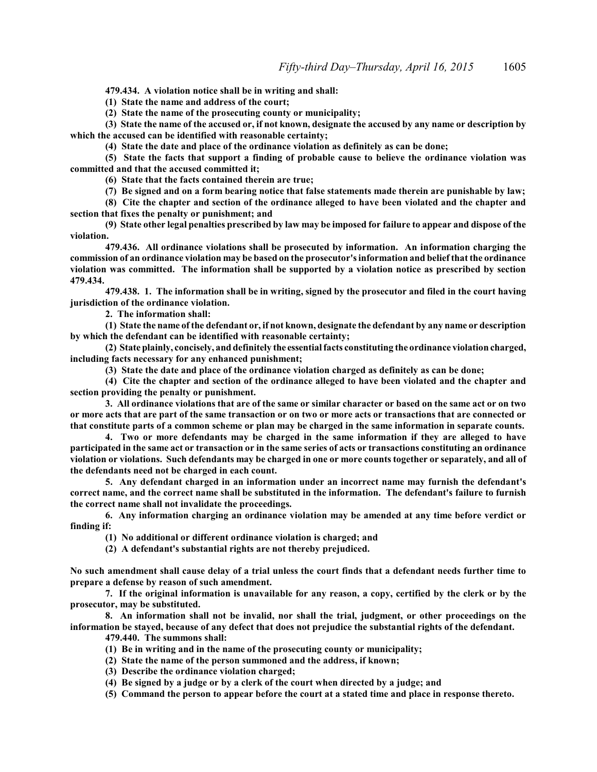**479.434. A violation notice shall be in writing and shall:**

**(1) State the name and address of the court;**

**(2) State the name of the prosecuting county or municipality;**

**(3) State the name of the accused or, if not known, designate the accused by any name or description by which the accused can be identified with reasonable certainty;**

**(4) State the date and place of the ordinance violation as definitely as can be done;**

**(5) State the facts that support a finding of probable cause to believe the ordinance violation was committed and that the accused committed it;**

**(6) State that the facts contained therein are true;**

**(7) Be signed and on a form bearing notice that false statements made therein are punishable by law;**

**(8) Cite the chapter and section of the ordinance alleged to have been violated and the chapter and section that fixes the penalty or punishment; and**

**(9) State other legal penalties prescribed by law may be imposed for failure to appear and dispose of the violation.**

**479.436. All ordinance violations shall be prosecuted by information. An information charging the commission of an ordinance violation may be based on the prosecutor's information and belief that the ordinance violation was committed. The information shall be supported by a violation notice as prescribed by section 479.434.**

**479.438. 1. The information shall be in writing, signed by the prosecutor and filed in the court having jurisdiction of the ordinance violation.**

**2. The information shall:**

**(1) State the name of the defendant or, if not known, designate the defendant by any name or description by which the defendant can be identified with reasonable certainty;**

**(2) State plainly, concisely, and definitely the essential facts constituting the ordinance violation charged, including facts necessary for any enhanced punishment;**

**(3) State the date and place of the ordinance violation charged as definitely as can be done;**

**(4) Cite the chapter and section of the ordinance alleged to have been violated and the chapter and section providing the penalty or punishment.**

**3. All ordinance violations that are of the same or similar character or based on the same act or on two or more acts that are part of the same transaction or on two or more acts or transactions that are connected or that constitute parts of a common scheme or plan may be charged in the same information in separate counts.**

**4. Two or more defendants may be charged in the same information if they are alleged to have participated in the same act or transaction or in the same series of acts or transactions constituting an ordinance violation or violations. Such defendants may be charged in one or more counts together or separately, and all of the defendants need not be charged in each count.**

**5. Any defendant charged in an information under an incorrect name may furnish the defendant's correct name, and the correct name shall be substituted in the information. The defendant's failure to furnish the correct name shall not invalidate the proceedings.**

**6. Any information charging an ordinance violation may be amended at any time before verdict or finding if:**

**(1) No additional or different ordinance violation is charged; and**

**(2) A defendant's substantial rights are not thereby prejudiced.**

**No such amendment shall cause delay of a trial unless the court finds that a defendant needs further time to prepare a defense by reason of such amendment.**

**7. If the original information is unavailable for any reason, a copy, certified by the clerk or by the prosecutor, may be substituted.**

**8. An information shall not be invalid, nor shall the trial, judgment, or other proceedings on the information be stayed, because of any defect that does not prejudice the substantial rights of the defendant.**

**479.440. The summons shall:**

**(1) Be in writing and in the name of the prosecuting county or municipality;**

**(2) State the name of the person summoned and the address, if known;**

**(3) Describe the ordinance violation charged;**

**(4) Be signed by a judge or by a clerk of the court when directed by a judge; and**

**(5) Command the person to appear before the court at a stated time and place in response thereto.**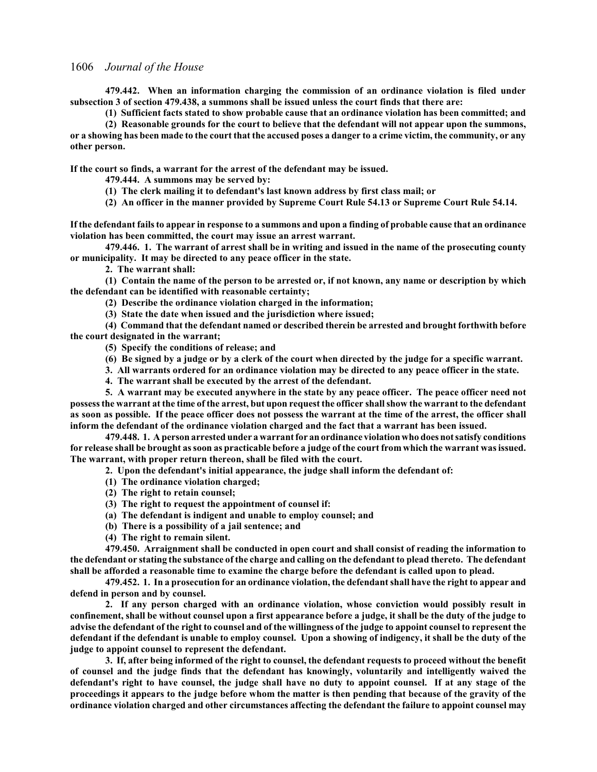**479.442. When an information charging the commission of an ordinance violation is filed under subsection 3 of section 479.438, a summons shall be issued unless the court finds that there are:**

**(1) Sufficient facts stated to show probable cause that an ordinance violation has been committed; and**

**(2) Reasonable grounds for the court to believe that the defendant will not appear upon the summons, or a showing has been made to the court that the accused poses a danger to a crime victim, the community, or any other person.**

**If the court so finds, a warrant for the arrest of the defendant may be issued.**

**479.444. A summons may be served by:**

**(1) The clerk mailing it to defendant's last known address by first class mail; or**

**(2) An officer in the manner provided by Supreme Court Rule 54.13 or Supreme Court Rule 54.14.**

**If the defendant fails to appear in response to a summons and upon a finding of probable cause that an ordinance violation has been committed, the court may issue an arrest warrant.**

**479.446. 1. The warrant of arrest shall be in writing and issued in the name of the prosecuting county or municipality. It may be directed to any peace officer in the state.**

**2. The warrant shall:**

**(1) Contain the name of the person to be arrested or, if not known, any name or description by which the defendant can be identified with reasonable certainty;**

**(2) Describe the ordinance violation charged in the information;**

**(3) State the date when issued and the jurisdiction where issued;**

**(4) Command that the defendant named or described therein be arrested and brought forthwith before the court designated in the warrant;**

**(5) Specify the conditions of release; and**

**(6) Be signed by a judge or by a clerk of the court when directed by the judge for a specific warrant.**

**3. All warrants ordered for an ordinance violation may be directed to any peace officer in the state.**

**4. The warrant shall be executed by the arrest of the defendant.**

**5. A warrant may be executed anywhere in the state by any peace officer. The peace officer need not possess the warrant at the time of the arrest, but upon request the officer shall show the warrant to the defendant as soon as possible. If the peace officer does not possess the warrant at the time of the arrest, the officer shall inform the defendant of the ordinance violation charged and the fact that a warrant has been issued.**

**479.448. 1. A person arrested under a warrant for anordinance violation who does not satisfy conditions for release shall be brought as soon as practicable before a judge of the court from which the warrant was issued. The warrant, with proper return thereon, shall be filed with the court.**

**2. Upon the defendant's initial appearance, the judge shall inform the defendant of:**

- **(1) The ordinance violation charged;**
- **(2) The right to retain counsel;**
- **(3) The right to request the appointment of counsel if:**
- **(a) The defendant is indigent and unable to employ counsel; and**
- **(b) There is a possibility of a jail sentence; and**

**(4) The right to remain silent.**

**479.450. Arraignment shall be conducted in open court and shall consist of reading the information to the defendant or stating the substance of the charge and calling on the defendant to plead thereto. The defendant shall be afforded a reasonable time to examine the charge before the defendant is called upon to plead.**

**479.452. 1. In a prosecution for an ordinance violation, the defendant shall have the right to appear and defend in person and by counsel.**

**2. If any person charged with an ordinance violation, whose conviction would possibly result in confinement, shall be without counsel upon a first appearance before a judge, it shall be the duty of the judge to advise the defendant of the right to counsel and of the willingness of the judge to appoint counsel to represent the defendant if the defendant is unable to employ counsel. Upon a showing of indigency, it shall be the duty of the judge to appoint counsel to represent the defendant.**

**3. If, after being informed of the right to counsel, the defendant requests to proceed without the benefit of counsel and the judge finds that the defendant has knowingly, voluntarily and intelligently waived the defendant's right to have counsel, the judge shall have no duty to appoint counsel. If at any stage of the proceedings it appears to the judge before whom the matter is then pending that because of the gravity of the ordinance violation charged and other circumstances affecting the defendant the failure to appoint counsel may**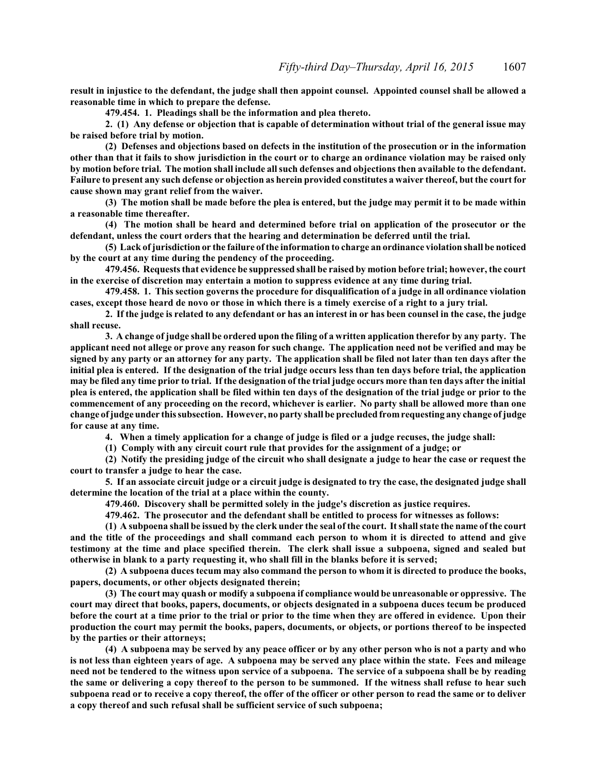**result in injustice to the defendant, the judge shall then appoint counsel. Appointed counsel shall be allowed a reasonable time in which to prepare the defense.**

**479.454. 1. Pleadings shall be the information and plea thereto.**

**2. (1) Any defense or objection that is capable of determination without trial of the general issue may be raised before trial by motion.**

**(2) Defenses and objections based on defects in the institution of the prosecution or in the information other than that it fails to show jurisdiction in the court or to charge an ordinance violation may be raised only by motion before trial. The motion shall include all such defenses and objections then available to the defendant. Failure to present any such defense or objection as herein provided constitutes a waiver thereof, but the court for cause shown may grant relief from the waiver.**

**(3) The motion shall be made before the plea is entered, but the judge may permit it to be made within a reasonable time thereafter.**

**(4) The motion shall be heard and determined before trial on application of the prosecutor or the defendant, unless the court orders that the hearing and determination be deferred until the trial.**

**(5) Lack of jurisdiction or the failure of the information to charge an ordinance violation shall be noticed by the court at any time during the pendency of the proceeding.**

**479.456. Requests that evidence be suppressed shall be raised by motion before trial; however, the court in the exercise of discretion may entertain a motion to suppress evidence at any time during trial.**

**479.458. 1. This section governs the procedure for disqualification of a judge in all ordinance violation cases, except those heard de novo or those in which there is a timely exercise of a right to a jury trial.**

**2. If the judge is related to any defendant or has an interest in or has been counsel in the case, the judge shall recuse.**

**3. A change of judge shall be ordered upon the filing of a written application therefor by any party. The applicant need not allege or prove any reason for such change. The application need not be verified and may be signed by any party or an attorney for any party. The application shall be filed not later than ten days after the initial plea is entered. If the designation of the trial judge occurs less than ten days before trial, the application may be filed any time prior to trial. If the designation of the trial judge occurs more than ten days after the initial plea is entered, the application shall be filed within ten days of the designation of the trial judge or prior to the commencement of any proceeding on the record, whichever is earlier. No party shall be allowed more than one change of judge under this subsection. However, no party shall be precluded fromrequesting any change of judge for cause at any time.**

**4. When a timely application for a change of judge is filed or a judge recuses, the judge shall:**

**(1) Comply with any circuit court rule that provides for the assignment of a judge; or**

**(2) Notify the presiding judge of the circuit who shall designate a judge to hear the case or request the court to transfer a judge to hear the case.**

**5. If an associate circuit judge or a circuit judge is designated to try the case, the designated judge shall determine the location of the trial at a place within the county.**

**479.460. Discovery shall be permitted solely in the judge's discretion as justice requires.**

**479.462. The prosecutor and the defendant shall be entitled to process for witnesses as follows:**

**(1) A subpoena shall be issued by the clerk under the seal of the court. It shall state the name of the court and the title of the proceedings and shall command each person to whom it is directed to attend and give testimony at the time and place specified therein. The clerk shall issue a subpoena, signed and sealed but otherwise in blank to a party requesting it, who shall fill in the blanks before it is served;**

**(2) A subpoena duces tecum may also command the person to whom it is directed to produce the books, papers, documents, or other objects designated therein;**

**(3) The court may quash or modify a subpoena if compliance would be unreasonable or oppressive. The court may direct that books, papers, documents, or objects designated in a subpoena duces tecum be produced before the court at a time prior to the trial or prior to the time when they are offered in evidence. Upon their production the court may permit the books, papers, documents, or objects, or portions thereof to be inspected by the parties or their attorneys;**

**(4) A subpoena may be served by any peace officer or by any other person who is not a party and who is not less than eighteen years of age. A subpoena may be served any place within the state. Fees and mileage need not be tendered to the witness upon service of a subpoena. The service of a subpoena shall be by reading the same or delivering a copy thereof to the person to be summoned. If the witness shall refuse to hear such subpoena read or to receive a copy thereof, the offer of the officer or other person to read the same or to deliver a copy thereof and such refusal shall be sufficient service of such subpoena;**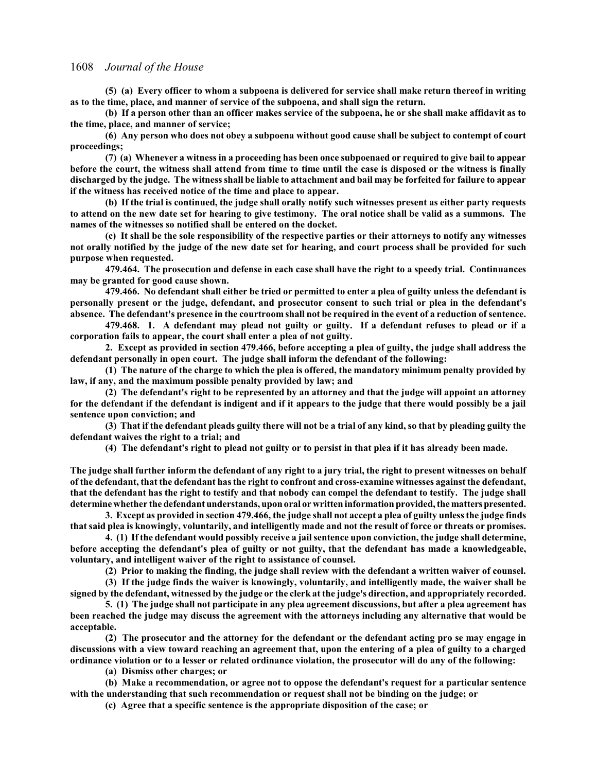**(5) (a) Every officer to whom a subpoena is delivered for service shall make return thereof in writing as to the time, place, and manner of service of the subpoena, and shall sign the return.**

**(b) If a person other than an officer makes service of the subpoena, he or she shall make affidavit as to the time, place, and manner of service;**

**(6) Any person who does not obey a subpoena without good cause shall be subject to contempt of court proceedings;**

**(7) (a) Whenever a witness in a proceeding has been once subpoenaed or required to give bail to appear before the court, the witness shall attend from time to time until the case is disposed or the witness is finally discharged by the judge. The witness shall be liable to attachment and bail may be forfeited for failure to appear if the witness has received notice of the time and place to appear.**

**(b) If the trial is continued, the judge shall orally notify such witnesses present as either party requests to attend on the new date set for hearing to give testimony. The oral notice shall be valid as a summons. The names of the witnesses so notified shall be entered on the docket.**

**(c) It shall be the sole responsibility of the respective parties or their attorneys to notify any witnesses not orally notified by the judge of the new date set for hearing, and court process shall be provided for such purpose when requested.**

**479.464. The prosecution and defense in each case shall have the right to a speedy trial. Continuances may be granted for good cause shown.**

**479.466. No defendant shall either be tried or permitted to enter a plea of guilty unless the defendant is personally present or the judge, defendant, and prosecutor consent to such trial or plea in the defendant's absence. The defendant's presence in the courtroom shall not be required in the event of a reduction of sentence.**

**479.468. 1. A defendant may plead not guilty or guilty. If a defendant refuses to plead or if a corporation fails to appear, the court shall enter a plea of not guilty.**

**2. Except as provided in section 479.466, before accepting a plea of guilty, the judge shall address the defendant personally in open court. The judge shall inform the defendant of the following:**

**(1) The nature of the charge to which the plea is offered, the mandatory minimum penalty provided by law, if any, and the maximum possible penalty provided by law; and**

**(2) The defendant's right to be represented by an attorney and that the judge will appoint an attorney for the defendant if the defendant is indigent and if it appears to the judge that there would possibly be a jail sentence upon conviction; and**

**(3) That if the defendant pleads guilty there will not be a trial of any kind, so that by pleading guilty the defendant waives the right to a trial; and**

**(4) The defendant's right to plead not guilty or to persist in that plea if it has already been made.**

**The judge shall further inform the defendant of any right to a jury trial, the right to present witnesses on behalf of the defendant, that the defendant has the right to confront and cross-examine witnesses against the defendant, that the defendant has the right to testify and that nobody can compel the defendant to testify. The judge shall determine whether the defendant understands, upon oral or written information provided, the matterspresented.**

**3. Except as provided in section 479.466, the judge shall not accept a plea of guilty unless the judge finds that said plea is knowingly, voluntarily, and intelligently made and not the result of force or threats or promises.**

**4. (1) If the defendant would possibly receive a jail sentence upon conviction, the judge shall determine, before accepting the defendant's plea of guilty or not guilty, that the defendant has made a knowledgeable, voluntary, and intelligent waiver of the right to assistance of counsel.**

**(2) Prior to making the finding, the judge shall review with the defendant a written waiver of counsel.**

**(3) If the judge finds the waiver is knowingly, voluntarily, and intelligently made, the waiver shall be signed by the defendant, witnessed by the judge or the clerk at the judge's direction, and appropriately recorded.**

**5. (1) The judge shall not participate in any plea agreement discussions, but after a plea agreement has been reached the judge may discuss the agreement with the attorneys including any alternative that would be acceptable.**

**(2) The prosecutor and the attorney for the defendant or the defendant acting pro se may engage in discussions with a view toward reaching an agreement that, upon the entering of a plea of guilty to a charged ordinance violation or to a lesser or related ordinance violation, the prosecutor will do any of the following:**

**(a) Dismiss other charges; or**

**(b) Make a recommendation, or agree not to oppose the defendant's request for a particular sentence with the understanding that such recommendation or request shall not be binding on the judge; or**

**(c) Agree that a specific sentence is the appropriate disposition of the case; or**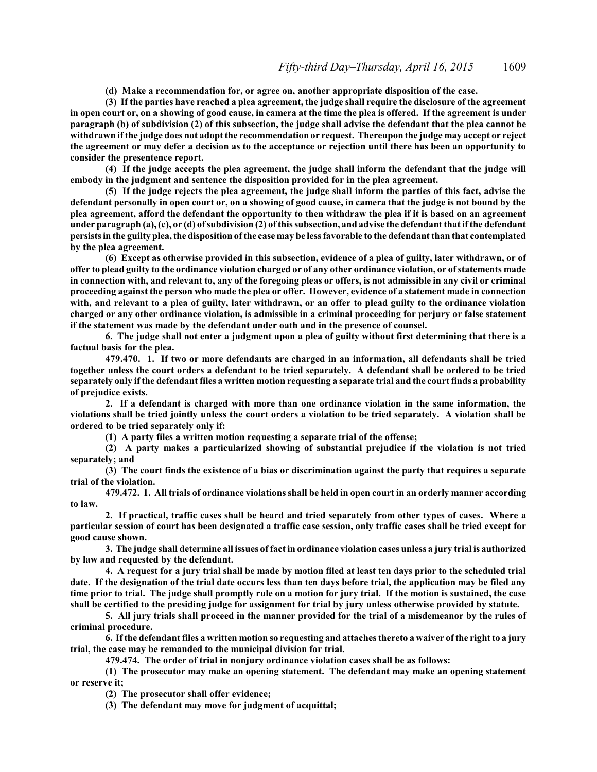**(d) Make a recommendation for, or agree on, another appropriate disposition of the case.**

**(3) If the parties have reached a plea agreement, the judge shall require the disclosure of the agreement in open court or, on a showing of good cause, in camera at the time the plea is offered. If the agreement is under paragraph (b) of subdivision (2) of this subsection, the judge shall advise the defendant that the plea cannot be withdrawn if the judge does not adopt the recommendation or request. Thereupon the judge may accept or reject the agreement or may defer a decision as to the acceptance or rejection until there has been an opportunity to consider the presentence report.**

**(4) If the judge accepts the plea agreement, the judge shall inform the defendant that the judge will embody in the judgment and sentence the disposition provided for in the plea agreement.**

**(5) If the judge rejects the plea agreement, the judge shall inform the parties of this fact, advise the defendant personally in open court or, on a showing of good cause, in camera that the judge is not bound by the plea agreement, afford the defendant the opportunity to then withdraw the plea if it is based on an agreement under paragraph (a), (c), or (d) of subdivision (2) of this subsection, and advise the defendant that if the defendant persists in the guilty plea, the disposition of the case may be less favorable to the defendant than that contemplated by the plea agreement.**

**(6) Except as otherwise provided in this subsection, evidence of a plea of guilty, later withdrawn, or of offer to plead guilty to the ordinance violation charged or of any other ordinance violation, or of statements made in connection with, and relevant to, any of the foregoing pleas or offers, is not admissible in any civil or criminal proceeding against the person who made the plea or offer. However, evidence of a statement made in connection with, and relevant to a plea of guilty, later withdrawn, or an offer to plead guilty to the ordinance violation charged or any other ordinance violation, is admissible in a criminal proceeding for perjury or false statement if the statement was made by the defendant under oath and in the presence of counsel.**

**6. The judge shall not enter a judgment upon a plea of guilty without first determining that there is a factual basis for the plea.**

**479.470. 1. If two or more defendants are charged in an information, all defendants shall be tried together unless the court orders a defendant to be tried separately. A defendant shall be ordered to be tried separately only if the defendant files a written motion requesting a separate trial and the court finds a probability of prejudice exists.**

**2. If a defendant is charged with more than one ordinance violation in the same information, the violations shall be tried jointly unless the court orders a violation to be tried separately. A violation shall be ordered to be tried separately only if:**

**(1) A party files a written motion requesting a separate trial of the offense;**

**(2) A party makes a particularized showing of substantial prejudice if the violation is not tried separately; and**

**(3) The court finds the existence of a bias or discrimination against the party that requires a separate trial of the violation.**

**479.472. 1. All trials of ordinance violations shall be held in open court in an orderly manner according to law.**

**2. If practical, traffic cases shall be heard and tried separately from other types of cases. Where a particular session of court has been designated a traffic case session, only traffic cases shall be tried except for good cause shown.**

**3. The judge shall determine all issues of fact in ordinance violation cases unless a jury trial is authorized by law and requested by the defendant.**

**4. A request for a jury trial shall be made by motion filed at least ten days prior to the scheduled trial date. If the designation of the trial date occurs less than ten days before trial, the application may be filed any time prior to trial. The judge shall promptly rule on a motion for jury trial. If the motion is sustained, the case shall be certified to the presiding judge for assignment for trial by jury unless otherwise provided by statute.**

**5. All jury trials shall proceed in the manner provided for the trial of a misdemeanor by the rules of criminal procedure.**

**6. If the defendant files a written motion so requesting and attaches thereto a waiver of the right to a jury trial, the case may be remanded to the municipal division for trial.**

**479.474. The order of trial in nonjury ordinance violation cases shall be as follows:**

**(1) The prosecutor may make an opening statement. The defendant may make an opening statement or reserve it;**

**(2) The prosecutor shall offer evidence;**

**(3) The defendant may move for judgment of acquittal;**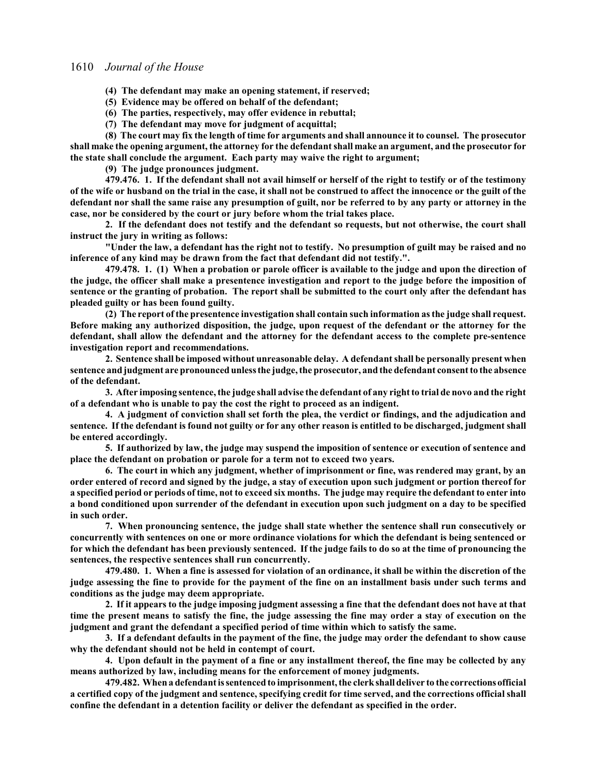**(4) The defendant may make an opening statement, if reserved;**

- **(5) Evidence may be offered on behalf of the defendant;**
- **(6) The parties, respectively, may offer evidence in rebuttal;**
- **(7) The defendant may move for judgment of acquittal;**

**(8) The court may fix the length of time for arguments and shall announce it to counsel. The prosecutor shall make the opening argument, the attorney for the defendant shall make an argument, and the prosecutor for the state shall conclude the argument. Each party may waive the right to argument;**

**(9) The judge pronounces judgment.**

**479.476. 1. If the defendant shall not avail himself or herself of the right to testify or of the testimony of the wife or husband on the trial in the case, it shall not be construed to affect the innocence or the guilt of the defendant nor shall the same raise any presumption of guilt, nor be referred to by any party or attorney in the case, nor be considered by the court or jury before whom the trial takes place.**

**2. If the defendant does not testify and the defendant so requests, but not otherwise, the court shall instruct the jury in writing as follows:**

**"Under the law, a defendant has the right not to testify. No presumption of guilt may be raised and no inference of any kind may be drawn from the fact that defendant did not testify.".**

**479.478. 1. (1) When a probation or parole officer is available to the judge and upon the direction of the judge, the officer shall make a presentence investigation and report to the judge before the imposition of sentence or the granting of probation. The report shall be submitted to the court only after the defendant has pleaded guilty or has been found guilty.**

**(2) The report of the presentence investigation shall contain such information as the judge shall request. Before making any authorized disposition, the judge, upon request of the defendant or the attorney for the defendant, shall allow the defendant and the attorney for the defendant access to the complete pre-sentence investigation report and recommendations.**

**2. Sentence shall be imposed without unreasonable delay. A defendant shall be personally present when sentence and judgment are pronounced unless the judge, the prosecutor, and the defendant consent to the absence of the defendant.**

**3. After imposing sentence, the judge shall advise the defendant of any right to trial de novo and the right of a defendant who is unable to pay the cost the right to proceed as an indigent.**

**4. A judgment of conviction shall set forth the plea, the verdict or findings, and the adjudication and sentence. If the defendant is found not guilty or for any other reason is entitled to be discharged, judgment shall be entered accordingly.**

**5. If authorized by law, the judge may suspend the imposition of sentence or execution of sentence and place the defendant on probation or parole for a term not to exceed two years.**

**6. The court in which any judgment, whether of imprisonment or fine, was rendered may grant, by an order entered of record and signed by the judge, a stay of execution upon such judgment or portion thereof for a specified period or periods of time, not to exceed six months. The judge may require the defendant to enter into a bond conditioned upon surrender of the defendant in execution upon such judgment on a day to be specified in such order.**

**7. When pronouncing sentence, the judge shall state whether the sentence shall run consecutively or concurrently with sentences on one or more ordinance violations for which the defendant is being sentenced or for which the defendant has been previously sentenced. If the judge fails to do so at the time of pronouncing the sentences, the respective sentences shall run concurrently.**

**479.480. 1. When a fine is assessed for violation of an ordinance, it shall be within the discretion of the judge assessing the fine to provide for the payment of the fine on an installment basis under such terms and conditions as the judge may deem appropriate.**

**2. If it appears to the judge imposing judgment assessing a fine that the defendant does not have at that time the present means to satisfy the fine, the judge assessing the fine may order a stay of execution on the judgment and grant the defendant a specified period of time within which to satisfy the same.**

**3. If a defendant defaults in the payment of the fine, the judge may order the defendant to show cause why the defendant should not be held in contempt of court.**

**4. Upon default in the payment of a fine or any installment thereof, the fine may be collected by any means authorized by law, including means for the enforcement of money judgments.**

**479.482. When a defendant is sentenced to imprisonment, the clerkshall deliver to the corrections official a certified copy of the judgment and sentence, specifying credit for time served, and the corrections official shall confine the defendant in a detention facility or deliver the defendant as specified in the order.**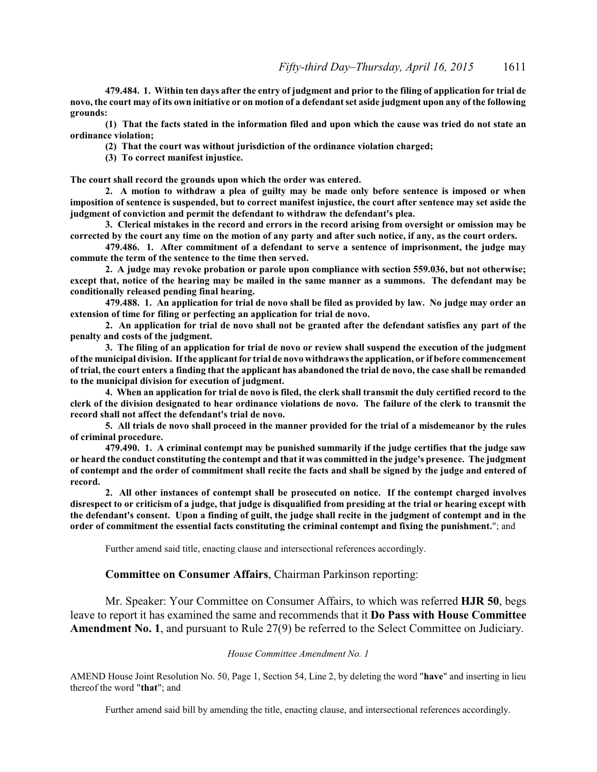**479.484. 1. Within ten days after the entry of judgment and prior to the filing of application for trial de novo, the court may of its own initiative or on motion of a defendant set aside judgment upon any of the following grounds:**

**(1) That the facts stated in the information filed and upon which the cause was tried do not state an ordinance violation;**

**(2) That the court was without jurisdiction of the ordinance violation charged;**

**(3) To correct manifest injustice.**

**The court shall record the grounds upon which the order was entered.**

**2. A motion to withdraw a plea of guilty may be made only before sentence is imposed or when imposition of sentence is suspended, but to correct manifest injustice, the court after sentence may set aside the judgment of conviction and permit the defendant to withdraw the defendant's plea.**

**3. Clerical mistakes in the record and errors in the record arising from oversight or omission may be corrected by the court any time on the motion of any party and after such notice, if any, as the court orders.**

**479.486. 1. After commitment of a defendant to serve a sentence of imprisonment, the judge may commute the term of the sentence to the time then served.**

**2. A judge may revoke probation or parole upon compliance with section 559.036, but not otherwise; except that, notice of the hearing may be mailed in the same manner as a summons. The defendant may be conditionally released pending final hearing.**

**479.488. 1. An application for trial de novo shall be filed as provided by law. No judge may order an extension of time for filing or perfecting an application for trial de novo.**

**2. An application for trial de novo shall not be granted after the defendant satisfies any part of the penalty and costs of the judgment.**

**3. The filing of an application for trial de novo or review shall suspend the execution of the judgment of the municipal division. If the applicant for trial de novo withdrawsthe application, or if before commencement of trial, the court enters a finding that the applicant has abandoned the trial de novo, the case shall be remanded to the municipal division for execution of judgment.**

**4. When an application for trial de novo is filed, the clerk shall transmit the duly certified record to the clerk of the division designated to hear ordinance violations de novo. The failure of the clerk to transmit the record shall not affect the defendant's trial de novo.**

**5. All trials de novo shall proceed in the manner provided for the trial of a misdemeanor by the rules of criminal procedure.**

**479.490. 1. A criminal contempt may be punished summarily if the judge certifies that the judge saw or heard the conduct constituting the contempt and that it was committed in the judge's presence. The judgment of contempt and the order of commitment shall recite the facts and shall be signed by the judge and entered of record.**

**2. All other instances of contempt shall be prosecuted on notice. If the contempt charged involves disrespect to or criticism of a judge, that judge is disqualified from presiding at the trial or hearing except with the defendant's consent. Upon a finding of guilt, the judge shall recite in the judgment of contempt and in the order of commitment the essential facts constituting the criminal contempt and fixing the punishment.**"; and

Further amend said title, enacting clause and intersectional references accordingly.

## **Committee on Consumer Affairs**, Chairman Parkinson reporting:

Mr. Speaker: Your Committee on Consumer Affairs, to which was referred **HJR 50**, begs leave to report it has examined the same and recommends that it **Do Pass with House Committee Amendment No. 1**, and pursuant to Rule 27(9) be referred to the Select Committee on Judiciary.

### *House Committee Amendment No. 1*

AMEND House Joint Resolution No. 50, Page 1, Section 54, Line 2, by deleting the word "**have**" and inserting in lieu thereof the word "**that**"; and

Further amend said bill by amending the title, enacting clause, and intersectional references accordingly.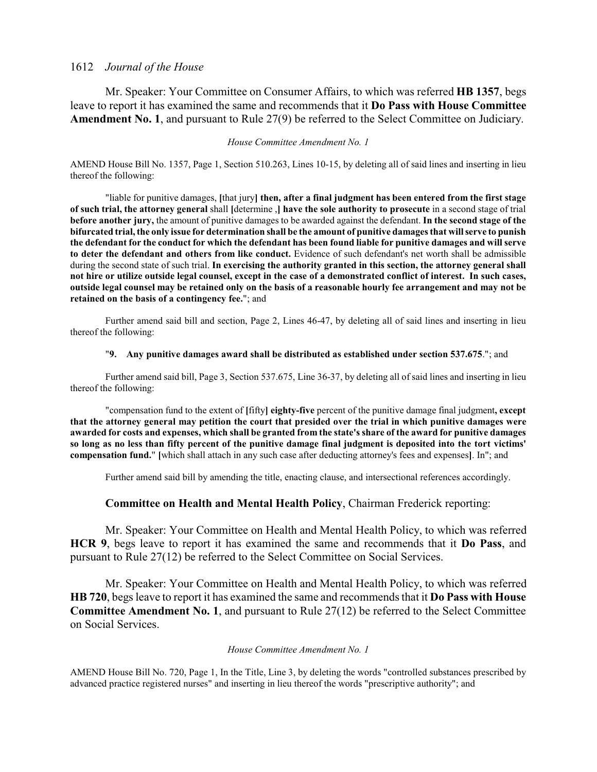Mr. Speaker: Your Committee on Consumer Affairs, to which was referred **HB 1357**, begs leave to report it has examined the same and recommends that it **Do Pass with House Committee Amendment No. 1**, and pursuant to Rule 27(9) be referred to the Select Committee on Judiciary.

### *House Committee Amendment No. 1*

AMEND House Bill No. 1357, Page 1, Section 510.263, Lines 10-15, by deleting all of said lines and inserting in lieu thereof the following:

"liable for punitive damages, **[**that jury**] then, after a final judgment has been entered from the first stage of such trial, the attorney general** shall **[**determine ,**] have the sole authority to prosecute** in a second stage of trial **before another jury,** the amount of punitive damages to be awarded against the defendant. **In the second stage of the bifurcated trial, the only issue for determination shall be the amount of punitive damages that will serve to punish the defendant for the conduct for which the defendant has been found liable for punitive damages and will serve to deter the defendant and others from like conduct.** Evidence of such defendant's net worth shall be admissible during the second state of such trial. **In exercising the authority granted in this section, the attorney general shall not hire or utilize outside legal counsel, except in the case of a demonstrated conflict of interest. In such cases, outside legal counsel may be retained only on the basis of a reasonable hourly fee arrangement and may not be retained on the basis of a contingency fee.**"; and

Further amend said bill and section, Page 2, Lines 46-47, by deleting all of said lines and inserting in lieu thereof the following:

### "**9. Any punitive damages award shall be distributed as established under section 537.675**."; and

Further amend said bill, Page 3, Section 537.675, Line 36-37, by deleting all of said lines and inserting in lieu thereof the following:

"compensation fund to the extent of **[**fifty**] eighty-five** percent of the punitive damage final judgment**, except that the attorney general may petition the court that presided over the trial in which punitive damages were awarded for costs and expenses, which shall be granted from the state's share of the award for punitive damages so long as no less than fifty percent of the punitive damage final judgment is deposited into the tort victims' compensation fund.**" **[**which shall attach in any such case after deducting attorney's fees and expenses**]**. In"; and

Further amend said bill by amending the title, enacting clause, and intersectional references accordingly.

## **Committee on Health and Mental Health Policy**, Chairman Frederick reporting:

Mr. Speaker: Your Committee on Health and Mental Health Policy, to which was referred **HCR 9**, begs leave to report it has examined the same and recommends that it **Do Pass**, and pursuant to Rule 27(12) be referred to the Select Committee on Social Services.

Mr. Speaker: Your Committee on Health and Mental Health Policy, to which was referred **HB 720**, begs leave to report it has examined the same and recommends that it **Do Pass with House Committee Amendment No. 1**, and pursuant to Rule 27(12) be referred to the Select Committee on Social Services.

## *House Committee Amendment No. 1*

AMEND House Bill No. 720, Page 1, In the Title, Line 3, by deleting the words "controlled substances prescribed by advanced practice registered nurses" and inserting in lieu thereof the words "prescriptive authority"; and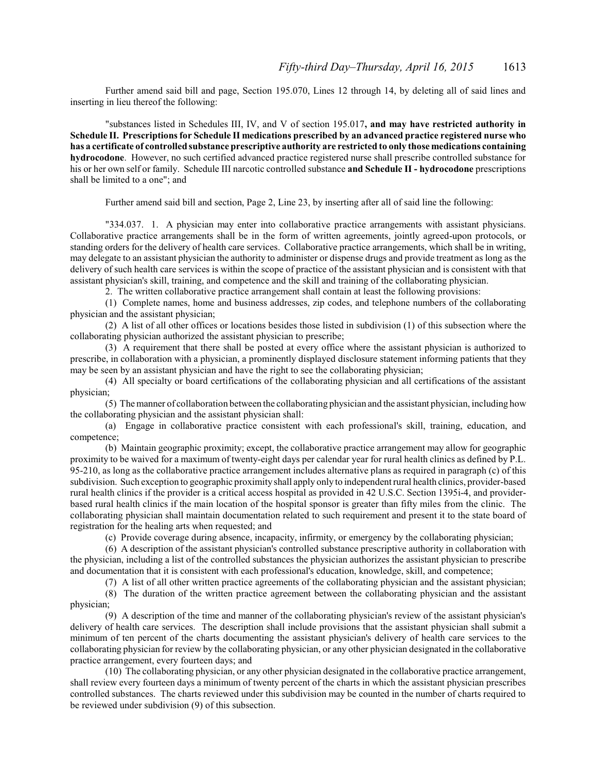Further amend said bill and page, Section 195.070, Lines 12 through 14, by deleting all of said lines and inserting in lieu thereof the following:

"substances listed in Schedules III, IV, and V of section 195.017**, and may have restricted authority in Schedule II. Prescriptions for Schedule II medications prescribed by an advanced practice registered nurse who has a certificate of controlled substance prescriptive authority are restricted to only those medications containing hydrocodone**. However, no such certified advanced practice registered nurse shall prescribe controlled substance for his or her own self or family. Schedule III narcotic controlled substance **and Schedule II - hydrocodone** prescriptions shall be limited to a one"; and

Further amend said bill and section, Page 2, Line 23, by inserting after all of said line the following:

"334.037. 1. A physician may enter into collaborative practice arrangements with assistant physicians. Collaborative practice arrangements shall be in the form of written agreements, jointly agreed-upon protocols, or standing orders for the delivery of health care services. Collaborative practice arrangements, which shall be in writing, may delegate to an assistant physician the authority to administer or dispense drugs and provide treatment as long as the delivery of such health care services is within the scope of practice of the assistant physician and is consistent with that assistant physician's skill, training, and competence and the skill and training of the collaborating physician.

2. The written collaborative practice arrangement shall contain at least the following provisions:

(1) Complete names, home and business addresses, zip codes, and telephone numbers of the collaborating physician and the assistant physician;

(2) A list of all other offices or locations besides those listed in subdivision (1) of this subsection where the collaborating physician authorized the assistant physician to prescribe;

(3) A requirement that there shall be posted at every office where the assistant physician is authorized to prescribe, in collaboration with a physician, a prominently displayed disclosure statement informing patients that they may be seen by an assistant physician and have the right to see the collaborating physician;

(4) All specialty or board certifications of the collaborating physician and all certifications of the assistant physician;

(5) The manner of collaboration between the collaborating physician and the assistant physician, including how the collaborating physician and the assistant physician shall:

(a) Engage in collaborative practice consistent with each professional's skill, training, education, and competence;

(b) Maintain geographic proximity; except, the collaborative practice arrangement may allow for geographic proximity to be waived for a maximum of twenty-eight days per calendar year for rural health clinics as defined by P.L. 95-210, as long as the collaborative practice arrangement includes alternative plans as required in paragraph (c) of this subdivision. Such exception to geographic proximity shall apply only to independentrural health clinics, provider-based rural health clinics if the provider is a critical access hospital as provided in 42 U.S.C. Section 1395i-4, and providerbased rural health clinics if the main location of the hospital sponsor is greater than fifty miles from the clinic. The collaborating physician shall maintain documentation related to such requirement and present it to the state board of registration for the healing arts when requested; and

(c) Provide coverage during absence, incapacity, infirmity, or emergency by the collaborating physician;

(6) A description of the assistant physician's controlled substance prescriptive authority in collaboration with the physician, including a list of the controlled substances the physician authorizes the assistant physician to prescribe and documentation that it is consistent with each professional's education, knowledge, skill, and competence;

(7) A list of all other written practice agreements of the collaborating physician and the assistant physician;

(8) The duration of the written practice agreement between the collaborating physician and the assistant physician;

(9) A description of the time and manner of the collaborating physician's review of the assistant physician's delivery of health care services. The description shall include provisions that the assistant physician shall submit a minimum of ten percent of the charts documenting the assistant physician's delivery of health care services to the collaborating physician for review by the collaborating physician, or any other physician designated in the collaborative practice arrangement, every fourteen days; and

(10) The collaborating physician, or any other physician designated in the collaborative practice arrangement, shall review every fourteen days a minimum of twenty percent of the charts in which the assistant physician prescribes controlled substances. The charts reviewed under this subdivision may be counted in the number of charts required to be reviewed under subdivision (9) of this subsection.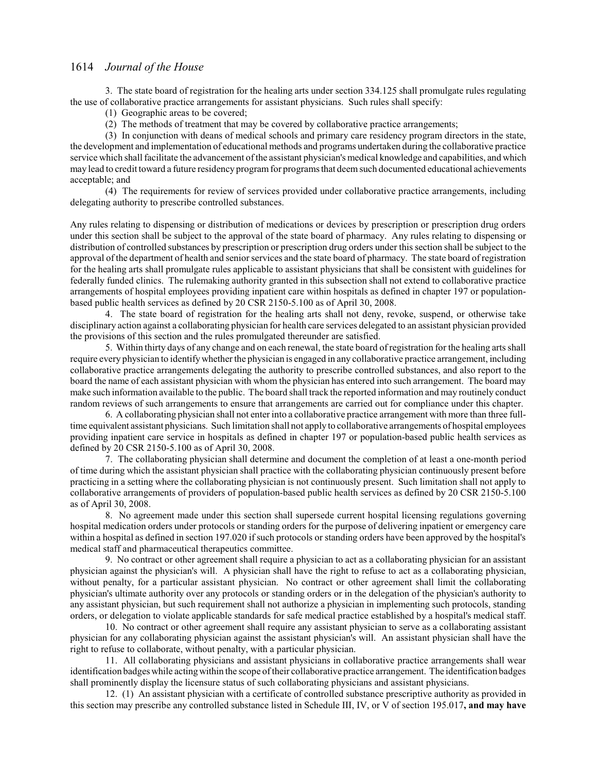3. The state board of registration for the healing arts under section 334.125 shall promulgate rules regulating the use of collaborative practice arrangements for assistant physicians. Such rules shall specify:

- (1) Geographic areas to be covered;
- (2) The methods of treatment that may be covered by collaborative practice arrangements;

(3) In conjunction with deans of medical schools and primary care residency program directors in the state, the development and implementation of educational methods and programs undertaken during the collaborative practice service which shall facilitate the advancement ofthe assistant physician's medical knowledge and capabilities, and which may lead to credit toward a future residency programfor programs that deemsuch documented educational achievements acceptable; and

(4) The requirements for review of services provided under collaborative practice arrangements, including delegating authority to prescribe controlled substances.

Any rules relating to dispensing or distribution of medications or devices by prescription or prescription drug orders under this section shall be subject to the approval of the state board of pharmacy. Any rules relating to dispensing or distribution of controlled substances by prescription or prescription drug orders under this section shall be subject to the approval of the department of health and senior services and the state board of pharmacy. The state board of registration for the healing arts shall promulgate rules applicable to assistant physicians that shall be consistent with guidelines for federally funded clinics. The rulemaking authority granted in this subsection shall not extend to collaborative practice arrangements of hospital employees providing inpatient care within hospitals as defined in chapter 197 or populationbased public health services as defined by 20 CSR 2150-5.100 as of April 30, 2008.

4. The state board of registration for the healing arts shall not deny, revoke, suspend, or otherwise take disciplinary action against a collaborating physician for health care services delegated to an assistant physician provided the provisions of this section and the rules promulgated thereunder are satisfied.

5. Within thirty days of any change and on each renewal, the state board of registration for the healing arts shall require every physician to identifywhether the physician is engaged in any collaborative practice arrangement, including collaborative practice arrangements delegating the authority to prescribe controlled substances, and also report to the board the name of each assistant physician with whom the physician has entered into such arrangement. The board may make such information available to the public. The board shall track the reported information and may routinely conduct random reviews of such arrangements to ensure that arrangements are carried out for compliance under this chapter.

6. A collaborating physician shall not enter into a collaborative practice arrangement with more than three fulltime equivalent assistant physicians. Such limitation shall not apply to collaborative arrangements of hospital employees providing inpatient care service in hospitals as defined in chapter 197 or population-based public health services as defined by 20 CSR 2150-5.100 as of April 30, 2008.

7. The collaborating physician shall determine and document the completion of at least a one-month period of time during which the assistant physician shall practice with the collaborating physician continuously present before practicing in a setting where the collaborating physician is not continuously present. Such limitation shall not apply to collaborative arrangements of providers of population-based public health services as defined by 20 CSR 2150-5.100 as of April 30, 2008.

8. No agreement made under this section shall supersede current hospital licensing regulations governing hospital medication orders under protocols or standing orders for the purpose of delivering inpatient or emergency care within a hospital as defined in section 197.020 if such protocols or standing orders have been approved by the hospital's medical staff and pharmaceutical therapeutics committee.

9. No contract or other agreement shall require a physician to act as a collaborating physician for an assistant physician against the physician's will. A physician shall have the right to refuse to act as a collaborating physician, without penalty, for a particular assistant physician. No contract or other agreement shall limit the collaborating physician's ultimate authority over any protocols or standing orders or in the delegation of the physician's authority to any assistant physician, but such requirement shall not authorize a physician in implementing such protocols, standing orders, or delegation to violate applicable standards for safe medical practice established by a hospital's medical staff.

10. No contract or other agreement shall require any assistant physician to serve as a collaborating assistant physician for any collaborating physician against the assistant physician's will. An assistant physician shall have the right to refuse to collaborate, without penalty, with a particular physician.

11. All collaborating physicians and assistant physicians in collaborative practice arrangements shall wear identification badges while acting within the scope oftheir collaborative practice arrangement. The identification badges shall prominently display the licensure status of such collaborating physicians and assistant physicians.

12. (1) An assistant physician with a certificate of controlled substance prescriptive authority as provided in this section may prescribe any controlled substance listed in Schedule III, IV, or V of section 195.017**, and may have**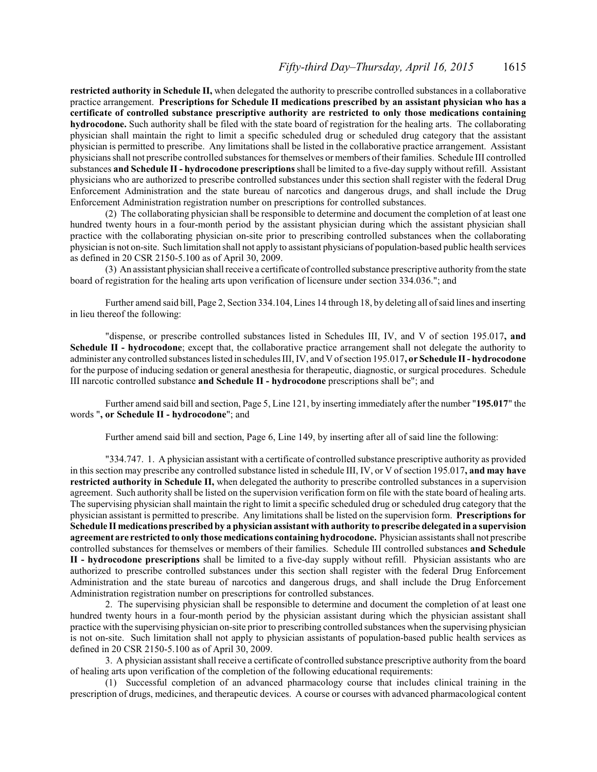**restricted authority in Schedule II,** when delegated the authority to prescribe controlled substances in a collaborative practice arrangement. **Prescriptions for Schedule II medications prescribed by an assistant physician who has a certificate of controlled substance prescriptive authority are restricted to only those medications containing hydrocodone.** Such authority shall be filed with the state board of registration for the healing arts. The collaborating physician shall maintain the right to limit a specific scheduled drug or scheduled drug category that the assistant physician is permitted to prescribe. Any limitations shall be listed in the collaborative practice arrangement. Assistant physicians shall not prescribe controlled substances for themselves or members oftheir families. Schedule III controlled substances **and Schedule II - hydrocodone prescriptions**shall be limited to a five-day supply without refill. Assistant physicians who are authorized to prescribe controlled substances under this section shall register with the federal Drug Enforcement Administration and the state bureau of narcotics and dangerous drugs, and shall include the Drug Enforcement Administration registration number on prescriptions for controlled substances.

(2) The collaborating physician shall be responsible to determine and document the completion of at least one hundred twenty hours in a four-month period by the assistant physician during which the assistant physician shall practice with the collaborating physician on-site prior to prescribing controlled substances when the collaborating physician is not on-site. Such limitation shall not apply to assistant physicians of population-based public health services as defined in 20 CSR 2150-5.100 as of April 30, 2009.

(3) An assistant physician shall receive a certificate of controlled substance prescriptive authority fromthe state board of registration for the healing arts upon verification of licensure under section 334.036."; and

Further amend said bill, Page 2, Section 334.104, Lines 14 through 18, by deleting all ofsaid lines and inserting in lieu thereof the following:

"dispense, or prescribe controlled substances listed in Schedules III, IV, and V of section 195.017**, and Schedule II - hydrocodone**; except that, the collaborative practice arrangement shall not delegate the authority to administer any controlled substances listed in schedules III, IV, and V ofsection 195.017**, or Schedule II - hydrocodone** for the purpose of inducing sedation or general anesthesia for therapeutic, diagnostic, or surgical procedures. Schedule III narcotic controlled substance **and Schedule II - hydrocodone** prescriptions shall be"; and

Further amend said bill and section, Page 5, Line 121, by inserting immediately after the number "**195.017**" the words "**, or Schedule II - hydrocodone**"; and

Further amend said bill and section, Page 6, Line 149, by inserting after all of said line the following:

"334.747. 1. A physician assistant with a certificate of controlled substance prescriptive authority as provided in this section may prescribe any controlled substance listed in schedule III, IV, or V ofsection 195.017**, and may have restricted authority in Schedule II,** when delegated the authority to prescribe controlled substances in a supervision agreement. Such authority shall be listed on the supervision verification form on file with the state board of healing arts. The supervising physician shall maintain the right to limit a specific scheduled drug or scheduled drug category that the physician assistant is permitted to prescribe. Any limitations shall be listed on the supervision form. **Prescriptions for Schedule II medications prescribed by a physician assistant with authority to prescribe delegated in a supervision agreement are restricted to only those medications containing hydrocodone.** Physician assistants shall not prescribe controlled substances for themselves or members of their families. Schedule III controlled substances **and Schedule II - hydrocodone prescriptions** shall be limited to a five-day supply without refill. Physician assistants who are authorized to prescribe controlled substances under this section shall register with the federal Drug Enforcement Administration and the state bureau of narcotics and dangerous drugs, and shall include the Drug Enforcement Administration registration number on prescriptions for controlled substances.

2. The supervising physician shall be responsible to determine and document the completion of at least one hundred twenty hours in a four-month period by the physician assistant during which the physician assistant shall practice with the supervising physician on-site prior to prescribing controlled substances when the supervising physician is not on-site. Such limitation shall not apply to physician assistants of population-based public health services as defined in 20 CSR 2150-5.100 as of April 30, 2009.

3. A physician assistant shall receive a certificate of controlled substance prescriptive authority from the board of healing arts upon verification of the completion of the following educational requirements:

(1) Successful completion of an advanced pharmacology course that includes clinical training in the prescription of drugs, medicines, and therapeutic devices. A course or courses with advanced pharmacological content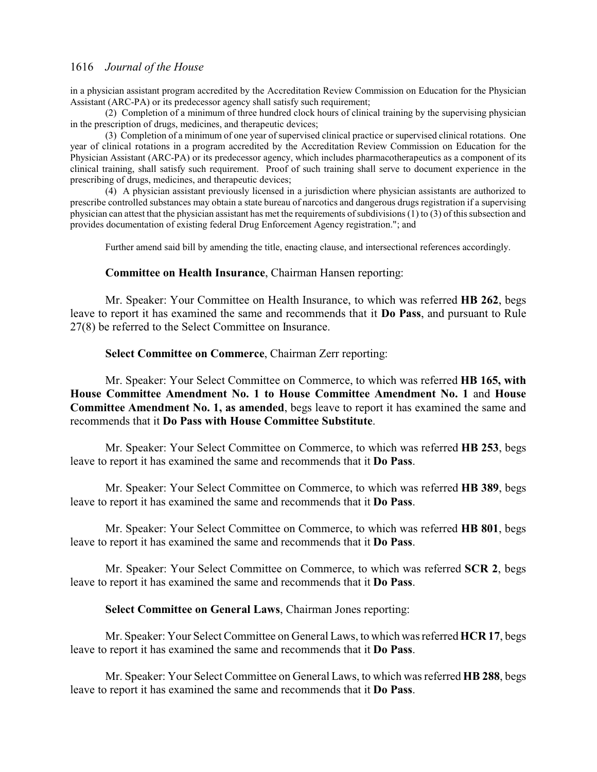in a physician assistant program accredited by the Accreditation Review Commission on Education for the Physician Assistant (ARC-PA) or its predecessor agency shall satisfy such requirement;

(2) Completion of a minimum of three hundred clock hours of clinical training by the supervising physician in the prescription of drugs, medicines, and therapeutic devices;

(3) Completion of a minimum of one year of supervised clinical practice or supervised clinical rotations. One year of clinical rotations in a program accredited by the Accreditation Review Commission on Education for the Physician Assistant (ARC-PA) or its predecessor agency, which includes pharmacotherapeutics as a component of its clinical training, shall satisfy such requirement. Proof of such training shall serve to document experience in the prescribing of drugs, medicines, and therapeutic devices;

(4) A physician assistant previously licensed in a jurisdiction where physician assistants are authorized to prescribe controlled substances may obtain a state bureau of narcotics and dangerous drugs registration if a supervising physician can attest that the physician assistant has met the requirements ofsubdivisions (1) to (3) of this subsection and provides documentation of existing federal Drug Enforcement Agency registration."; and

Further amend said bill by amending the title, enacting clause, and intersectional references accordingly.

#### **Committee on Health Insurance**, Chairman Hansen reporting:

Mr. Speaker: Your Committee on Health Insurance, to which was referred **HB 262**, begs leave to report it has examined the same and recommends that it **Do Pass**, and pursuant to Rule 27(8) be referred to the Select Committee on Insurance.

#### **Select Committee on Commerce**, Chairman Zerr reporting:

Mr. Speaker: Your Select Committee on Commerce, to which was referred **HB 165, with House Committee Amendment No. 1 to House Committee Amendment No. 1** and **House Committee Amendment No. 1, as amended**, begs leave to report it has examined the same and recommends that it **Do Pass with House Committee Substitute**.

Mr. Speaker: Your Select Committee on Commerce, to which was referred **HB 253**, begs leave to report it has examined the same and recommends that it **Do Pass**.

Mr. Speaker: Your Select Committee on Commerce, to which was referred **HB 389**, begs leave to report it has examined the same and recommends that it **Do Pass**.

Mr. Speaker: Your Select Committee on Commerce, to which was referred **HB 801**, begs leave to report it has examined the same and recommends that it **Do Pass**.

Mr. Speaker: Your Select Committee on Commerce, to which was referred **SCR 2**, begs leave to report it has examined the same and recommends that it **Do Pass**.

#### **Select Committee on General Laws**, Chairman Jones reporting:

Mr. Speaker: Your Select Committee on General Laws, to which was referred **HCR 17**, begs leave to report it has examined the same and recommends that it **Do Pass**.

Mr. Speaker: Your Select Committee on General Laws, to which was referred **HB 288**, begs leave to report it has examined the same and recommends that it **Do Pass**.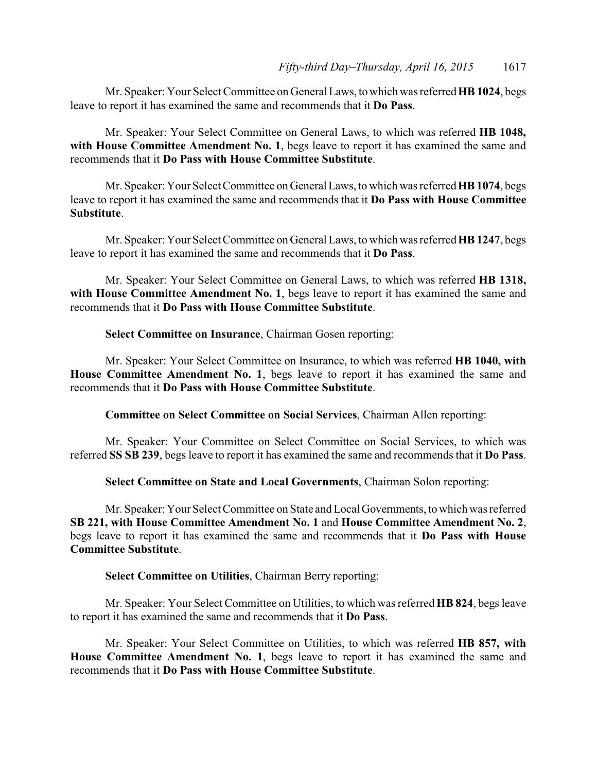Mr. Speaker: Your Select Committee on General Laws, to which was referred **HB 1024**, begs leave to report it has examined the same and recommends that it **Do Pass**.

Mr. Speaker: Your Select Committee on General Laws, to which was referred **HB 1048, with House Committee Amendment No. 1**, begs leave to report it has examined the same and recommends that it **Do Pass with House Committee Substitute**.

Mr. Speaker: Your Select Committee on General Laws, to which was referred **HB 1074**, begs leave to report it has examined the same and recommends that it **Do Pass with House Committee Substitute**.

Mr. Speaker: Your Select Committee on General Laws, to which was referred **HB 1247**, begs leave to report it has examined the same and recommends that it **Do Pass**.

Mr. Speaker: Your Select Committee on General Laws, to which was referred **HB 1318,** with House Committee Amendment No. 1, begs leave to report it has examined the same and recommends that it **Do Pass with House Committee Substitute**.

**Select Committee on Insurance**, Chairman Gosen reporting:

Mr. Speaker: Your Select Committee on Insurance, to which was referred **HB 1040, with House Committee Amendment No. 1**, begs leave to report it has examined the same and recommends that it **Do Pass with House Committee Substitute**.

**Committee on Select Committee on Social Services**, Chairman Allen reporting:

Mr. Speaker: Your Committee on Select Committee on Social Services, to which was referred **SS SB 239**, begs leave to report it has examined the same and recommends that it **Do Pass**.

**Select Committee on State and Local Governments**, Chairman Solon reporting:

Mr. Speaker: Your Select Committee on State and Local Governments, to which was referred **SB 221, with House Committee Amendment No. 1** and **House Committee Amendment No. 2**, begs leave to report it has examined the same and recommends that it **Do Pass with House Committee Substitute**.

**Select Committee on Utilities**, Chairman Berry reporting:

Mr. Speaker: Your Select Committee on Utilities, to which was referred **HB 824**, begs leave to report it has examined the same and recommends that it **Do Pass**.

Mr. Speaker: Your Select Committee on Utilities, to which was referred **HB 857, with House Committee Amendment No. 1**, begs leave to report it has examined the same and recommends that it **Do Pass with House Committee Substitute**.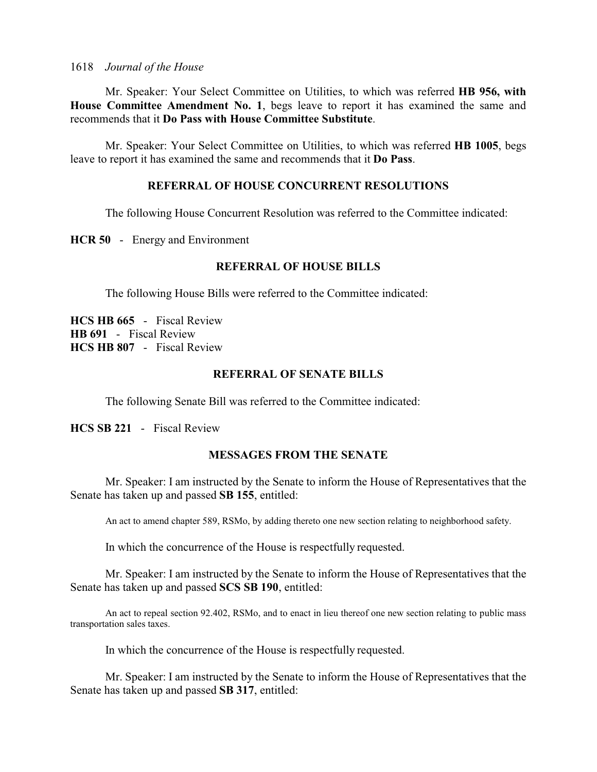Mr. Speaker: Your Select Committee on Utilities, to which was referred **HB 956, with House Committee Amendment No. 1**, begs leave to report it has examined the same and recommends that it **Do Pass with House Committee Substitute**.

Mr. Speaker: Your Select Committee on Utilities, to which was referred **HB 1005**, begs leave to report it has examined the same and recommends that it **Do Pass**.

### **REFERRAL OF HOUSE CONCURRENT RESOLUTIONS**

The following House Concurrent Resolution was referred to the Committee indicated:

**HCR 50** - Energy and Environment

#### **REFERRAL OF HOUSE BILLS**

The following House Bills were referred to the Committee indicated:

**HCS HB 665** - Fiscal Review **HB 691** - Fiscal Review **HCS HB 807** - Fiscal Review

#### **REFERRAL OF SENATE BILLS**

The following Senate Bill was referred to the Committee indicated:

**HCS SB 221** - Fiscal Review

### **MESSAGES FROM THE SENATE**

Mr. Speaker: I am instructed by the Senate to inform the House of Representatives that the Senate has taken up and passed **SB 155**, entitled:

An act to amend chapter 589, RSMo, by adding thereto one new section relating to neighborhood safety.

In which the concurrence of the House is respectfully requested.

Mr. Speaker: I am instructed by the Senate to inform the House of Representatives that the Senate has taken up and passed **SCS SB 190**, entitled:

An act to repeal section 92.402, RSMo, and to enact in lieu thereof one new section relating to public mass transportation sales taxes.

In which the concurrence of the House is respectfully requested.

Mr. Speaker: I am instructed by the Senate to inform the House of Representatives that the Senate has taken up and passed **SB 317**, entitled: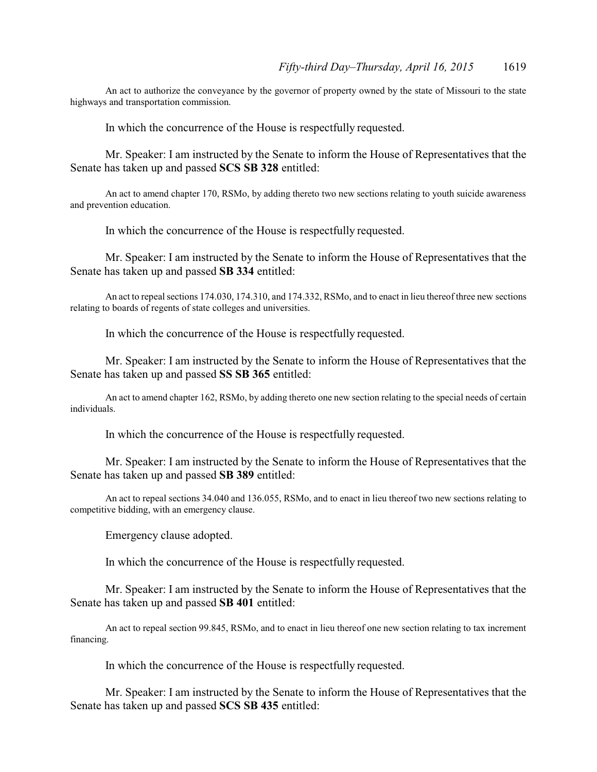An act to authorize the conveyance by the governor of property owned by the state of Missouri to the state highways and transportation commission.

In which the concurrence of the House is respectfully requested.

Mr. Speaker: I am instructed by the Senate to inform the House of Representatives that the Senate has taken up and passed **SCS SB 328** entitled:

An act to amend chapter 170, RSMo, by adding thereto two new sections relating to youth suicide awareness and prevention education.

In which the concurrence of the House is respectfully requested.

Mr. Speaker: I am instructed by the Senate to inform the House of Representatives that the Senate has taken up and passed **SB 334** entitled:

An act to repeal sections 174.030, 174.310, and 174.332, RSMo, and to enact in lieu thereof three new sections relating to boards of regents of state colleges and universities.

In which the concurrence of the House is respectfully requested.

Mr. Speaker: I am instructed by the Senate to inform the House of Representatives that the Senate has taken up and passed **SS SB 365** entitled:

An act to amend chapter 162, RSMo, by adding thereto one new section relating to the special needs of certain individuals.

In which the concurrence of the House is respectfully requested.

Mr. Speaker: I am instructed by the Senate to inform the House of Representatives that the Senate has taken up and passed **SB 389** entitled:

An act to repeal sections 34.040 and 136.055, RSMo, and to enact in lieu thereof two new sections relating to competitive bidding, with an emergency clause.

Emergency clause adopted.

In which the concurrence of the House is respectfully requested.

Mr. Speaker: I am instructed by the Senate to inform the House of Representatives that the Senate has taken up and passed **SB 401** entitled:

An act to repeal section 99.845, RSMo, and to enact in lieu thereof one new section relating to tax increment financing.

In which the concurrence of the House is respectfully requested.

Mr. Speaker: I am instructed by the Senate to inform the House of Representatives that the Senate has taken up and passed **SCS SB 435** entitled: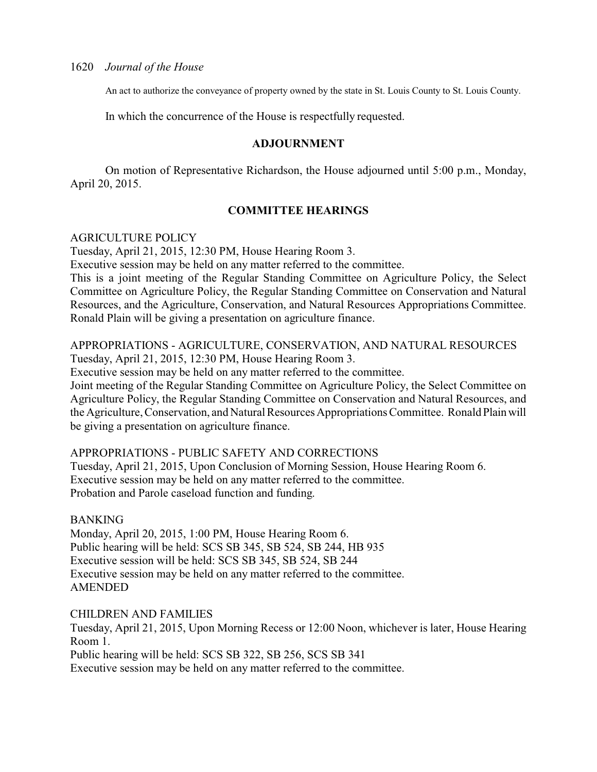An act to authorize the conveyance of property owned by the state in St. Louis County to St. Louis County.

In which the concurrence of the House is respectfully requested.

### **ADJOURNMENT**

On motion of Representative Richardson, the House adjourned until 5:00 p.m., Monday, April 20, 2015.

## **COMMITTEE HEARINGS**

## AGRICULTURE POLICY

Tuesday, April 21, 2015, 12:30 PM, House Hearing Room 3.

Executive session may be held on any matter referred to the committee.

This is a joint meeting of the Regular Standing Committee on Agriculture Policy, the Select Committee on Agriculture Policy, the Regular Standing Committee on Conservation and Natural Resources, and the Agriculture, Conservation, and Natural Resources Appropriations Committee. Ronald Plain will be giving a presentation on agriculture finance.

## APPROPRIATIONS - AGRICULTURE, CONSERVATION, AND NATURAL RESOURCES Tuesday, April 21, 2015, 12:30 PM, House Hearing Room 3.

Executive session may be held on any matter referred to the committee.

Joint meeting of the Regular Standing Committee on Agriculture Policy, the Select Committee on Agriculture Policy, the Regular Standing Committee on Conservation and Natural Resources, and the Agriculture, Conservation, and Natural Resources Appropriations Committee. Ronald Plain will be giving a presentation on agriculture finance.

# APPROPRIATIONS - PUBLIC SAFETY AND CORRECTIONS

Tuesday, April 21, 2015, Upon Conclusion of Morning Session, House Hearing Room 6. Executive session may be held on any matter referred to the committee. Probation and Parole caseload function and funding.

## BANKING

Monday, April 20, 2015, 1:00 PM, House Hearing Room 6. Public hearing will be held: SCS SB 345, SB 524, SB 244, HB 935 Executive session will be held: SCS SB 345, SB 524, SB 244 Executive session may be held on any matter referred to the committee. AMENDED

## CHILDREN AND FAMILIES

Tuesday, April 21, 2015, Upon Morning Recess or 12:00 Noon, whichever is later, House Hearing Room 1. Public hearing will be held: SCS SB 322, SB 256, SCS SB 341 Executive session may be held on any matter referred to the committee.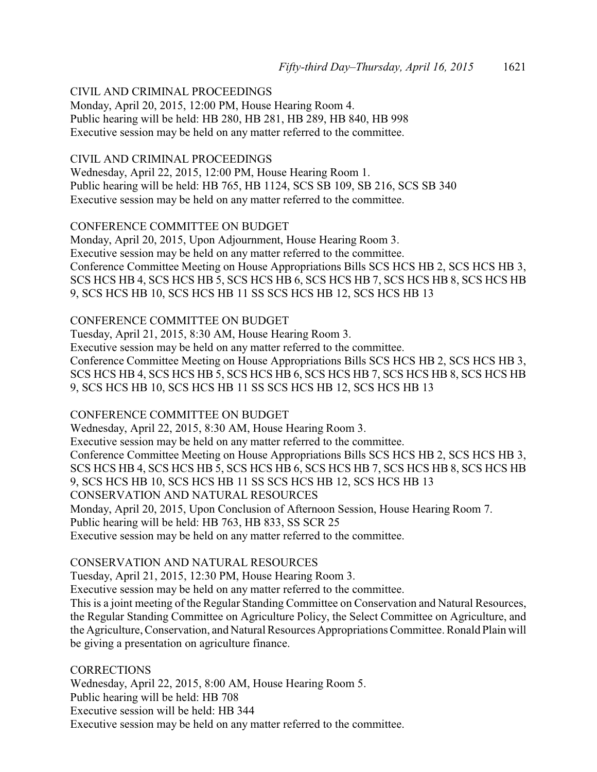## CIVIL AND CRIMINAL PROCEEDINGS

Monday, April 20, 2015, 12:00 PM, House Hearing Room 4. Public hearing will be held: HB 280, HB 281, HB 289, HB 840, HB 998 Executive session may be held on any matter referred to the committee.

#### CIVIL AND CRIMINAL PROCEEDINGS

Wednesday, April 22, 2015, 12:00 PM, House Hearing Room 1. Public hearing will be held: HB 765, HB 1124, SCS SB 109, SB 216, SCS SB 340 Executive session may be held on any matter referred to the committee.

## CONFERENCE COMMITTEE ON BUDGET

Monday, April 20, 2015, Upon Adjournment, House Hearing Room 3. Executive session may be held on any matter referred to the committee. Conference Committee Meeting on House Appropriations Bills SCS HCS HB 2, SCS HCS HB 3, SCS HCS HB 4, SCS HCS HB 5, SCS HCS HB 6, SCS HCS HB 7, SCS HCS HB 8, SCS HCS HB 9, SCS HCS HB 10, SCS HCS HB 11 SS SCS HCS HB 12, SCS HCS HB 13

#### CONFERENCE COMMITTEE ON BUDGET

Tuesday, April 21, 2015, 8:30 AM, House Hearing Room 3.

Executive session may be held on any matter referred to the committee.

Conference Committee Meeting on House Appropriations Bills SCS HCS HB 2, SCS HCS HB 3, SCS HCS HB 4, SCS HCS HB 5, SCS HCS HB 6, SCS HCS HB 7, SCS HCS HB 8, SCS HCS HB 9, SCS HCS HB 10, SCS HCS HB 11 SS SCS HCS HB 12, SCS HCS HB 13

#### CONFERENCE COMMITTEE ON BUDGET

Wednesday, April 22, 2015, 8:30 AM, House Hearing Room 3. Executive session may be held on any matter referred to the committee. Conference Committee Meeting on House Appropriations Bills SCS HCS HB 2, SCS HCS HB 3, SCS HCS HB 4, SCS HCS HB 5, SCS HCS HB 6, SCS HCS HB 7, SCS HCS HB 8, SCS HCS HB 9, SCS HCS HB 10, SCS HCS HB 11 SS SCS HCS HB 12, SCS HCS HB 13 CONSERVATION AND NATURAL RESOURCES Monday, April 20, 2015, Upon Conclusion of Afternoon Session, House Hearing Room 7. Public hearing will be held: HB 763, HB 833, SS SCR 25 Executive session may be held on any matter referred to the committee.

### CONSERVATION AND NATURAL RESOURCES

Tuesday, April 21, 2015, 12:30 PM, House Hearing Room 3.

Executive session may be held on any matter referred to the committee.

This is a joint meeting of the Regular Standing Committee on Conservation and Natural Resources, the Regular Standing Committee on Agriculture Policy, the Select Committee on Agriculture, and the Agriculture, Conservation, and Natural Resources Appropriations Committee. Ronald Plain will be giving a presentation on agriculture finance.

**CORRECTIONS** Wednesday, April 22, 2015, 8:00 AM, House Hearing Room 5. Public hearing will be held: HB 708 Executive session will be held: HB 344 Executive session may be held on any matter referred to the committee.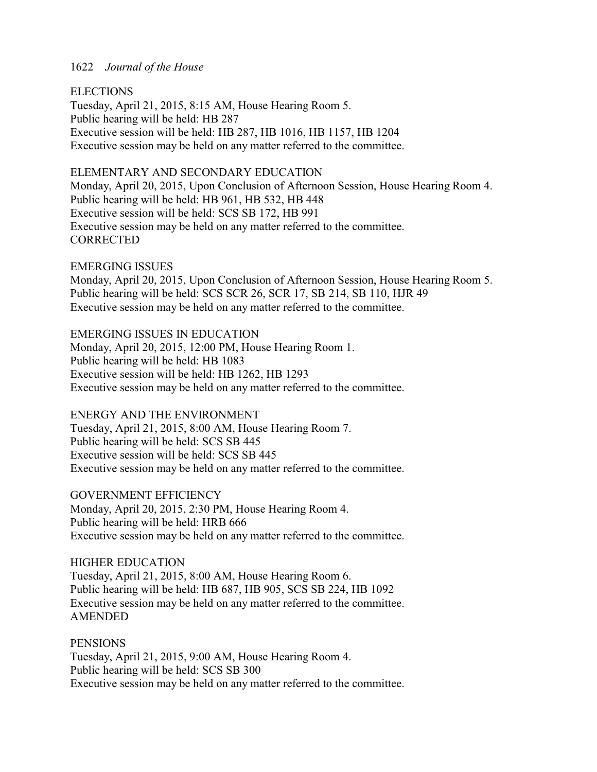**ELECTIONS** 

Tuesday, April 21, 2015, 8:15 AM, House Hearing Room 5. Public hearing will be held: HB 287 Executive session will be held: HB 287, HB 1016, HB 1157, HB 1204 Executive session may be held on any matter referred to the committee.

### ELEMENTARY AND SECONDARY EDUCATION

Monday, April 20, 2015, Upon Conclusion of Afternoon Session, House Hearing Room 4. Public hearing will be held: HB 961, HB 532, HB 448 Executive session will be held: SCS SB 172, HB 991 Executive session may be held on any matter referred to the committee. **CORRECTED** 

#### EMERGING ISSUES

Monday, April 20, 2015, Upon Conclusion of Afternoon Session, House Hearing Room 5. Public hearing will be held: SCS SCR 26, SCR 17, SB 214, SB 110, HJR 49 Executive session may be held on any matter referred to the committee.

## EMERGING ISSUES IN EDUCATION

Monday, April 20, 2015, 12:00 PM, House Hearing Room 1. Public hearing will be held: HB 1083 Executive session will be held: HB 1262, HB 1293 Executive session may be held on any matter referred to the committee.

## ENERGY AND THE ENVIRONMENT

Tuesday, April 21, 2015, 8:00 AM, House Hearing Room 7. Public hearing will be held: SCS SB 445 Executive session will be held: SCS SB 445 Executive session may be held on any matter referred to the committee.

GOVERNMENT EFFICIENCY Monday, April 20, 2015, 2:30 PM, House Hearing Room 4. Public hearing will be held: HRB 666 Executive session may be held on any matter referred to the committee.

#### HIGHER EDUCATION

Tuesday, April 21, 2015, 8:00 AM, House Hearing Room 6. Public hearing will be held: HB 687, HB 905, SCS SB 224, HB 1092 Executive session may be held on any matter referred to the committee. AMENDED

**PENSIONS** Tuesday, April 21, 2015, 9:00 AM, House Hearing Room 4. Public hearing will be held: SCS SB 300 Executive session may be held on any matter referred to the committee.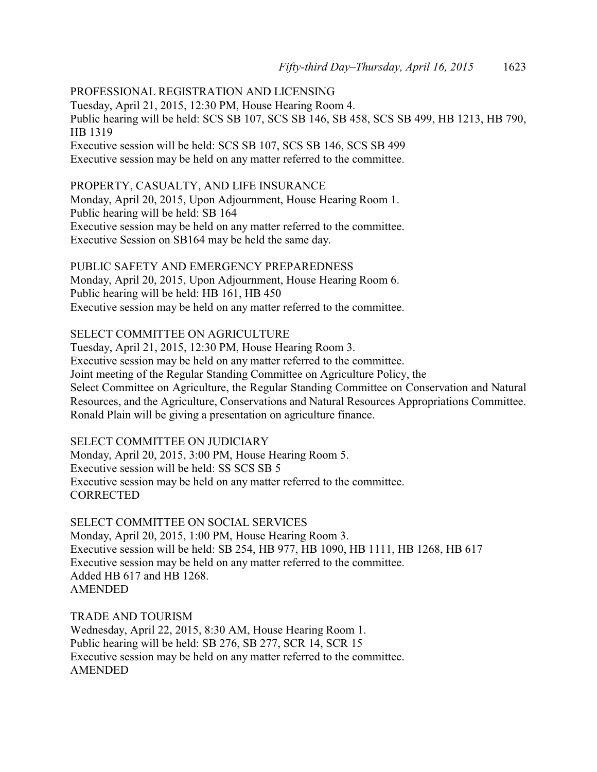## PROFESSIONAL REGISTRATION AND LICENSING Tuesday, April 21, 2015, 12:30 PM, House Hearing Room 4. Public hearing will be held: SCS SB 107, SCS SB 146, SB 458, SCS SB 499, HB 1213, HB 790, HB 1319 Executive session will be held: SCS SB 107, SCS SB 146, SCS SB 499

Executive session may be held on any matter referred to the committee.

## PROPERTY, CASUALTY, AND LIFE INSURANCE

Monday, April 20, 2015, Upon Adjournment, House Hearing Room 1. Public hearing will be held: SB 164 Executive session may be held on any matter referred to the committee. Executive Session on SB164 may be held the same day.

PUBLIC SAFETY AND EMERGENCY PREPAREDNESS Monday, April 20, 2015, Upon Adjournment, House Hearing Room 6. Public hearing will be held: HB 161, HB 450 Executive session may be held on any matter referred to the committee.

## SELECT COMMITTEE ON AGRICULTURE

Tuesday, April 21, 2015, 12:30 PM, House Hearing Room 3. Executive session may be held on any matter referred to the committee. Joint meeting of the Regular Standing Committee on Agriculture Policy, the Select Committee on Agriculture, the Regular Standing Committee on Conservation and Natural Resources, and the Agriculture, Conservations and Natural Resources Appropriations Committee. Ronald Plain will be giving a presentation on agriculture finance.

SELECT COMMITTEE ON JUDICIARY Monday, April 20, 2015, 3:00 PM, House Hearing Room 5. Executive session will be held: SS SCS SB 5 Executive session may be held on any matter referred to the committee. **CORRECTED** 

SELECT COMMITTEE ON SOCIAL SERVICES Monday, April 20, 2015, 1:00 PM, House Hearing Room 3. Executive session will be held: SB 254, HB 977, HB 1090, HB 1111, HB 1268, HB 617 Executive session may be held on any matter referred to the committee. Added HB 617 and HB 1268. AMENDED

TRADE AND TOURISM Wednesday, April 22, 2015, 8:30 AM, House Hearing Room 1. Public hearing will be held: SB 276, SB 277, SCR 14, SCR 15 Executive session may be held on any matter referred to the committee. AMENDED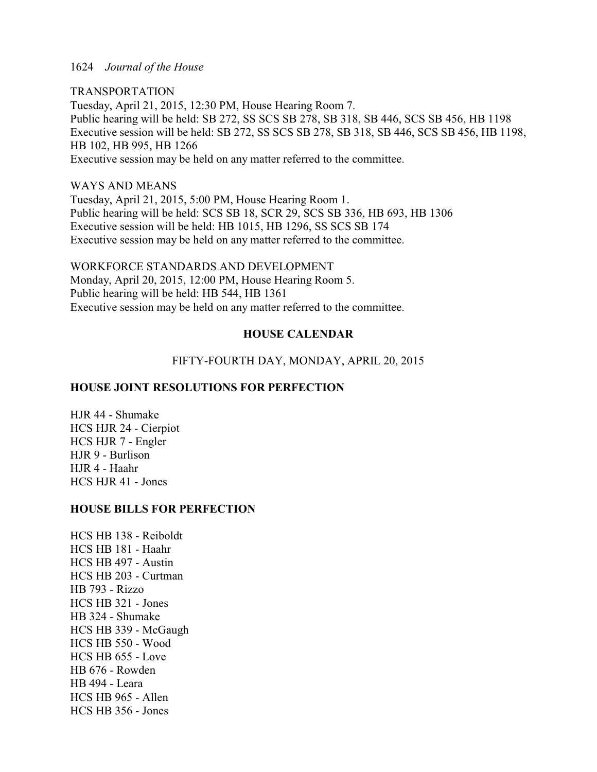TRANSPORTATION Tuesday, April 21, 2015, 12:30 PM, House Hearing Room 7. Public hearing will be held: SB 272, SS SCS SB 278, SB 318, SB 446, SCS SB 456, HB 1198 Executive session will be held: SB 272, SS SCS SB 278, SB 318, SB 446, SCS SB 456, HB 1198, HB 102, HB 995, HB 1266 Executive session may be held on any matter referred to the committee.

### WAYS AND MEANS

Tuesday, April 21, 2015, 5:00 PM, House Hearing Room 1. Public hearing will be held: SCS SB 18, SCR 29, SCS SB 336, HB 693, HB 1306 Executive session will be held: HB 1015, HB 1296, SS SCS SB 174 Executive session may be held on any matter referred to the committee.

WORKFORCE STANDARDS AND DEVELOPMENT Monday, April 20, 2015, 12:00 PM, House Hearing Room 5. Public hearing will be held: HB 544, HB 1361 Executive session may be held on any matter referred to the committee.

## **HOUSE CALENDAR**

FIFTY-FOURTH DAY, MONDAY, APRIL 20, 2015

## **HOUSE JOINT RESOLUTIONS FOR PERFECTION**

HJR 44 - Shumake HCS HJR 24 - Cierpiot HCS HJR 7 - Engler HJR 9 - Burlison HJR 4 - Haahr HCS HJR 41 - Jones

## **HOUSE BILLS FOR PERFECTION**

HCS HB 138 - Reiboldt HCS HB 181 - Haahr HCS HB 497 - Austin HCS HB 203 - Curtman HB 793 - Rizzo HCS HB 321 - Jones HB 324 - Shumake HCS HB 339 - McGaugh HCS HB 550 - Wood HCS HB 655 - Love HB 676 - Rowden HB 494 - Leara HCS HB 965 - Allen HCS HB 356 - Jones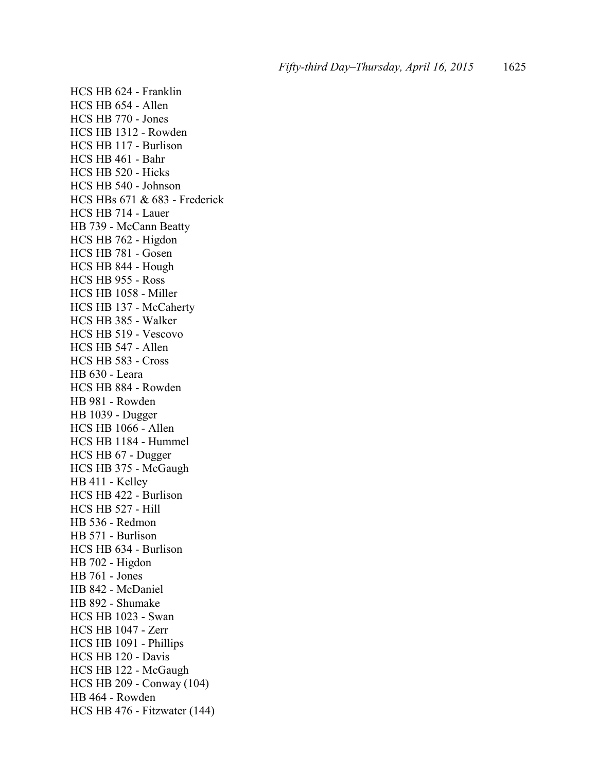HCS HB 624 - Franklin HCS HB 654 - Allen HCS HB 770 - Jones HCS HB 1312 - Rowden HCS HB 117 - Burlison HCS HB 461 - Bahr HCS HB 520 - Hicks HCS HB 540 - Johnson HCS HBs 671 & 683 - Frederick HCS HB 714 - Lauer HB 739 - McCann Beatty HCS HB 762 - Higdon HCS HB 781 - Gosen HCS HB 844 - Hough HCS HB 955 - Ross HCS HB 1058 - Miller HCS HB 137 - McCaherty HCS HB 385 - Walker HCS HB 519 - Vescovo HCS HB 547 - Allen HCS HB 583 - Cross HB 630 - Leara HCS HB 884 - Rowden HB 981 - Rowden HB 1039 - Dugger HCS HB 1066 - Allen HCS HB 1184 - Hummel HCS HB 67 - Dugger HCS HB 375 - McGaugh HB 411 - Kelley HCS HB 422 - Burlison HCS HB 527 - Hill HB 536 - Redmon HB 571 - Burlison HCS HB 634 - Burlison HB 702 - Higdon HB 761 - Jones HB 842 - McDaniel HB 892 - Shumake HCS HB 1023 - Swan HCS HB 1047 - Zerr HCS HB 1091 - Phillips HCS HB 120 - Davis HCS HB 122 - McGaugh HCS HB 209 - Conway (104) HB 464 - Rowden HCS HB 476 - Fitzwater (144)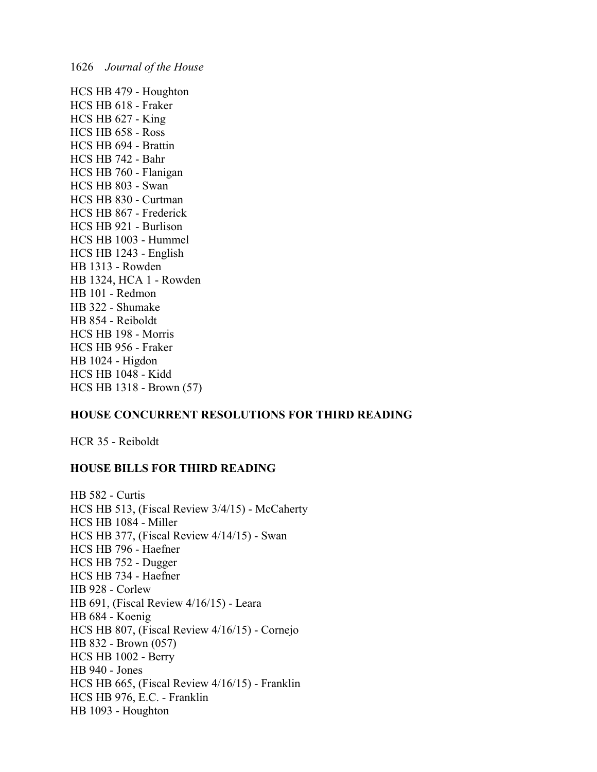HCS HB 479 - Houghton HCS HB 618 - Fraker HCS HB 627 - King HCS HB 658 - Ross HCS HB 694 - Brattin HCS HB 742 - Bahr HCS HB 760 - Flanigan HCS HB 803 - Swan HCS HB 830 - Curtman HCS HB 867 - Frederick HCS HB 921 - Burlison HCS HB 1003 - Hummel HCS HB 1243 - English HB 1313 - Rowden HB 1324, HCA 1 - Rowden HB 101 - Redmon HB 322 - Shumake HB 854 - Reiboldt HCS HB 198 - Morris HCS HB 956 - Fraker HB 1024 - Higdon HCS HB 1048 - Kidd HCS HB 1318 - Brown (57)

#### **HOUSE CONCURRENT RESOLUTIONS FOR THIRD READING**

HCR 35 - Reiboldt

#### **HOUSE BILLS FOR THIRD READING**

HB 582 - Curtis HCS HB 513, (Fiscal Review 3/4/15) - McCaherty HCS HB 1084 - Miller HCS HB 377, (Fiscal Review 4/14/15) - Swan HCS HB 796 - Haefner HCS HB 752 - Dugger HCS HB 734 - Haefner HB 928 - Corlew HB 691, (Fiscal Review 4/16/15) - Leara HB 684 - Koenig HCS HB 807, (Fiscal Review 4/16/15) - Cornejo HB 832 - Brown (057) HCS HB 1002 - Berry HB 940 - Jones HCS HB 665, (Fiscal Review 4/16/15) - Franklin HCS HB 976, E.C. - Franklin HB 1093 - Houghton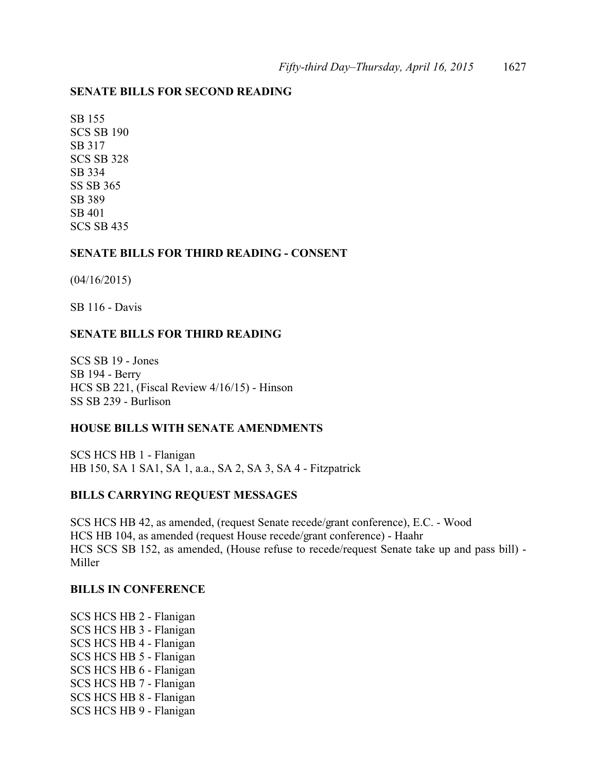### **SENATE BILLS FOR SECOND READING**

SB 155 SCS SB 190 SB 317 SCS SB 328 SB 334 SS SB 365 SB 389 SB 401 SCS SB 435

### **SENATE BILLS FOR THIRD READING - CONSENT**

(04/16/2015)

SB 116 - Davis

### **SENATE BILLS FOR THIRD READING**

SCS SB 19 - Jones SB 194 - Berry HCS SB 221, (Fiscal Review 4/16/15) - Hinson SS SB 239 - Burlison

#### **HOUSE BILLS WITH SENATE AMENDMENTS**

SCS HCS HB 1 - Flanigan HB 150, SA 1 SA1, SA 1, a.a., SA 2, SA 3, SA 4 - Fitzpatrick

### **BILLS CARRYING REQUEST MESSAGES**

SCS HCS HB 42, as amended, (request Senate recede/grant conference), E.C. - Wood HCS HB 104, as amended (request House recede/grant conference) - Haahr HCS SCS SB 152, as amended, (House refuse to recede/request Senate take up and pass bill) - Miller

#### **BILLS IN CONFERENCE**

SCS HCS HB 2 - Flanigan SCS HCS HB 3 - Flanigan SCS HCS HB 4 - Flanigan SCS HCS HB 5 - Flanigan SCS HCS HB 6 - Flanigan SCS HCS HB 7 - Flanigan SCS HCS HB 8 - Flanigan SCS HCS HB 9 - Flanigan